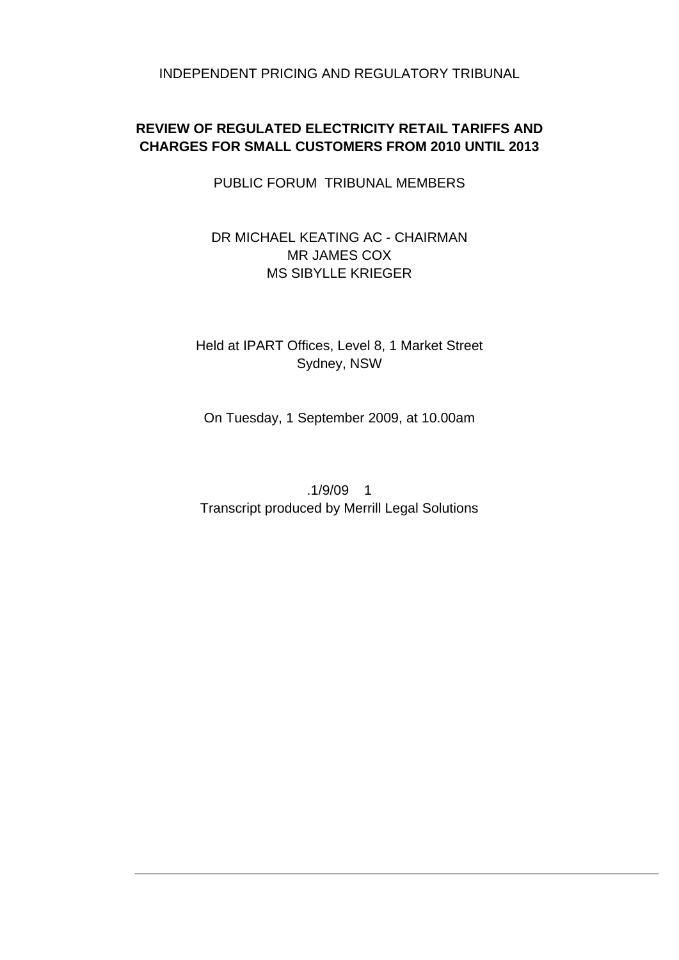INDEPENDENT PRICING AND REGULATORY TRIBUNAL

# **REVIEW OF REGULATED ELECTRICITY RETAIL TARIFFS AND CHARGES FOR SMALL CUSTOMERS FROM 2010 UNTIL 2013**

PUBLIC FORUM TRIBUNAL MEMBERS

# DR MICHAEL KEATING AC - CHAIRMAN MR JAMES COX MS SIBYLLE KRIEGER

# Held at IPART Offices, Level 8, 1 Market Street Sydney, NSW

On Tuesday, 1 September 2009, at 10.00am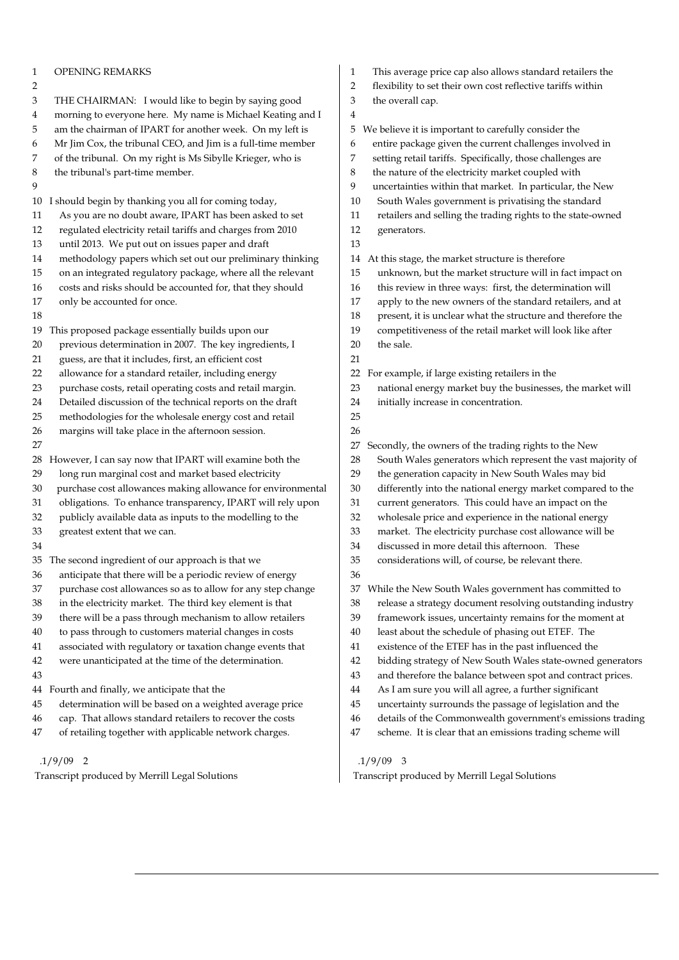| 1  | OPENING REMARKS                                             | This average price cap also allows standard retailers the<br>1    |  |
|----|-------------------------------------------------------------|-------------------------------------------------------------------|--|
| 2  |                                                             | 2<br>flexibility to set their own cost reflective tariffs within  |  |
| 3  | THE CHAIRMAN: I would like to begin by saying good          | the overall cap.<br>3                                             |  |
| 4  | morning to everyone here. My name is Michael Keating and I  | 4                                                                 |  |
| 5  | am the chairman of IPART for another week. On my left is    | 5<br>We believe it is important to carefully consider the         |  |
| 6  | Mr Jim Cox, the tribunal CEO, and Jim is a full-time member | entire package given the current challenges involved in<br>6      |  |
| 7  | of the tribunal. On my right is Ms Sibylle Krieger, who is  | 7<br>setting retail tariffs. Specifically, those challenges are   |  |
| 8  | the tribunal's part-time member.                            | 8<br>the nature of the electricity market coupled with            |  |
| 9  |                                                             | uncertainties within that market. In particular, the New<br>9     |  |
| 10 | I should begin by thanking you all for coming today,        | South Wales government is privatising the standard<br>10          |  |
| 11 | As you are no doubt aware, IPART has been asked to set      | retailers and selling the trading rights to the state-owned<br>11 |  |
| 12 | regulated electricity retail tariffs and charges from 2010  | 12<br>generators.                                                 |  |
| 13 | until 2013. We put out on issues paper and draft            | 13                                                                |  |
| 14 | methodology papers which set out our preliminary thinking   | At this stage, the market structure is therefore<br>14            |  |
| 15 | on an integrated regulatory package, where all the relevant | 15<br>unknown, but the market structure will in fact impact on    |  |
| 16 | costs and risks should be accounted for, that they should   | this review in three ways: first, the determination will<br>16    |  |
| 17 | only be accounted for once.                                 | apply to the new owners of the standard retailers, and at<br>17   |  |
| 18 |                                                             | present, it is unclear what the structure and therefore the<br>18 |  |
| 19 | This proposed package essentially builds upon our           | 19<br>competitiveness of the retail market will look like after   |  |
| 20 | previous determination in 2007. The key ingredients, I      | the sale.<br>20                                                   |  |
| 21 | guess, are that it includes, first, an efficient cost       | 21                                                                |  |
| 22 | allowance for a standard retailer, including energy         | For example, if large existing retailers in the<br>22             |  |
| 23 | purchase costs, retail operating costs and retail margin.   | national energy market buy the businesses, the market will<br>23  |  |
| 24 | Detailed discussion of the technical reports on the draft   | 24<br>initially increase in concentration.                        |  |
| 25 | methodologies for the wholesale energy cost and retail      | 25                                                                |  |
| 26 | margins will take place in the afternoon session.           | 26                                                                |  |
| 27 |                                                             | Secondly, the owners of the trading rights to the New<br>27       |  |
| 28 | However, I can say now that IPART will examine both the     | South Wales generators which represent the vast majority of<br>28 |  |
| 29 | long run marginal cost and market based electricity         | 29<br>the generation capacity in New South Wales may bid          |  |
| 30 | purchase cost allowances making allowance for environmental | 30<br>differently into the national energy market compared to the |  |
| 31 | obligations. To enhance transparency, IPART will rely upon  | 31<br>current generators. This could have an impact on the        |  |
| 32 | publicly available data as inputs to the modelling to the   | wholesale price and experience in the national energy<br>32       |  |
| 33 | greatest extent that we can.                                | market. The electricity purchase cost allowance will be<br>33     |  |
| 34 |                                                             | discussed in more detail this afternoon. These<br>34              |  |
|    | 35 The second ingredient of our approach is that we         | 35<br>considerations will, of course, be relevant there.          |  |
| 36 | anticipate that there will be a periodic review of energy   | 36                                                                |  |
| 37 | purchase cost allowances so as to allow for any step change | While the New South Wales government has committed to<br>37       |  |
| 38 | in the electricity market. The third key element is that    | 38<br>release a strategy document resolving outstanding industry  |  |
| 39 | there will be a pass through mechanism to allow retailers   | 39<br>framework issues, uncertainty remains for the moment at     |  |
| 40 | to pass through to customers material changes in costs      | least about the schedule of phasing out ETEF. The<br>40           |  |
| 41 | associated with regulatory or taxation change events that   | 41<br>existence of the ETEF has in the past influenced the        |  |
| 42 | were unanticipated at the time of the determination.        | bidding strategy of New South Wales state-owned generators<br>42  |  |
| 43 |                                                             | 43<br>and therefore the balance between spot and contract prices. |  |
| 44 | Fourth and finally, we anticipate that the                  | 44<br>As I am sure you will all agree, a further significant      |  |
| 45 | determination will be based on a weighted average price     | uncertainty surrounds the passage of legislation and the<br>45    |  |
| 46 | cap. That allows standard retailers to recover the costs    | details of the Commonwealth government's emissions trading<br>46  |  |
| 47 | of retailing together with applicable network charges.      | scheme. It is clear that an emissions trading scheme will<br>47   |  |
|    |                                                             |                                                                   |  |

Transcript produced by Merrill Legal Solutions

.1/9/09 3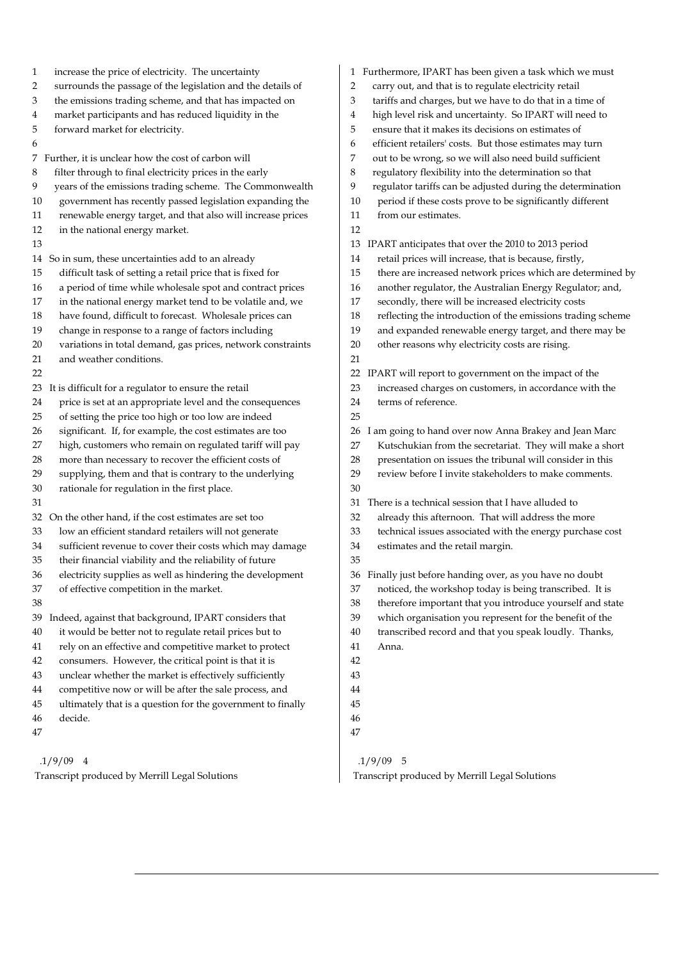| increase the price of electricity. The uncertainty<br>1           | 1 Furthermore, IPART has been given a task which we must        |
|-------------------------------------------------------------------|-----------------------------------------------------------------|
| 2                                                                 | carry out, and that is to regulate electricity retail           |
| surrounds the passage of the legislation and the details of       | 2                                                               |
| the emissions trading scheme, and that has impacted on            | tariffs and charges, but we have to do that in a time of        |
| 3                                                                 | 3                                                               |
| market participants and has reduced liquidity in the              | high level risk and uncertainty. So IPART will need to          |
| 4                                                                 | 4                                                               |
| 5                                                                 | 5                                                               |
| forward market for electricity.                                   | ensure that it makes its decisions on estimates of              |
| 6                                                                 | 6<br>efficient retailers' costs. But those estimates may turn   |
| 7 Further, it is unclear how the cost of carbon will              | 7<br>out to be wrong, so we will also need build sufficient     |
| filter through to final electricity prices in the early           | 8                                                               |
| 8                                                                 | regulatory flexibility into the determination so that           |
| years of the emissions trading scheme. The Commonwealth           | 9                                                               |
| 9                                                                 | regulator tariffs can be adjusted during the determination      |
| government has recently passed legislation expanding the          | period if these costs prove to be significantly different       |
| 10                                                                | 10                                                              |
| renewable energy target, and that also will increase prices       | 11                                                              |
| 11                                                                | from our estimates.                                             |
| 12<br>in the national energy market.                              | 12                                                              |
| 13                                                                | IPART anticipates that over the 2010 to 2013 period<br>13       |
| 14 So in sum, these uncertainties add to an already               | retail prices will increase, that is because, firstly,<br>14    |
| difficult task of setting a retail price that is fixed for        | 15                                                              |
| 15                                                                | there are increased network prices which are determined by      |
| a period of time while wholesale spot and contract prices         | another regulator, the Australian Energy Regulator; and,        |
| 16                                                                | 16                                                              |
| in the national energy market tend to be volatile and, we         | secondly, there will be increased electricity costs             |
| 17                                                                | 17                                                              |
| have found, difficult to forecast. Wholesale prices can           | reflecting the introduction of the emissions trading scheme     |
| 18                                                                | 18                                                              |
| change in response to a range of factors including                | and expanded renewable energy target, and there may be          |
| 19                                                                | 19                                                              |
| 20                                                                | 20                                                              |
| variations in total demand, gas prices, network constraints       | other reasons why electricity costs are rising.                 |
| and weather conditions.<br>21                                     | 21                                                              |
| 22                                                                | IPART will report to government on the impact of the<br>22      |
| 23 It is difficult for a regulator to ensure the retail           | increased charges on customers, in accordance with the<br>23    |
| price is set at an appropriate level and the consequences         | 24                                                              |
| 24                                                                | terms of reference.                                             |
| of setting the price too high or too low are indeed<br>25         | 25                                                              |
| significant. If, for example, the cost estimates are too          | am going to hand over now Anna Brakey and Jean Marc             |
| 26                                                                | 26                                                              |
| high, customers who remain on regulated tariff will pay           | Kutschukian from the secretariat. They will make a short        |
| 27                                                                | 27                                                              |
| more than necessary to recover the efficient costs of             | presentation on issues the tribunal will consider in this       |
| 28                                                                | 28                                                              |
| supplying, them and that is contrary to the underlying            | 29                                                              |
| 29                                                                | review before I invite stakeholders to make comments.           |
| 30<br>rationale for regulation in the first place.                | 30                                                              |
| 31                                                                | There is a technical session that I have alluded to<br>31       |
| 32 On the other hand, if the cost estimates are set too           | 32<br>already this afternoon. That will address the more        |
| 33                                                                | 33                                                              |
| low an efficient standard retailers will not generate             | technical issues associated with the energy purchase cost       |
| sufficient revenue to cover their costs which may damage          | 34                                                              |
| 34                                                                | estimates and the retail margin.                                |
| 35<br>their financial viability and the reliability of future     | 35                                                              |
| 36<br>electricity supplies as well as hindering the development   | 36 Finally just before handing over, as you have no doubt       |
| of effective competition in the market.                           | noticed, the workshop today is being transcribed. It is         |
| 37                                                                | 37                                                              |
| 38                                                                | therefore important that you introduce yourself and state<br>38 |
| Indeed, against that background, IPART considers that             | which organisation you represent for the benefit of the         |
| 39                                                                | 39                                                              |
| it would be better not to regulate retail prices but to           | transcribed record and that you speak loudly. Thanks,           |
| 40                                                                | 40                                                              |
| rely on an effective and competitive market to protect            | 41                                                              |
| 41                                                                | Anna.                                                           |
|                                                                   |                                                                 |
| consumers. However, the critical point is that it is<br>42        | 42                                                              |
| unclear whether the market is effectively sufficiently<br>43      | 43                                                              |
| competitive now or will be after the sale process, and<br>44      | 44                                                              |
| ultimately that is a question for the government to finally<br>45 | 45                                                              |
| decide.<br>46                                                     | 46                                                              |
| 47                                                                | 47                                                              |
| $.1/9/09$ 4                                                       | $.1/9/09$ 5                                                     |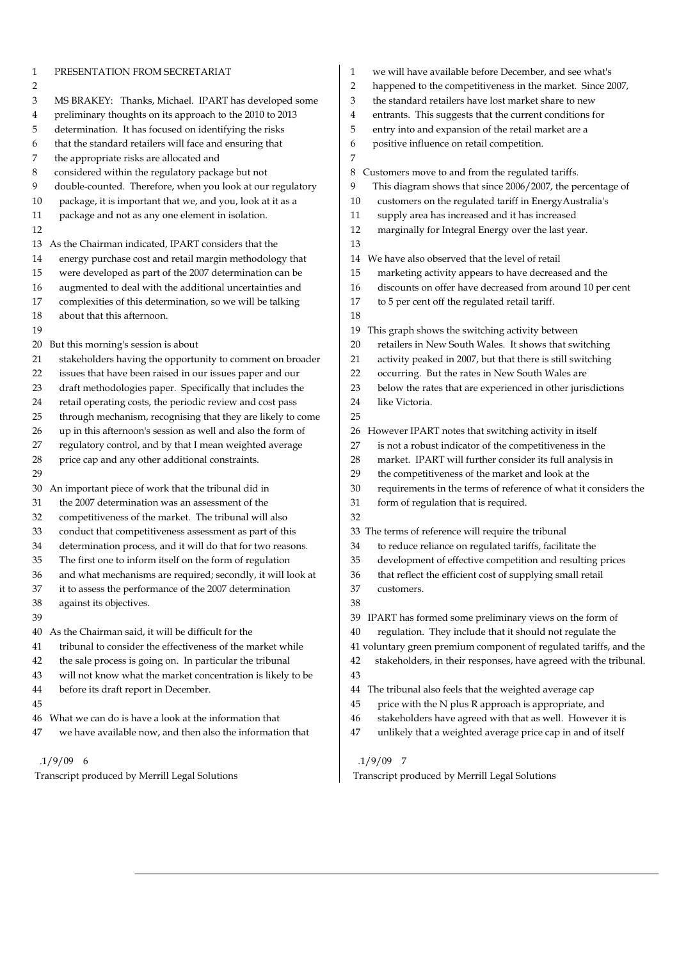| 1  | PRESENTATION FROM SECRETARIAT                               | we will have available before December, and see what's<br>1            |
|----|-------------------------------------------------------------|------------------------------------------------------------------------|
| 2  |                                                             | happened to the competitiveness in the market. Since 2007,<br>2        |
| 3  | MS BRAKEY: Thanks, Michael. IPART has developed some        | the standard retailers have lost market share to new<br>3              |
| 4  | preliminary thoughts on its approach to the 2010 to 2013    | entrants. This suggests that the current conditions for<br>4           |
| 5  | determination. It has focused on identifying the risks      | 5<br>entry into and expansion of the retail market are a               |
| 6  | that the standard retailers will face and ensuring that     | positive influence on retail competition.<br>6                         |
| 7  | the appropriate risks are allocated and                     | 7                                                                      |
| 8  | considered within the regulatory package but not            | Customers move to and from the regulated tariffs.<br>8                 |
| 9  | double-counted. Therefore, when you look at our regulatory  | This diagram shows that since 2006/2007, the percentage of<br>9        |
| 10 | package, it is important that we, and you, look at it as a  | 10<br>customers on the regulated tariff in EnergyAustralia's           |
| 11 | package and not as any one element in isolation.            | supply area has increased and it has increased<br>11                   |
| 12 |                                                             | 12<br>marginally for Integral Energy over the last year.               |
| 13 | As the Chairman indicated, IPART considers that the         | 13                                                                     |
| 14 | energy purchase cost and retail margin methodology that     | We have also observed that the level of retail<br>14                   |
| 15 | were developed as part of the 2007 determination can be     | 15<br>marketing activity appears to have decreased and the             |
| 16 | augmented to deal with the additional uncertainties and     | discounts on offer have decreased from around 10 per cent<br>16        |
| 17 | complexities of this determination, so we will be talking   | to 5 per cent off the regulated retail tariff.<br>17                   |
| 18 | about that this afternoon.                                  | 18                                                                     |
| 19 |                                                             | This graph shows the switching activity between<br>19                  |
| 20 | But this morning's session is about                         | retailers in New South Wales. It shows that switching<br>20            |
| 21 | stakeholders having the opportunity to comment on broader   | 21<br>activity peaked in 2007, but that there is still switching       |
| 22 | issues that have been raised in our issues paper and our    | occurring. But the rates in New South Wales are<br>22                  |
| 23 | draft methodologies paper. Specifically that includes the   | 23<br>below the rates that are experienced in other jurisdictions      |
| 24 | retail operating costs, the periodic review and cost pass   | 24<br>like Victoria.                                                   |
| 25 | through mechanism, recognising that they are likely to come | 25                                                                     |
| 26 | up in this afternoon's session as well and also the form of | However IPART notes that switching activity in itself<br>26            |
| 27 | regulatory control, and by that I mean weighted average     | is not a robust indicator of the competitiveness in the<br>27          |
| 28 | price cap and any other additional constraints.             | market. IPART will further consider its full analysis in<br>28         |
| 29 |                                                             | the competitiveness of the market and look at the<br>29                |
| 30 | An important piece of work that the tribunal did in         | 30<br>requirements in the terms of reference of what it considers the  |
| 31 | the 2007 determination was an assessment of the             | 31<br>form of regulation that is required.                             |
| 32 | competitiveness of the market. The tribunal will also       | 32                                                                     |
| 33 | conduct that competitiveness assessment as part of this     | 33 The terms of reference will require the tribunal                    |
| 34 | determination process, and it will do that for two reasons. | to reduce reliance on regulated tariffs, facilitate the<br>34          |
| 35 | The first one to inform itself on the form of regulation    | development of effective competition and resulting prices<br>35        |
| 36 | and what mechanisms are required; secondly, it will look at | that reflect the efficient cost of supplying small retail<br>36        |
| 37 | it to assess the performance of the 2007 determination      | 37<br>customers.                                                       |
| 38 | against its objectives.                                     | 38                                                                     |
| 39 |                                                             | IPART has formed some preliminary views on the form of<br>39           |
| 40 | As the Chairman said, it will be difficult for the          | regulation. They include that it should not regulate the<br>40         |
| 41 | tribunal to consider the effectiveness of the market while  | 41 voluntary green premium component of regulated tariffs, and the     |
| 42 | the sale process is going on. In particular the tribunal    | stakeholders, in their responses, have agreed with the tribunal.<br>42 |
| 43 | will not know what the market concentration is likely to be | 43                                                                     |
| 44 | before its draft report in December.                        | The tribunal also feels that the weighted average cap<br>44            |
| 45 |                                                             | 45<br>price with the N plus R approach is appropriate, and             |
| 46 | What we can do is have a look at the information that       | 46<br>stakeholders have agreed with that as well. However it is        |
| 47 | we have available now, and then also the information that   | unlikely that a weighted average price cap in and of itself<br>47      |
|    |                                                             |                                                                        |
|    | $.1/9/09$ 6                                                 | $.1/9/09$ 7                                                            |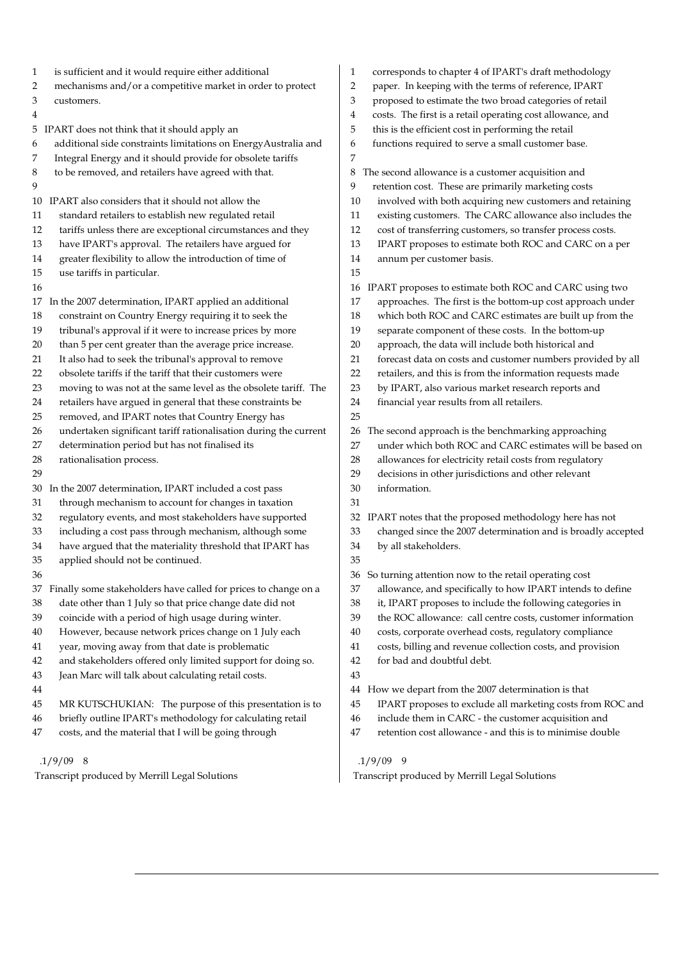1 is sufficient and it would require either additional 2 mechanisms and/or a competitive market in order to protect 3 customers. 4 5 IPART does not think that it should apply an 6 additional side constraints limitations on EnergyAustralia and 7 Integral Energy and it should provide for obsolete tariffs 8 to be removed, and retailers have agreed with that.  $\overline{Q}$ 10 IPART also considers that it should not allow the 11 standard retailers to establish new regulated retail 12 tariffs unless there are exceptional circumstances and they 13 have IPART's approval. The retailers have argued for 14 greater flexibility to allow the introduction of time of 15 use tariffs in particular. 16 17 In the 2007 determination, IPART applied an additional 18 constraint on Country Energy requiring it to seek the 19 tribunal's approval if it were to increase prices by more 20 than 5 per cent greater than the average price increase. 21 It also had to seek the tribunal's approval to remove 22 obsolete tariffs if the tariff that their customers were 23 moving to was not at the same level as the obsolete tariff. The 24 retailers have argued in general that these constraints be 25 removed, and IPART notes that Country Energy has 26 undertaken significant tariff rationalisation during the current 27 determination period but has not finalised its 28 rationalisation process. 29 30 In the 2007 determination, IPART included a cost pass 31 through mechanism to account for changes in taxation 32 regulatory events, and most stakeholders have supported 33 including a cost pass through mechanism, although some 34 have argued that the materiality threshold that IPART has 35 applied should not be continued. 36 37 Finally some stakeholders have called for prices to change on a 38 date other than 1 July so that price change date did not 39 coincide with a period of high usage during winter. 40 However, because network prices change on 1 July each 41 year, moving away from that date is problematic 42 and stakeholders offered only limited support for doing so. 43 Jean Marc will talk about calculating retail costs. 44 45 MR KUTSCHUKIAN: The purpose of this presentation is to 46 briefly outline IPART's methodology for calculating retail 47 costs, and the material that I will be going through 1 corresponds to chapter 4 of IPART's draft methodology 2 paper. In keeping with the terms of reference, IPART 3 proposed to estimate the two broad categories of retail 4 costs. The first is a retail operating cost allowance, and 5 this is the efficient cost in performing the retail 6 functions required to serve a small customer base. 7 8 The second allowance is a customer acquisition and 9 retention cost. These are primarily marketing costs 10 involved with both acquiring new customers and retaining 11 existing customers. The CARC allowance also includes the 12 cost of transferring customers, so transfer process costs. 13 IPART proposes to estimate both ROC and CARC on a per 14 annum per customer basis. 15 16 IPART proposes to estimate both ROC and CARC using two 17 approaches. The first is the bottom-up cost approach under 18 which both ROC and CARC estimates are built up from the 19 separate component of these costs. In the bottom-up 20 approach, the data will include both historical and 21 forecast data on costs and customer numbers provided by all 22 retailers, and this is from the information requests made 23 by IPART, also various market research reports and 24 financial year results from all retailers. 25 26 The second approach is the benchmarking approaching 27 under which both ROC and CARC estimates will be based on 28 allowances for electricity retail costs from regulatory 29 decisions in other jurisdictions and other relevant 30 information. 31 32 IPART notes that the proposed methodology here has not 33 changed since the 2007 determination and is broadly accepted 34 by all stakeholders. 35 36 So turning attention now to the retail operating cost 37 allowance, and specifically to how IPART intends to define 38 it, IPART proposes to include the following categories in 39 the ROC allowance: call centre costs, customer information 40 costs, corporate overhead costs, regulatory compliance 41 costs, billing and revenue collection costs, and provision 42 for bad and doubtful debt. 43 44 How we depart from the 2007 determination is that 45 IPART proposes to exclude all marketing costs from ROC and 46 include them in CARC - the customer acquisition and 47 retention cost allowance - and this is to minimise double

.1/9/09 9

Transcript produced by Merrill Legal Solutions

.1/9/09 8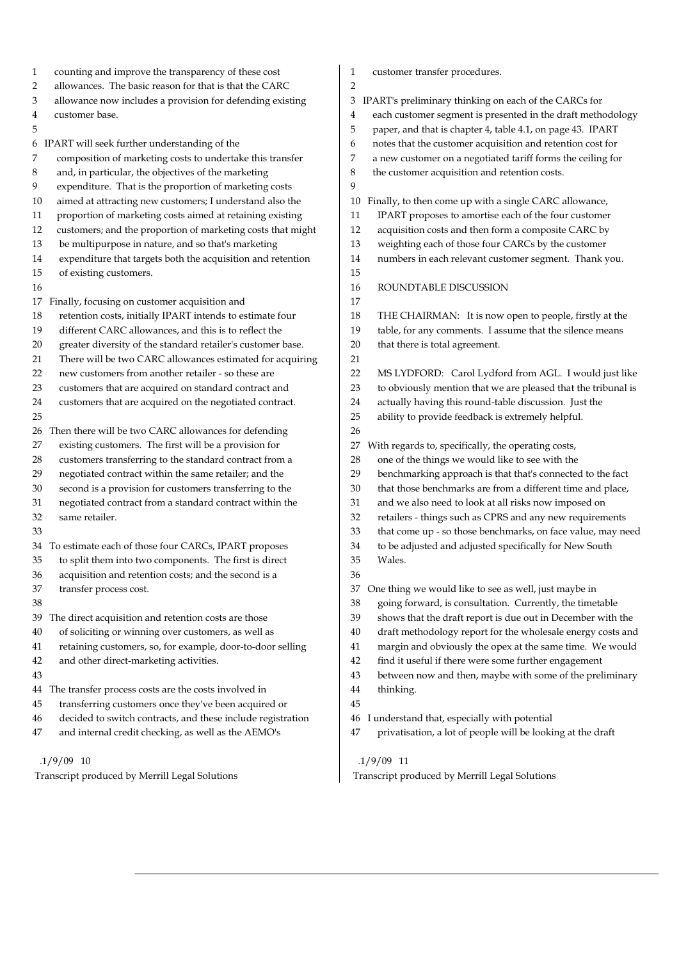| 1      | counting and improve the transparency of these cost                         | 1              | customer transfer procedures.                                                                                             |
|--------|-----------------------------------------------------------------------------|----------------|---------------------------------------------------------------------------------------------------------------------------|
| 2      | allowances. The basic reason for that is that the CARC                      | $\overline{2}$ |                                                                                                                           |
| 3      | allowance now includes a provision for defending existing<br>customer base. | 3              | IPART's preliminary thinking on each of the CARCs for                                                                     |
| 4<br>5 |                                                                             | 4<br>5         | each customer segment is presented in the draft methodology<br>paper, and that is chapter 4, table 4.1, on page 43. IPART |
|        |                                                                             |                |                                                                                                                           |
|        | 6 IPART will seek further understanding of the                              | 6              | notes that the customer acquisition and retention cost for                                                                |
| 7      | composition of marketing costs to undertake this transfer                   | 7              | a new customer on a negotiated tariff forms the ceiling for                                                               |
| 8      | and, in particular, the objectives of the marketing                         | 8              | the customer acquisition and retention costs.                                                                             |
| 9      | expenditure. That is the proportion of marketing costs                      | 9              |                                                                                                                           |
| 10     | aimed at attracting new customers; I understand also the                    | 10             | Finally, to then come up with a single CARC allowance,                                                                    |
| 11     | proportion of marketing costs aimed at retaining existing                   | 11             | IPART proposes to amortise each of the four customer                                                                      |
| 12     | customers; and the proportion of marketing costs that might                 | 12             | acquisition costs and then form a composite CARC by                                                                       |
| 13     | be multipurpose in nature, and so that's marketing                          | 13             | weighting each of those four CARCs by the customer                                                                        |
| 14     | expenditure that targets both the acquisition and retention                 | 14             | numbers in each relevant customer segment. Thank you.                                                                     |
| 15     | of existing customers.                                                      | 15             |                                                                                                                           |
| 16     |                                                                             | 16             | ROUNDTABLE DISCUSSION                                                                                                     |
|        | 17 Finally, focusing on customer acquisition and                            | 17             |                                                                                                                           |
| 18     | retention costs, initially IPART intends to estimate four                   | 18             | THE CHAIRMAN: It is now open to people, firstly at the                                                                    |
| 19     | different CARC allowances, and this is to reflect the                       | 19             | table, for any comments. I assume that the silence means                                                                  |
| 20     | greater diversity of the standard retailer's customer base.                 | 20             | that there is total agreement.                                                                                            |
| 21     | There will be two CARC allowances estimated for acquiring                   | 21             |                                                                                                                           |
| 22     | new customers from another retailer - so these are                          | 22             | MS LYDFORD: Carol Lydford from AGL. I would just like                                                                     |
| 23     | customers that are acquired on standard contract and                        | 23             | to obviously mention that we are pleased that the tribunal is                                                             |
| 24     | customers that are acquired on the negotiated contract.                     | 24             | actually having this round-table discussion. Just the                                                                     |
| 25     |                                                                             | 25             | ability to provide feedback is extremely helpful.                                                                         |
| 26     | Then there will be two CARC allowances for defending                        | 26             |                                                                                                                           |
| 27     | existing customers. The first will be a provision for                       | 27             | With regards to, specifically, the operating costs,                                                                       |
| 28     | customers transferring to the standard contract from a                      | 28             | one of the things we would like to see with the                                                                           |
| 29     | negotiated contract within the same retailer; and the                       | 29             | benchmarking approach is that that's connected to the fact                                                                |
| 30     | second is a provision for customers transferring to the                     | 30             | that those benchmarks are from a different time and place,                                                                |
| 31     | negotiated contract from a standard contract within the                     | 31             | and we also need to look at all risks now imposed on                                                                      |
| 32     | same retailer.                                                              | 32             | retailers - things such as CPRS and any new requirements                                                                  |
| 33     |                                                                             | 33             | that come up - so those benchmarks, on face value, may need                                                               |
|        | 34 To estimate each of those four CARCs, IPART proposes                     | 34             | to be adjusted and adjusted specifically for New South                                                                    |
| 35     | to split them into two components. The first is direct                      | 35             | Wales.                                                                                                                    |
| 36     | acquisition and retention costs; and the second is a                        | $36\,$         |                                                                                                                           |
| 37     | transfer process cost.                                                      | 37             | One thing we would like to see as well, just maybe in                                                                     |
| 38     |                                                                             | 38             | going forward, is consultation. Currently, the timetable                                                                  |
| 39     | The direct acquisition and retention costs are those                        | 39             | shows that the draft report is due out in December with the                                                               |
| 40     | of soliciting or winning over customers, as well as                         | 40             | draft methodology report for the wholesale energy costs and                                                               |
| 41     | retaining customers, so, for example, door-to-door selling                  | 41             | margin and obviously the opex at the same time. We would                                                                  |
| 42     | and other direct-marketing activities.                                      | 42             | find it useful if there were some further engagement                                                                      |
| 43     |                                                                             | 43             | between now and then, maybe with some of the preliminary                                                                  |
|        | 44 The transfer process costs are the costs involved in                     | 44             | thinking.                                                                                                                 |
| 45     | transferring customers once they've been acquired or                        | 45             |                                                                                                                           |
| 46     | decided to switch contracts, and these include registration                 | 46             | I understand that, especially with potential                                                                              |
| 47     | and internal credit checking, as well as the AEMO's                         | 47             | privatisation, a lot of people will be looking at the draft                                                               |
|        |                                                                             |                |                                                                                                                           |

Transcript produced by Merrill Legal Solutions

# .1/9/09 10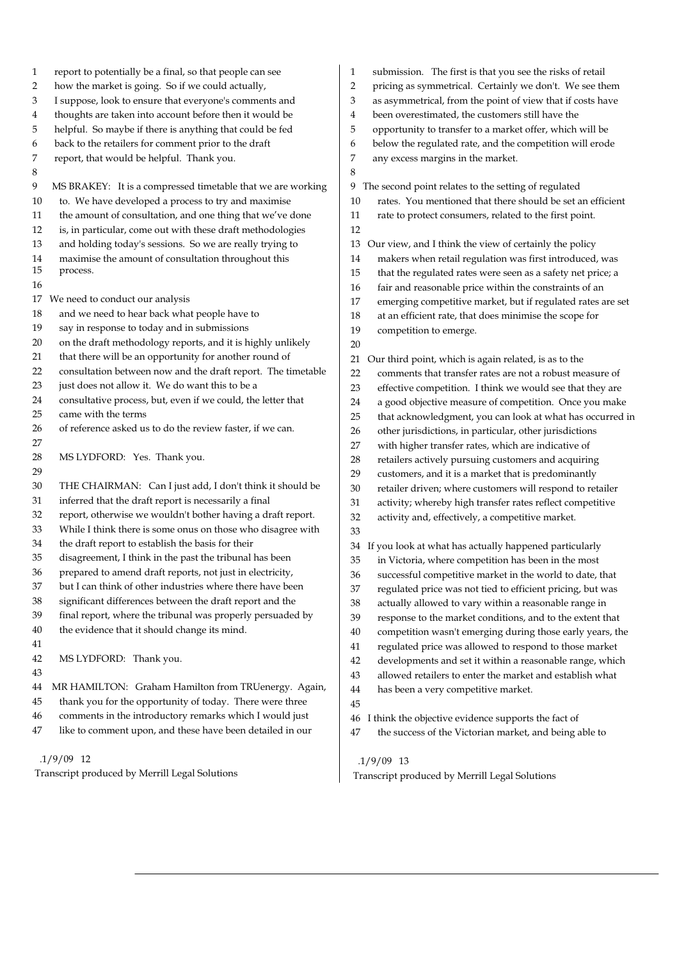| $\mathbf{1}$ | report to potentially be a final, so that people can see     | submission. The first is that you see the risks of retail<br>1    |
|--------------|--------------------------------------------------------------|-------------------------------------------------------------------|
| 2            | how the market is going. So if we could actually,            | pricing as symmetrical. Certainly we don't. We see them<br>2      |
| 3            | I suppose, look to ensure that everyone's comments and       | as asymmetrical, from the point of view that if costs have<br>3   |
| 4            | thoughts are taken into account before then it would be      | been overestimated, the customers still have the<br>4             |
| 5            | helpful. So maybe if there is anything that could be fed     | opportunity to transfer to a market offer, which will be<br>5     |
| 6            | back to the retailers for comment prior to the draft         | below the regulated rate, and the competition will erode<br>6     |
| 7            | report, that would be helpful. Thank you.                    | any excess margins in the market.<br>7                            |
| 8            |                                                              | 8                                                                 |
| 9            | MS BRAKEY: It is a compressed timetable that we are working  | 9<br>The second point relates to the setting of regulated         |
| 10           | to. We have developed a process to try and maximise          | rates. You mentioned that there should be set an efficient<br>10  |
| 11           | the amount of consultation, and one thing that we've done    | 11<br>rate to protect consumers, related to the first point.      |
| 12           | is, in particular, come out with these draft methodologies   | 12                                                                |
| 13           | and holding today's sessions. So we are really trying to     | Our view, and I think the view of certainly the policy<br>13      |
| 14           | maximise the amount of consultation throughout this          | makers when retail regulation was first introduced, was<br>14     |
| 15           | process.                                                     | 15<br>that the regulated rates were seen as a safety net price; a |
| 16           |                                                              | fair and reasonable price within the constraints of an<br>16      |
| 17           | We need to conduct our analysis                              | emerging competitive market, but if regulated rates are set<br>17 |
| 18           | and we need to hear back what people have to                 | 18<br>at an efficient rate, that does minimise the scope for      |
| 19           | say in response to today and in submissions                  | 19<br>competition to emerge.                                      |
| 20           | on the draft methodology reports, and it is highly unlikely  | 20                                                                |
| 21           | that there will be an opportunity for another round of       | Our third point, which is again related, is as to the<br>21       |
| 22           | consultation between now and the draft report. The timetable | comments that transfer rates are not a robust measure of<br>22    |
| 23           | just does not allow it. We do want this to be a              | 23<br>effective competition. I think we would see that they are   |
| 24           | consultative process, but, even if we could, the letter that | a good objective measure of competition. Once you make<br>24      |
| 25           | came with the terms                                          | 25<br>that acknowledgment, you can look at what has occurred in   |
| 26           | of reference asked us to do the review faster, if we can.    | other jurisdictions, in particular, other jurisdictions<br>26     |
| 27           |                                                              | with higher transfer rates, which are indicative of<br>27         |
| 28           | MS LYDFORD: Yes. Thank you.                                  | retailers actively pursuing customers and acquiring<br>28         |
| 29           |                                                              | 29<br>customers, and it is a market that is predominantly         |
| 30           | THE CHAIRMAN: Can I just add, I don't think it should be     | 30<br>retailer driven; where customers will respond to retailer   |
| 31           | inferred that the draft report is necessarily a final        | activity; whereby high transfer rates reflect competitive<br>31   |
| 32           | report, otherwise we wouldn't bother having a draft report.  | activity and, effectively, a competitive market.<br>32            |
| 33           | While I think there is some onus on those who disagree with  | 33                                                                |
| 34           | the draft report to establish the basis for their            |                                                                   |
| 35           | disagreement, I think in the past the tribunal has been      | If you look at what has actually happened particularly<br>34      |
| 36           | prepared to amend draft reports, not just in electricity,    | 35<br>in Victoria, where competition has been in the most         |
| 37           | but I can think of other industries where there have been    | successful competitive market in the world to date, that<br>36    |
| 38           | significant differences between the draft report and the     | regulated price was not tied to efficient pricing, but was<br>37  |
| 39           | final report, where the tribunal was properly persuaded by   | 38<br>actually allowed to vary within a reasonable range in       |
|              |                                                              | 39<br>response to the market conditions, and to the extent that   |
| 40           | the evidence that it should change its mind.                 | 40<br>competition wasn't emerging during those early years, the   |
| 41           |                                                              | regulated price was allowed to respond to those market<br>41      |
| 42           | MS LYDFORD: Thank you.                                       | 42<br>developments and set it within a reasonable range, which    |
| 43           |                                                              | 43<br>allowed retailers to enter the market and establish what    |
| 44           | MR HAMILTON: Graham Hamilton from TRUenergy. Again,          | 44<br>has been a very competitive market.                         |
| 45           | thank you for the opportunity of today. There were three     | 45                                                                |
| 46           | comments in the introductory remarks which I would just      | I think the objective evidence supports the fact of<br>46         |
| 47           | like to comment upon, and these have been detailed in our    | the success of the Victorian market, and being able to<br>47      |
|              |                                                              |                                                                   |

Transcript produced by Merrill Legal Solutions

.1/9/09 13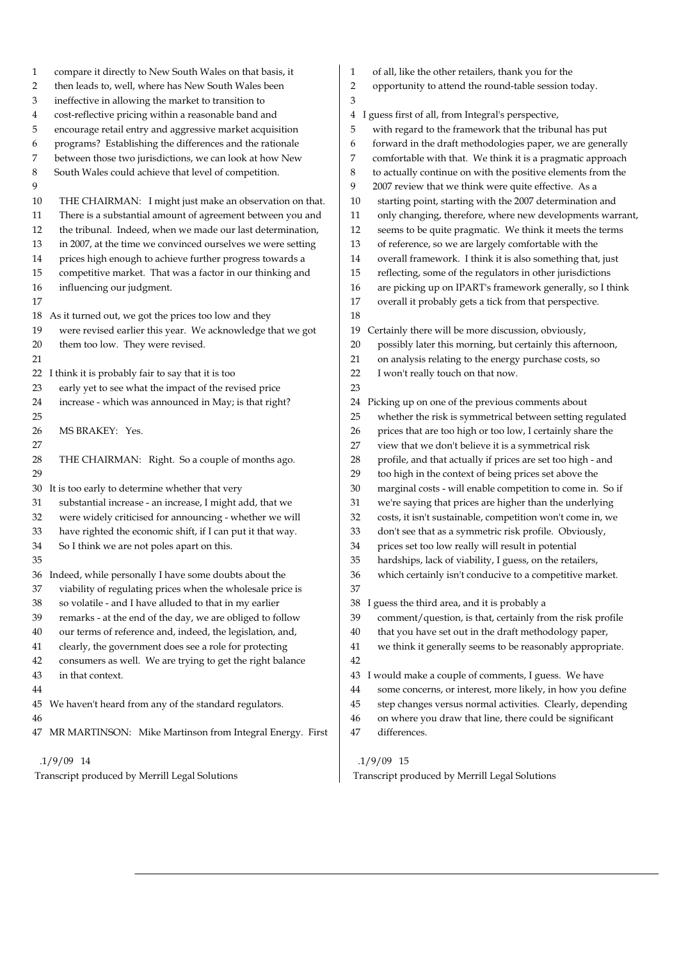| $\mathbf{1}$ | compare it directly to New South Wales on that basis, it    | 1              | of all, like the other retailers, thank you for the         |
|--------------|-------------------------------------------------------------|----------------|-------------------------------------------------------------|
| 2            | then leads to, well, where has New South Wales been         | $\overline{2}$ | opportunity to attend the round-table session today.        |
| 3            | ineffective in allowing the market to transition to         | 3              |                                                             |
| 4            | cost-reflective pricing within a reasonable band and        | 4              | I guess first of all, from Integral's perspective,          |
| 5            | encourage retail entry and aggressive market acquisition    | 5              | with regard to the framework that the tribunal has put      |
| 6            | programs? Establishing the differences and the rationale    | 6              | forward in the draft methodologies paper, we are generally  |
| 7            | between those two jurisdictions, we can look at how New     | 7              | comfortable with that. We think it is a pragmatic approach  |
| 8            | South Wales could achieve that level of competition.        | 8              | to actually continue on with the positive elements from the |
| 9            |                                                             | 9              | 2007 review that we think were quite effective. As a        |
| 10           | THE CHAIRMAN: I might just make an observation on that.     | 10             | starting point, starting with the 2007 determination and    |
| 11           | There is a substantial amount of agreement between you and  | 11             | only changing, therefore, where new developments warrant,   |
| 12           | the tribunal. Indeed, when we made our last determination,  | 12             | seems to be quite pragmatic. We think it meets the terms    |
| 13           | in 2007, at the time we convinced ourselves we were setting | 13             | of reference, so we are largely comfortable with the        |
| 14           | prices high enough to achieve further progress towards a    | 14             | overall framework. I think it is also something that, just  |
| 15           | competitive market. That was a factor in our thinking and   | 15             | reflecting, some of the regulators in other jurisdictions   |
| 16           | influencing our judgment.                                   | 16             | are picking up on IPART's framework generally, so I think   |
| 17           |                                                             | 17             | overall it probably gets a tick from that perspective.      |
| 18           | As it turned out, we got the prices too low and they        | 18             |                                                             |
| 19           | were revised earlier this year. We acknowledge that we got  | 19             | Certainly there will be more discussion, obviously,         |
| 20           | them too low. They were revised.                            | 20             | possibly later this morning, but certainly this afternoon,  |
| 21           |                                                             | 21             | on analysis relating to the energy purchase costs, so       |
| 22           |                                                             | 22             | I won't really touch on that now.                           |
|              | think it is probably fair to say that it is too             | 23             |                                                             |
| 23           | early yet to see what the impact of the revised price       |                |                                                             |
| 24           | increase - which was announced in May; is that right?       | 24             | Picking up on one of the previous comments about            |
| 25           |                                                             | 25             | whether the risk is symmetrical between setting regulated   |
| 26           | MS BRAKEY: Yes.                                             | 26             | prices that are too high or too low, I certainly share the  |
| 27           |                                                             | 27             | view that we don't believe it is a symmetrical risk         |
| 28           | THE CHAIRMAN: Right. So a couple of months ago.             | 28             | profile, and that actually if prices are set too high - and |
| 29           |                                                             | 29             | too high in the context of being prices set above the       |
| 30           | It is too early to determine whether that very              | 30             | marginal costs - will enable competition to come in. So if  |
| 31           | substantial increase - an increase, I might add, that we    | 31             | we're saying that prices are higher than the underlying     |
| 32           | were widely criticised for announcing - whether we will     | 32             | costs, it isn't sustainable, competition won't come in, we  |
| 33           | have righted the economic shift, if I can put it that way.  | 33             | don't see that as a symmetric risk profile. Obviously,      |
| 34           | So I think we are not poles apart on this.                  | 34             | prices set too low really will result in potential          |
| 35           |                                                             | 35             | hardships, lack of viability, I guess, on the retailers,    |
|              | 36 Indeed, while personally I have some doubts about the    | 36             | which certainly isn't conducive to a competitive market.    |
| 37           | viability of regulating prices when the wholesale price is  | 37             |                                                             |
| 38           | so volatile - and I have alluded to that in my earlier      | 38             | I guess the third area, and it is probably a                |
| 39           | remarks - at the end of the day, we are obliged to follow   | 39             | comment/question, is that, certainly from the risk profile  |
| 40           | our terms of reference and, indeed, the legislation, and,   | 40             | that you have set out in the draft methodology paper,       |
| 41           | clearly, the government does see a role for protecting      | 41             | we think it generally seems to be reasonably appropriate.   |
| 42           | consumers as well. We are trying to get the right balance   | 42             |                                                             |
| 43           | in that context.                                            | 43             | I would make a couple of comments, I guess. We have         |
| 44           |                                                             | 44             | some concerns, or interest, more likely, in how you define  |
| 45           | We haven't heard from any of the standard regulators.       | 45             | step changes versus normal activities. Clearly, depending   |
| 46           |                                                             | 46             | on where you draw that line, there could be significant     |
|              | 47 MR MARTINSON: Mike Martinson from Integral Energy. First | 47             | differences.                                                |
|              | $.1/9/09$ 14                                                |                | $.1/9/09$ 15                                                |

 $\overline{\phantom{a}}$ 

Transcript produced by Merrill Legal Solutions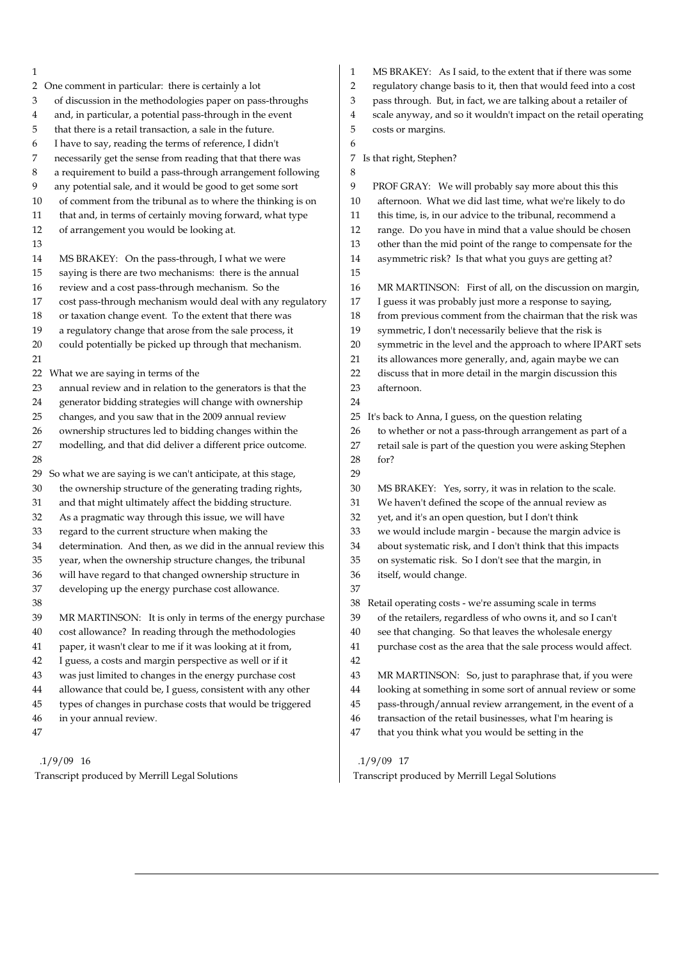| 1                                                                  | MS BRAKEY: As I said, to the extent that if there was some<br>$\mathbf{1}$ |
|--------------------------------------------------------------------|----------------------------------------------------------------------------|
| One comment in particular: there is certainly a lot                | regulatory change basis to it, then that would feed into a cost            |
| 2                                                                  | $\overline{2}$                                                             |
| of discussion in the methodologies paper on pass-throughs          | pass through. But, in fact, we are talking about a retailer of             |
| 3                                                                  | 3                                                                          |
| and, in particular, a potential pass-through in the event          | scale anyway, and so it wouldn't impact on the retail operating            |
| 4                                                                  | 4                                                                          |
| that there is a retail transaction, a sale in the future.          | 5                                                                          |
| 5                                                                  | costs or margins.                                                          |
| I have to say, reading the terms of reference, I didn't<br>6       | 6                                                                          |
| 7                                                                  | Is that right, Stephen?                                                    |
| necessarily get the sense from reading that that there was         | 7                                                                          |
| a requirement to build a pass-through arrangement following<br>8   | 8                                                                          |
| any potential sale, and it would be good to get some sort          | 9                                                                          |
| 9                                                                  | PROF GRAY: We will probably say more about this this                       |
| of comment from the tribunal as to where the thinking is on        | afternoon. What we did last time, what we're likely to do                  |
| 10                                                                 | 10                                                                         |
| 11                                                                 | 11                                                                         |
| that and, in terms of certainly moving forward, what type          | this time, is, in our advice to the tribunal, recommend a                  |
| 12                                                                 | 12                                                                         |
| of arrangement you would be looking at.                            | range. Do you have in mind that a value should be chosen                   |
| 13                                                                 | 13<br>other than the mid point of the range to compensate for the          |
| 14                                                                 | asymmetric risk? Is that what you guys are getting at?                     |
| MS BRAKEY: On the pass-through, I what we were                     | 14                                                                         |
| 15<br>saying is there are two mechanisms: there is the annual      | 15                                                                         |
| review and a cost pass-through mechanism. So the                   | 16                                                                         |
| 16                                                                 | MR MARTINSON: First of all, on the discussion on margin,                   |
| cost pass-through mechanism would deal with any regulatory         | 17                                                                         |
| 17                                                                 | I guess it was probably just more a response to saying,                    |
| 18                                                                 | from previous comment from the chairman that the risk was                  |
| or taxation change event. To the extent that there was             | 18                                                                         |
| 19                                                                 | 19                                                                         |
| a regulatory change that arose from the sale process, it           | symmetric, I don't necessarily believe that the risk is                    |
| could potentially be picked up through that mechanism.             | 20                                                                         |
| 20                                                                 | symmetric in the level and the approach to where IPART sets                |
| 21                                                                 | its allowances more generally, and, again maybe we can<br>21               |
| 22                                                                 | discuss that in more detail in the margin discussion this                  |
| What we are saying in terms of the                                 | 22                                                                         |
| annual review and in relation to the generators is that the        | 23                                                                         |
| 23                                                                 | afternoon.                                                                 |
| generator bidding strategies will change with ownership<br>24      | 24                                                                         |
| changes, and you saw that in the 2009 annual review                | It's back to Anna, I guess, on the question relating                       |
| 25                                                                 | 25                                                                         |
| 26                                                                 | to whether or not a pass-through arrangement as part of a                  |
| ownership structures led to bidding changes within the             | 26                                                                         |
| $27\,$                                                             | retail sale is part of the question you were asking Stephen                |
| modelling, and that did deliver a different price outcome.         | 27                                                                         |
| 28                                                                 | for?<br>28                                                                 |
| So what we are saying is we can't anticipate, at this stage,<br>29 | 29                                                                         |
| 30                                                                 | 30                                                                         |
| the ownership structure of the generating trading rights,          | MS BRAKEY: Yes, sorry, it was in relation to the scale.                    |
| and that might ultimately affect the bidding structure.            | We haven't defined the scope of the annual review as                       |
| 31                                                                 | 31                                                                         |
| As a pragmatic way through this issue, we will have                | yet, and it's an open question, but I don't think                          |
| 32                                                                 | 32                                                                         |
| regard to the current structure when making the                    | 33                                                                         |
| 33                                                                 | we would include margin - because the margin advice is                     |
| determination. And then, as we did in the annual review this       | 34                                                                         |
| 34                                                                 | about systematic risk, and I don't think that this impacts                 |
| 35                                                                 | 35                                                                         |
| year, when the ownership structure changes, the tribunal           | on systematic risk. So I don't see that the margin, in                     |
| will have regard to that changed ownership structure in            | $36\,$                                                                     |
| 36                                                                 | itself, would change.                                                      |
| 37<br>developing up the energy purchase cost allowance.            | 37                                                                         |
| 38                                                                 | Retail operating costs - we're assuming scale in terms<br>38               |
| $39\,$                                                             | 39                                                                         |
| MR MARTINSON: It is only in terms of the energy purchase           | of the retailers, regardless of who owns it, and so I can't                |
| cost allowance? In reading through the methodologies               | see that changing. So that leaves the wholesale energy                     |
| 40                                                                 | 40                                                                         |
| paper, it wasn't clear to me if it was looking at it from,         | 41                                                                         |
| 41                                                                 | purchase cost as the area that the sale process would affect.              |
| I guess, a costs and margin perspective as well or if it<br>42     | 42                                                                         |
| was just limited to changes in the energy purchase cost            | 43                                                                         |
| 43                                                                 | MR MARTINSON: So, just to paraphrase that, if you were                     |
| allowance that could be, I guess, consistent with any other        | looking at something in some sort of annual review or some                 |
| 44                                                                 | 44                                                                         |
| types of changes in purchase costs that would be triggered         | pass-through/annual review arrangement, in the event of a                  |
| 45                                                                 | 45                                                                         |
| 46                                                                 | 46                                                                         |
| in your annual review.                                             | transaction of the retail businesses, what I'm hearing is                  |
| 47                                                                 | 47<br>that you think what you would be setting in the                      |
|                                                                    |                                                                            |
| $.1/9/09$ 16                                                       | $.1/9/09$ 17                                                               |

Transcript produced by Merrill Legal Solutions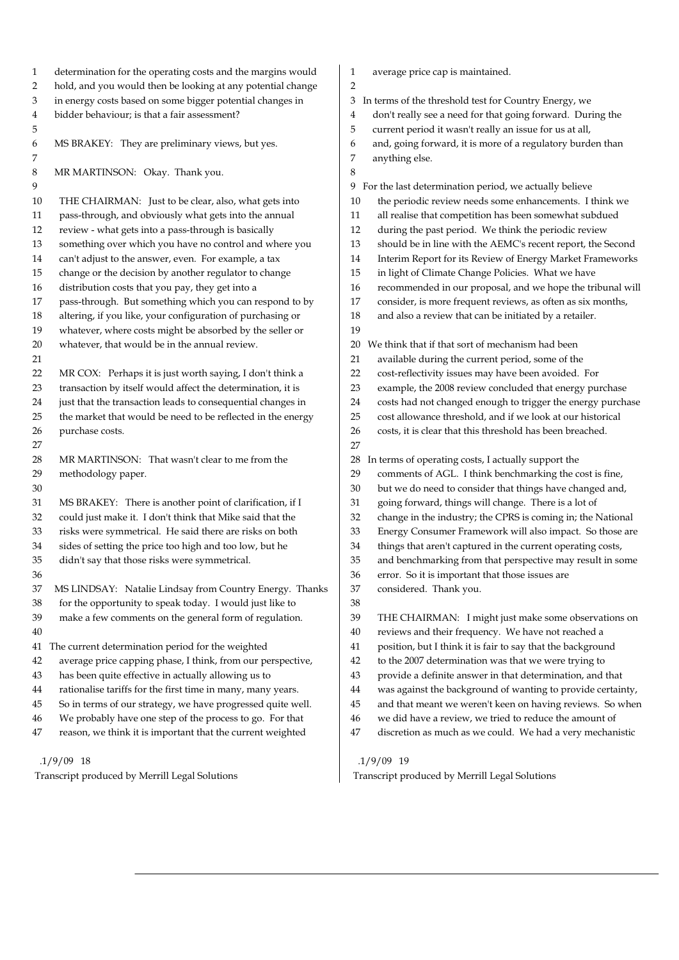| 1              | determination for the operating costs and the margins would | 1              | average price       |
|----------------|-------------------------------------------------------------|----------------|---------------------|
| $\overline{2}$ | hold, and you would then be looking at any potential change | $\overline{2}$ |                     |
| $\,3$          | in energy costs based on some bigger potential changes in   | 3              | In terms of the th  |
| 4              | bidder behaviour; is that a fair assessment?                | 4              | don't really see    |
| 5              |                                                             | 5              | current period      |
| 6              | MS BRAKEY: They are preliminary views, but yes.             | 6              | and, going for      |
| 7              |                                                             | 7              | anything else.      |
| 8              | MR MARTINSON: Okay. Thank you.                              | 8              |                     |
| 9              |                                                             | 9              | For the last deter  |
| 10             | THE CHAIRMAN: Just to be clear, also, what gets into        | 10             | the periodic r      |
| 11             | pass-through, and obviously what gets into the annual       | 11             | all realise tha     |
| 12             | review - what gets into a pass-through is basically         | 12             | during the pa       |
| 13             | something over which you have no control and where you      | 13             | should be in 1      |
| 14             | can't adjust to the answer, even. For example, a tax        | 14             | Interim Repo        |
| 15             | change or the decision by another regulator to change       | 15             | in light of Cli     |
| 16             | distribution costs that you pay, they get into a            | 16             | recommende          |
| 17             | pass-through. But something which you can respond to by     | 17             | consider, is n      |
| 18             | altering, if you like, your configuration of purchasing or  | 18             | and also a rev      |
| 19             | whatever, where costs might be absorbed by the seller or    | 19             |                     |
| 20             | whatever, that would be in the annual review.               | 20             | We think that if    |
| 21             |                                                             | 21             | available dur       |
| 22             | MR COX: Perhaps it is just worth saying, I don't think a    | 22             | cost-reflectivi     |
| 23             | transaction by itself would affect the determination, it is | 23             | example, the        |
| 24             | just that the transaction leads to consequential changes in | 24             | costs had not       |
| 25             | the market that would be need to be reflected in the energy | 25             | cost allowand       |
| 26             | purchase costs.                                             | 26             | costs, it is clea   |
| 27             |                                                             | 27             |                     |
| 28             | MR MARTINSON: That wasn't clear to me from the              | 28             | In terms of oper    |
| 29             | methodology paper.                                          | 29             | comments of         |
| 30             |                                                             | 30             | but we do ne        |
| 31             | MS BRAKEY: There is another point of clarification, if I    | 31             | going forwar        |
| 32             | could just make it. I don't think that Mike said that the   | 32             | change in the       |
| 33             | risks were symmetrical. He said there are risks on both     | 33             | <b>Energy Const</b> |
| 34             | sides of setting the price too high and too low, but he     | 34             | things that ar      |
| 35             | didn't say that those risks were symmetrical.               | 35             | and benchma         |
| 36             |                                                             | 36             | error. So it is     |
| 37             | MS LINDSAY: Natalie Lindsay from Country Energy. Thanks     | 37             | considered.         |
| 38             | for the opportunity to speak today. I would just like to    | 38             |                     |
| 39             | make a few comments on the general form of regulation.      | 39             | THE CHAIRI          |
| 40             |                                                             | 40             | reviews and t       |
| 41             | The current determination period for the weighted           | 41             | position, but       |
| 42             | average price capping phase, I think, from our perspective, | 42             | to the 2007 de      |
| 43             | has been quite effective in actually allowing us to         | 43             | provide a def       |
| 44             | rationalise tariffs for the first time in many, many years. | 44             | was against t       |
| 45             | So in terms of our strategy, we have progressed quite well. | 45             | and that mea        |
| 46             | We probably have one step of the process to go. For that    | 46             | we did have         |
| 47             | reason, we think it is important that the current weighted  | 47             | discretion as       |
|                | $.1/9/09$ 18                                                |                | 1/9/09 19           |
|                |                                                             |                |                     |

e cap is maintained.

threshold test for Country Energy, we

- ee a need for that going forward. During the
- od it wasn't really an issue for us at all,
- brward, it is more of a regulatory burden than
	-
- ermination period, we actually believe review needs some enhancements. I think we
- at competition has been somewhat subdued
- past period. We think the periodic review
- n line with the AEMC's recent report, the Second
- oort for its Review of Energy Market Frameworks
- Ilimate Change Policies. What we have
- led in our proposal, and we hope the tribunal will
- more frequent reviews, as often as six months,
- eview that can be initiated by a retailer.

if that sort of mechanism had been

- aring the current period, some of the
- vity issues may have been avoided. For
- e 2008 review concluded that energy purchase
- ot changed enough to trigger the energy purchase
- nce threshold, and if we look at our historical
- lear that this threshold has been breached.
	- erating costs, I actually support the
- of AGL. I think benchmarking the cost is fine,
- need to consider that things have changed and,
- ard, things will change. There is a lot of
- he industry; the CPRS is coming in; the National
- sumer Framework will also impact. So those are
- aren't captured in the current operating costs,
- narking from that perspective may result in some
- is important that those issues are
- Thank you.
- RMAN: I might just make some observations on
- d their frequency. We have not reached a
- It I think it is fair to say that the background
- determination was that we were trying to
- efinite answer in that determination, and that
- the background of wanting to provide certainty,
- eant we weren't keen on having reviews. So when
- e a review, we tried to reduce the amount of
- s much as we could. We had a very mechanistic

.1/9/09 19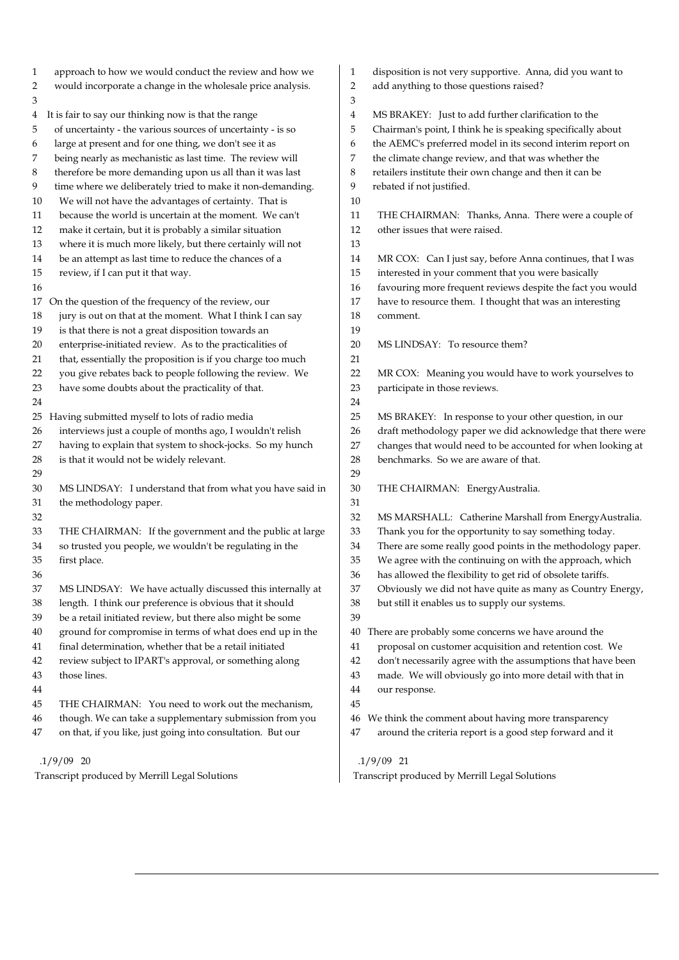| $\mathbf{1}$ | approach to how we would conduct the review and how we      | 1              | disposition is not very supportive. Anna, did you want to   |
|--------------|-------------------------------------------------------------|----------------|-------------------------------------------------------------|
| 2            | would incorporate a change in the wholesale price analysis. | $\overline{2}$ | add anything to those questions raised?                     |
| 3            |                                                             | 3              |                                                             |
|              | 4 It is fair to say our thinking now is that the range      | 4              | MS BRAKEY: Just to add further clarification to the         |
| 5            | of uncertainty - the various sources of uncertainty - is so | 5              | Chairman's point, I think he is speaking specifically about |
| 6            | large at present and for one thing, we don't see it as      | 6              | the AEMC's preferred model in its second interim report on  |
| 7            | being nearly as mechanistic as last time. The review will   | 7              | the climate change review, and that was whether the         |
| 8            | therefore be more demanding upon us all than it was last    | 8              | retailers institute their own change and then it can be     |
| 9            | time where we deliberately tried to make it non-demanding.  | 9              | rebated if not justified.                                   |
| 10           | We will not have the advantages of certainty. That is       | 10             |                                                             |
| 11           | because the world is uncertain at the moment. We can't      | 11             | THE CHAIRMAN: Thanks, Anna. There were a couple of          |
| 12           | make it certain, but it is probably a similar situation     | 12             | other issues that were raised.                              |
| 13           | where it is much more likely, but there certainly will not  | 13             |                                                             |
| 14           | be an attempt as last time to reduce the chances of a       | 14             | MR COX: Can I just say, before Anna continues, that I was   |
| 15           | review, if I can put it that way.                           | 15             | interested in your comment that you were basically          |
| 16           |                                                             | 16             | favouring more frequent reviews despite the fact you would  |
|              | 17 On the question of the frequency of the review, our      | 17             | have to resource them. I thought that was an interesting    |
| 18           | jury is out on that at the moment. What I think I can say   | 18             | comment.                                                    |
| 19           | is that there is not a great disposition towards an         | 19             |                                                             |
| 20           | enterprise-initiated review. As to the practicalities of    | 20             | MS LINDSAY: To resource them?                               |
| 21           | that, essentially the proposition is if you charge too much | 21             |                                                             |
| 22           | you give rebates back to people following the review. We    | 22             | MR COX: Meaning you would have to work yourselves to        |
| 23           | have some doubts about the practicality of that.            | 23             | participate in those reviews.                               |
| 24           |                                                             | 24             |                                                             |
|              |                                                             | 25             |                                                             |
|              | 25 Having submitted myself to lots of radio media           |                | MS BRAKEY: In response to your other question, in our       |
| 26           | interviews just a couple of months ago, I wouldn't relish   | 26             | draft methodology paper we did acknowledge that there were  |
| 27           | having to explain that system to shock-jocks. So my hunch   | 27             | changes that would need to be accounted for when looking at |
| 28           | is that it would not be widely relevant.                    | 28             | benchmarks. So we are aware of that.                        |
| 29           |                                                             | 29             |                                                             |
| 30           | MS LINDSAY: I understand that from what you have said in    | 30             | THE CHAIRMAN: EnergyAustralia.                              |
| 31           | the methodology paper.                                      | 31             |                                                             |
| 32           |                                                             | 32             | MS MARSHALL: Catherine Marshall from EnergyAustralia.       |
| 33           | THE CHAIRMAN: If the government and the public at large     | 33             | Thank you for the opportunity to say something today.       |
| 34           | so trusted you people, we wouldn't be regulating in the     | 34             | There are some really good points in the methodology paper. |
| 35           | first place.                                                | 35             | We agree with the continuing on with the approach, which    |
| 36           |                                                             | 36             | has allowed the flexibility to get rid of obsolete tariffs. |
| 37           | MS LINDSAY: We have actually discussed this internally at   | 37             | Obviously we did not have quite as many as Country Energy,  |
| 38           | length. I think our preference is obvious that it should    | 38             | but still it enables us to supply our systems.              |
| 39           | be a retail initiated review, but there also might be some  | 39             |                                                             |
| 40           | ground for compromise in terms of what does end up in the   | 40             | There are probably some concerns we have around the         |
| 41           | final determination, whether that be a retail initiated     | 41             | proposal on customer acquisition and retention cost. We     |
| 42           | review subject to IPART's approval, or something along      | 42             | don't necessarily agree with the assumptions that have been |
| 43           | those lines.                                                | 43             | made. We will obviously go into more detail with that in    |
| 44           |                                                             | 44             | our response.                                               |
| 45           | THE CHAIRMAN: You need to work out the mechanism,           | 45             |                                                             |
| 46           | though. We can take a supplementary submission from you     | 46             | We think the comment about having more transparency         |
| 47           | on that, if you like, just going into consultation. But our | 47             | around the criteria report is a good step forward and it    |
|              | $.1/9/09$ 20                                                |                | $.1/9/09$ 21                                                |
|              | Transcript produced by Merrill Legal Solutions              |                | Transcript produced by Merrill Legal Solutions              |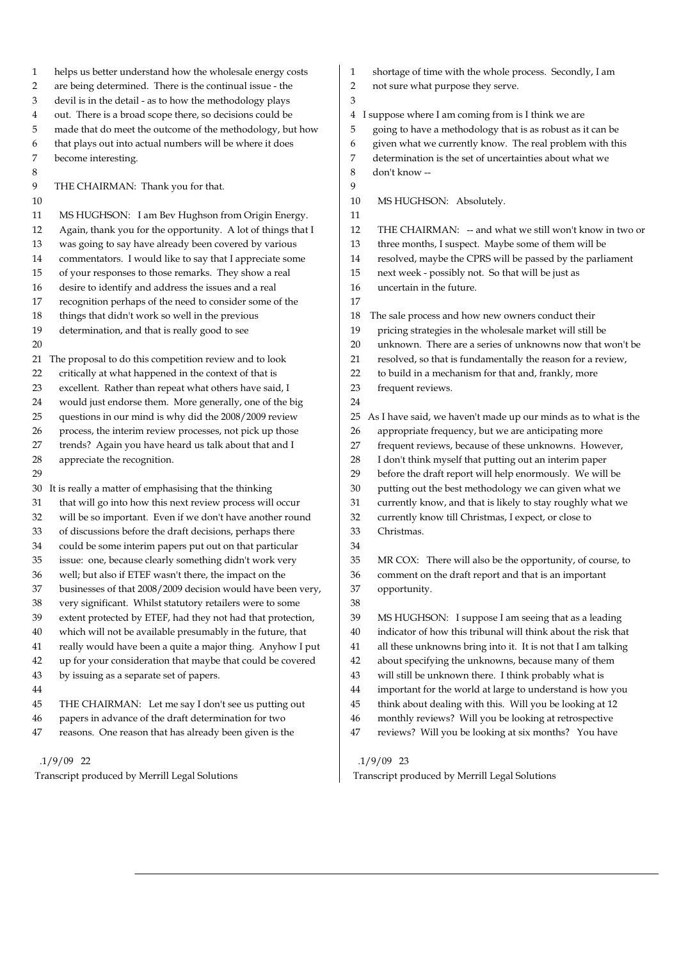1 helps us better understand how the wholesale energy costs 2 are being determined. There is the continual issue - the 3 devil is in the detail - as to how the methodology plays 4 out. There is a broad scope there, so decisions could be 5 made that do meet the outcome of the methodology, but how 6 that plays out into actual numbers will be where it does 7 become interesting. 8 9 THE CHAIRMAN: Thank you for that. 10 11 MS HUGHSON: I am Bev Hughson from Origin Energy. 12 Again, thank you for the opportunity. A lot of things that I 13 was going to say have already been covered by various 14 commentators. I would like to say that I appreciate some 15 of your responses to those remarks. They show a real 16 desire to identify and address the issues and a real 17 recognition perhaps of the need to consider some of the 18 things that didn't work so well in the previous 19 determination, and that is really good to see 20 21 The proposal to do this competition review and to look 22 critically at what happened in the context of that is 23 excellent. Rather than repeat what others have said, I 24 would just endorse them. More generally, one of the big 25 questions in our mind is why did the 2008/2009 review 26 process, the interim review processes, not pick up those 27 trends? Again you have heard us talk about that and I 28 appreciate the recognition. 29 30 It is really a matter of emphasising that the thinking 31 that will go into how this next review process will occur 32 will be so important. Even if we don't have another round 33 of discussions before the draft decisions, perhaps there 34 could be some interim papers put out on that particular 35 issue: one, because clearly something didn't work very 36 well; but also if ETEF wasn't there, the impact on the 37 businesses of that 2008/2009 decision would have been very, 38 very significant. Whilst statutory retailers were to some 39 extent protected by ETEF, had they not had that protection, 40 which will not be available presumably in the future, that 41 really would have been a quite a major thing. Anyhow I put 42 up for your consideration that maybe that could be covered 43 by issuing as a separate set of papers. 44 45 THE CHAIRMAN: Let me say I don't see us putting out 46 papers in advance of the draft determination for two 47 reasons. One reason that has already been given is the 3  $\overline{Q}$ 11 17 24 34 38

 .1/9/09 22 Transcript produced by Merrill Legal Solutions

- 1 shortage of time with the whole process. Secondly, I am
- 2 not sure what purpose they serve.
- 4 I suppose where I am coming from is I think we are
- 5 going to have a methodology that is as robust as it can be
- 6 given what we currently know. The real problem with this
- 7 determination is the set of uncertainties about what we
- 8 don't know --
- 10 MS HUGHSON: Absolutely.
	-
- 12 THE CHAIRMAN: -- and what we still won't know in two or
- 13 three months, I suspect. Maybe some of them will be
- 14 resolved, maybe the CPRS will be passed by the parliament
- 15 next week possibly not. So that will be just as
- 16 uncertain in the future.
- 18 The sale process and how new owners conduct their
- 19 pricing strategies in the wholesale market will still be
- 20 unknown. There are a series of unknowns now that won't be
- 21 resolved, so that is fundamentally the reason for a review,
- 22 to build in a mechanism for that and, frankly, more
- 23 frequent reviews.

25 As I have said, we haven't made up our minds as to what is the

- 26 appropriate frequency, but we are anticipating more
- 27 frequent reviews, because of these unknowns. However,
- 28 I don't think myself that putting out an interim paper
- 29 before the draft report will help enormously. We will be
- 30 putting out the best methodology we can given what we
- 31 currently know, and that is likely to stay roughly what we
- 32 currently know till Christmas, I expect, or close to
- 33 Christmas.

35 MR COX: There will also be the opportunity, of course, to 36 comment on the draft report and that is an important 37 opportunity.

- 39 MS HUGHSON: I suppose I am seeing that as a leading 40 indicator of how this tribunal will think about the risk that 41 all these unknowns bring into it. It is not that I am talking 42 about specifying the unknowns, because many of them
- 43 will still be unknown there. I think probably what is
- 
- 44 important for the world at large to understand is how you
- 45 think about dealing with this. Will you be looking at 12
- 46 monthly reviews? Will you be looking at retrospective
- 47 reviews? Will you be looking at six months? You have

#### .1/9/09 23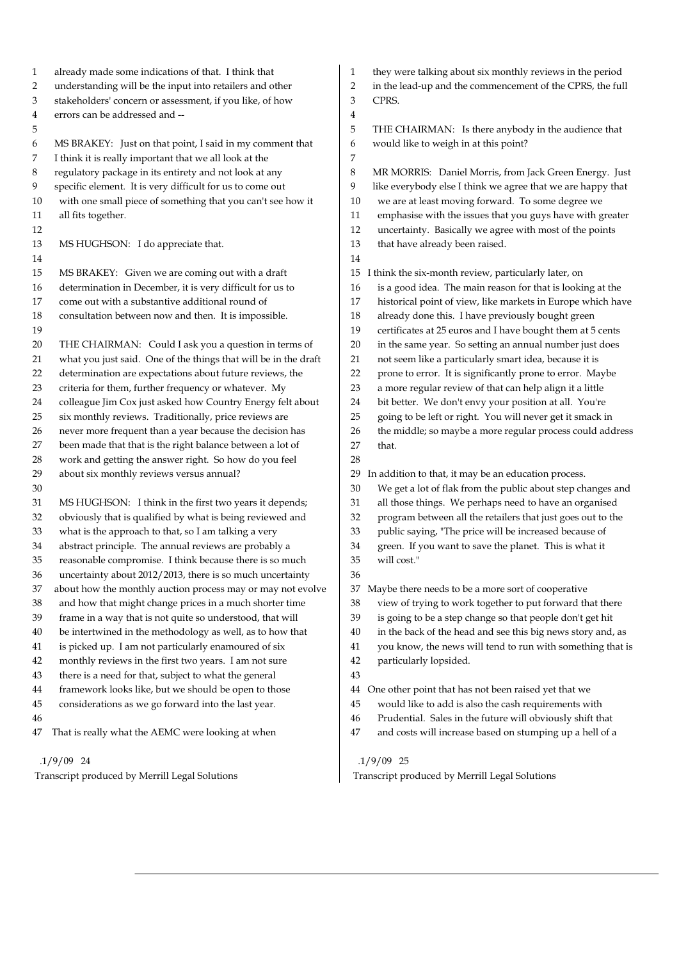1 already made some indications of that. I think that 2 understanding will be the input into retailers and other 3 stakeholders' concern or assessment, if you like, of how 4 errors can be addressed and -- 5 6 MS BRAKEY: Just on that point, I said in my comment that 7 I think it is really important that we all look at the 8 regulatory package in its entirety and not look at any 9 specific element. It is very difficult for us to come out 10 with one small piece of something that you can't see how it 11 all fits together. 12 13 MS HUGHSON: I do appreciate that. 14 15 MS BRAKEY: Given we are coming out with a draft 16 determination in December, it is very difficult for us to 17 come out with a substantive additional round of 18 consultation between now and then. It is impossible. 19 20 THE CHAIRMAN: Could I ask you a question in terms of 21 what you just said. One of the things that will be in the draft 22 determination are expectations about future reviews, the 23 criteria for them, further frequency or whatever. My 24 colleague Jim Cox just asked how Country Energy felt about 25 six monthly reviews. Traditionally, price reviews are 26 never more frequent than a year because the decision has 27 been made that that is the right balance between a lot of 28 work and getting the answer right. So how do you feel 29 about six monthly reviews versus annual? 30 31 MS HUGHSON: I think in the first two years it depends; 32 obviously that is qualified by what is being reviewed and 33 what is the approach to that, so I am talking a very 34 abstract principle. The annual reviews are probably a 35 reasonable compromise. I think because there is so much 36 uncertainty about 2012/2013, there is so much uncertainty 37 about how the monthly auction process may or may not evolve 38 and how that might change prices in a much shorter time 39 frame in a way that is not quite so understood, that will 40 be intertwined in the methodology as well, as to how that 41 is picked up. I am not particularly enamoured of six 42 monthly reviews in the first two years. I am not sure 43 there is a need for that, subject to what the general 44 framework looks like, but we should be open to those 45 considerations as we go forward into the last year. 46 47 That is really what the AEMC were looking at when 3 CPRS. 4 7 14 27 that. 28 36 43

### .1/9/09 24

Transcript produced by Merrill Legal Solutions

1 they were talking about six monthly reviews in the period 2 in the lead-up and the commencement of the CPRS, the full

5 THE CHAIRMAN: Is there anybody in the audience that 6 would like to weigh in at this point?

8 MR MORRIS: Daniel Morris, from Jack Green Energy. Just 9 like everybody else I think we agree that we are happy that 10 we are at least moving forward. To some degree we 11 emphasise with the issues that you guys have with greater 12 uncertainty. Basically we agree with most of the points 13 that have already been raised. 15 I think the six-month review, particularly later, on 16 is a good idea. The main reason for that is looking at the 17 historical point of view, like markets in Europe which have 18 already done this. I have previously bought green 19 certificates at 25 euros and I have bought them at 5 cents 20 in the same year. So setting an annual number just does 21 not seem like a particularly smart idea, because it is 22 prone to error. It is significantly prone to error. Maybe 23 a more regular review of that can help align it a little 24 bit better. We don't envy your position at all. You're 25 going to be left or right. You will never get it smack in 26 the middle; so maybe a more regular process could address 29 In addition to that, it may be an education process. 30 We get a lot of flak from the public about step changes and 31 all those things. We perhaps need to have an organised 32 program between all the retailers that just goes out to the 33 public saying, "The price will be increased because of 34 green. If you want to save the planet. This is what it 35 will cost." 37 Maybe there needs to be a more sort of cooperative 38 view of trying to work together to put forward that there 39 is going to be a step change so that people don't get hit 40 in the back of the head and see this big news story and, as 41 you know, the news will tend to run with something that is 42 particularly lopsided. 44 One other point that has not been raised yet that we 45 would like to add is also the cash requirements with

- 46 Prudential. Sales in the future will obviously shift that
- 47 and costs will increase based on stumping up a hell of a

#### .1/9/09 25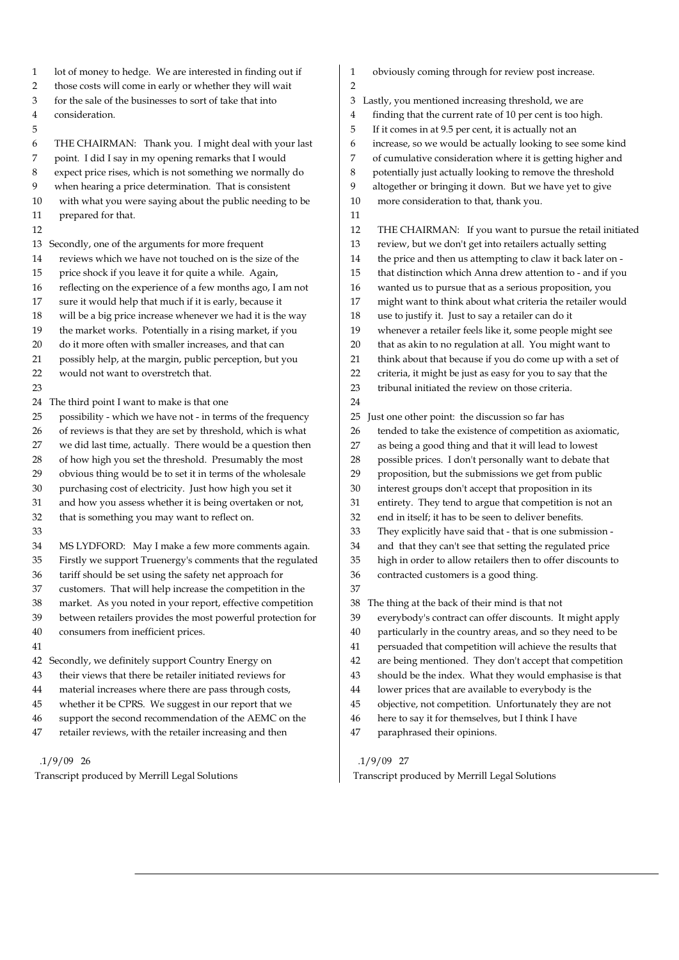1 lot of money to hedge. We are interested in finding out if 2 those costs will come in early or whether they will wait 3 for the sale of the businesses to sort of take that into 4 consideration. 5 6 THE CHAIRMAN: Thank you. I might deal with your last 7 point. I did I say in my opening remarks that I would 8 expect price rises, which is not something we normally do 9 when hearing a price determination. That is consistent 10 with what you were saying about the public needing to be 11 prepared for that. 12 13 Secondly, one of the arguments for more frequent 14 reviews which we have not touched on is the size of the 15 price shock if you leave it for quite a while. Again, 16 reflecting on the experience of a few months ago, I am not 17 sure it would help that much if it is early, because it 18 will be a big price increase whenever we had it is the way 19 the market works. Potentially in a rising market, if you 20 do it more often with smaller increases, and that can 21 possibly help, at the margin, public perception, but you 22 would not want to overstretch that. 23 24 The third point I want to make is that one 25 possibility - which we have not - in terms of the frequency 26 of reviews is that they are set by threshold, which is what 27 we did last time, actually. There would be a question then 28 of how high you set the threshold. Presumably the most 29 obvious thing would be to set it in terms of the wholesale 30 purchasing cost of electricity. Just how high you set it 31 and how you assess whether it is being overtaken or not, 32 that is something you may want to reflect on. 33 34 MS LYDFORD: May I make a few more comments again. 35 Firstly we support Truenergy's comments that the regulated 36 tariff should be set using the safety net approach for 37 customers. That will help increase the competition in the 38 market. As you noted in your report, effective competition 39 between retailers provides the most powerful protection for 40 consumers from inefficient prices. 41 42 Secondly, we definitely support Country Energy on 43 their views that there be retailer initiated reviews for 44 material increases where there are pass through costs, 45 whether it be CPRS. We suggest in our report that we 46 support the second recommendation of the AEMC on the 47 retailer reviews, with the retailer increasing and then .1/9/09 26 Transcript produced by Merrill Legal Solutions

1 obviously coming through for review post increase.

3 Lastly, you mentioned increasing threshold, we are

- 4 finding that the current rate of 10 per cent is too high.
- 5 If it comes in at 9.5 per cent, it is actually not an
- 6 increase, so we would be actually looking to see some kind
- 7 of cumulative consideration where it is getting higher and
- 8 potentially just actually looking to remove the threshold
- 9 altogether or bringing it down. But we have yet to give
- 10 more consideration to that, thank you.
- 11

2

- 12 THE CHAIRMAN: If you want to pursue the retail initiated
- 13 review, but we don't get into retailers actually setting
- 14 the price and then us attempting to claw it back later on -
- 15 that distinction which Anna drew attention to and if you
- 16 wanted us to pursue that as a serious proposition, you
- 17 might want to think about what criteria the retailer would
- 18 use to justify it. Just to say a retailer can do it
- 19 whenever a retailer feels like it, some people might see
- 20 that as akin to no regulation at all. You might want to
- 21 think about that because if you do come up with a set of 22 criteria, it might be just as easy for you to say that the
- 23 tribunal initiated the review on those criteria.
- 24
- 25 Just one other point: the discussion so far has
- 26 tended to take the existence of competition as axiomatic,
- 27 as being a good thing and that it will lead to lowest
- 28 possible prices. I don't personally want to debate that
- 29 proposition, but the submissions we get from public
- 30 interest groups don't accept that proposition in its
- 31 entirety. They tend to argue that competition is not an
- 32 end in itself; it has to be seen to deliver benefits.
- 33 They explicitly have said that that is one submission -
- 34 and that they can't see that setting the regulated price
- 35 high in order to allow retailers then to offer discounts to
- 36 contracted customers is a good thing. 37

38 The thing at the back of their mind is that not

- 39 everybody's contract can offer discounts. It might apply
- 40 particularly in the country areas, and so they need to be
- 41 persuaded that competition will achieve the results that
- 42 are being mentioned. They don't accept that competition
- 43 should be the index. What they would emphasise is that
- 44 lower prices that are available to everybody is the
- 45 objective, not competition. Unfortunately they are not
- 46 here to say it for themselves, but I think I have
- 47 paraphrased their opinions.

# .1/9/09 27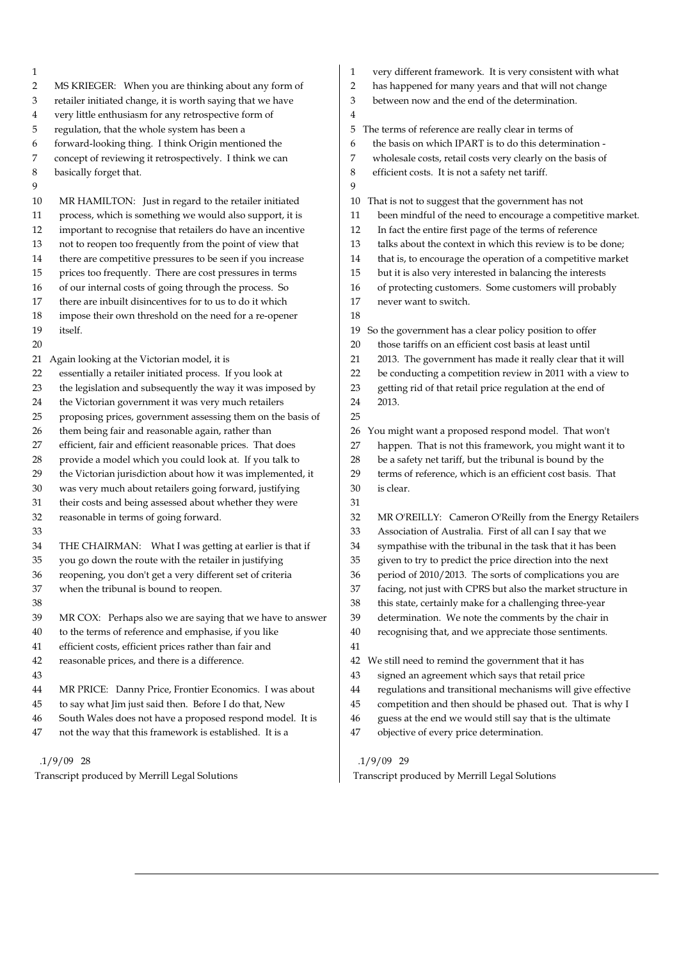| 1              |                                                             | 1              | very diff   |
|----------------|-------------------------------------------------------------|----------------|-------------|
| 2              | MS KRIEGER: When you are thinking about any form of         | $\overline{2}$ | has happ    |
| $\mathfrak{Z}$ | retailer initiated change, it is worth saying that we have  | 3              | between     |
| $\overline{4}$ | very little enthusiasm for any retrospective form of        | $\overline{4}$ |             |
| 5              | regulation, that the whole system has been a                | 5              | The terms   |
| 6              | forward-looking thing. I think Origin mentioned the         | 6              | the basis   |
| 7              | concept of reviewing it retrospectively. I think we can     | 7              | wholesal    |
| 8              | basically forget that.                                      | 8              | efficient   |
| 9              |                                                             | 9              |             |
| $10\,$         | MR HAMILTON: Just in regard to the retailer initiated       | 10             | That is no  |
| 11             | process, which is something we would also support, it is    | 11             | been m      |
| 12             | important to recognise that retailers do have an incentive  | 12             | In fact t   |
| 13             | not to reopen too frequently from the point of view that    | 13             | talks ab    |
| 14             | there are competitive pressures to be seen if you increase  | 14             | that is,    |
| 15             | prices too frequently. There are cost pressures in terms    | 15             | but it is   |
| 16             | of our internal costs of going through the process. So      | 16             | of prote    |
| 17             | there are inbuilt disincentives for to us to do it which    | 17             | never w     |
| 18             | impose their own threshold on the need for a re-opener      | 18             |             |
| 19             | itself.                                                     | 19             | So the gov  |
| 20             |                                                             | 20             | those ta    |
| 21             | Again looking at the Victorian model, it is                 | 21             | 2013. T     |
| 22             | essentially a retailer initiated process. If you look at    | 22             | be cond     |
| 23             | the legislation and subsequently the way it was imposed by  | 23             | getting     |
| 24             | the Victorian government it was very much retailers         | 24             | 2013.       |
| 25             | proposing prices, government assessing them on the basis of | 25             |             |
| 26             | them being fair and reasonable again, rather than           | 26             | You migh    |
| 27             | efficient, fair and efficient reasonable prices. That does  | 27             | happen      |
| 28             | provide a model which you could look at. If you talk to     | 28             | be a saf    |
| 29             | the Victorian jurisdiction about how it was implemented, it | 29             | terms o     |
| 30             | was very much about retailers going forward, justifying     | 30             | is clear.   |
| 31             | their costs and being assessed about whether they were      | 31             |             |
| 32             | reasonable in terms of going forward.                       | 32             | MR O'F      |
| 33             |                                                             | 33             | Associa     |
| 34             | THE CHAIRMAN: What I was getting at earlier is that if      | 34             | sympat      |
| 35             | you go down the route with the retailer in justifying       | 35             | given to    |
| 36             | reopening, you don't get a very different set of criteria   | 36             | period      |
| 37             | when the tribunal is bound to reopen.                       | 37             | facing,     |
| 38             |                                                             | 38             | this stat   |
| 39             | MR COX: Perhaps also we are saying that we have to answer   | 39             | determi     |
| 40             | to the terms of reference and emphasise, if you like        | 40             | recogni     |
| 41             | efficient costs, efficient prices rather than fair and      | 41             |             |
| 42             | reasonable prices, and there is a difference.               | 42             | We still no |
| 43             |                                                             | 43             | signed      |
| 44             | MR PRICE: Danny Price, Frontier Economics. I was about      | 44             | regulati    |
| 45             | to say what Jim just said then. Before I do that, New       | 45             | compet      |
| 46             | South Wales does not have a proposed respond model. It is   | 46             | guess a     |
| 47             | not the way that this framework is established. It is a     | 47             | objectiv    |
|                |                                                             |                |             |

 .1/9/09 28 Transcript produced by Merrill Legal Solutions

- different framework. It is very consistent with what
- happened for many years and that will not change
- veen now and the end of the determination.
	-
- rms of reference are really clear in terms of
- basis on which IPART is to do this determination -
- lesale costs, retail costs very clearly on the basis of
- ient costs. It is not a safety net tariff.
- is not to suggest that the government has not
- en mindful of the need to encourage a competitive market.
- fact the entire first page of the terms of reference
- ks about the context in which this review is to be done;
- It is, to encourage the operation of a competitive market
- it is also very interested in balancing the interests
- protecting customers. Some customers will probably
- ver want to switch.
- e government has a clear policy position to offer
- ese tariffs on an efficient cost basis at least until
- 13. The government has made it really clear that it will
- conducting a competition review in 2011 with a view to
- ting rid of that retail price regulation at the end of
- night want a proposed respond model. That won't
- ppen. That is not this framework, you might want it to
- a safety net tariff, but the tribunal is bound by the
- ms of reference, which is an efficient cost basis. That
- 32 MR O'REILLY: Cameron O'Reilly from the Energy Retailers sociation of Australia. First of all can I say that we npathise with the tribunal in the task that it has been en to try to predict the price direction into the next iod of 2010/2013. The sorts of complications you are ing, not just with CPRS but also the market structure in s state, certainly make for a challenging three-year sermination. We note the comments by the chair in ognising that, and we appreciate those sentiments. till need to remind the government that it has
- ned an agreement which says that retail price
- ulations and transitional mechanisms will give effective
- mpetition and then should be phased out. That is why I
- ess at the end we would still say that is the ultimate
- ective of every price determination.

## .1/9/09 29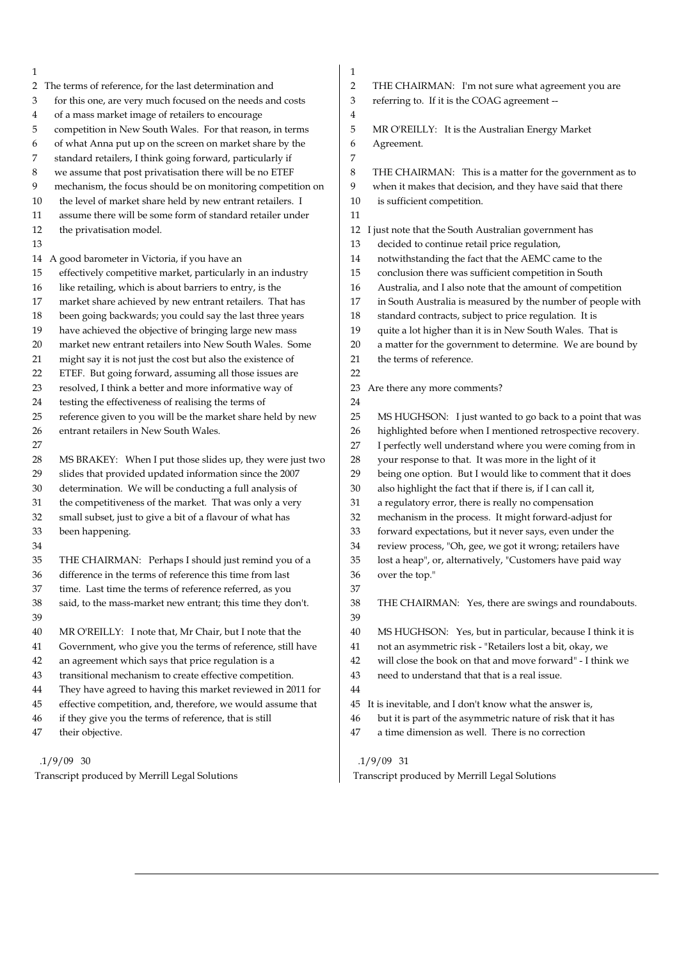- 1 2 The terms of reference, for the last determination and 3 for this one, are very much focused on the needs and costs 4 of a mass market image of retailers to encourage 5 competition in New South Wales. For that reason, in terms 6 of what Anna put up on the screen on market share by the 7 standard retailers, I think going forward, particularly if 8 we assume that post privatisation there will be no ETEF 9 mechanism, the focus should be on monitoring competition on 10 the level of market share held by new entrant retailers. I 11 assume there will be some form of standard retailer under 12 the privatisation model. 13 14 A good barometer in Victoria, if you have an 15 effectively competitive market, particularly in an industry 16 like retailing, which is about barriers to entry, is the 17 market share achieved by new entrant retailers. That has 18 been going backwards; you could say the last three years 19 have achieved the objective of bringing large new mass 20 market new entrant retailers into New South Wales. Some 21 might say it is not just the cost but also the existence of 22 ETEF. But going forward, assuming all those issues are 23 resolved, I think a better and more informative way of 24 testing the effectiveness of realising the terms of 25 reference given to you will be the market share held by new 26 entrant retailers in New South Wales. 27 28 MS BRAKEY: When I put those slides up, they were just two 29 slides that provided updated information since the 2007 30 determination. We will be conducting a full analysis of 31 the competitiveness of the market. That was only a very 32 small subset, just to give a bit of a flavour of what has 33 been happening. 34 35 THE CHAIRMAN: Perhaps I should just remind you of a 36 difference in the terms of reference this time from last 37 time. Last time the terms of reference referred, as you 38 said, to the mass-market new entrant; this time they don't. 39 40 MR O'REILLY: I note that, Mr Chair, but I note that the 41 Government, who give you the terms of reference, still have 42 an agreement which says that price regulation is a 43 transitional mechanism to create effective competition. 44 They have agreed to having this market reviewed in 2011 for 45 effective competition, and, therefore, we would assume that 46 if they give you the terms of reference, that is still 47 their objective. 1 4 7 11 22 37 39 44
	- .1/9/09 30

- 2 THE CHAIRMAN: I'm not sure what agreement you are
- 3 referring to. If it is the COAG agreement --
- 5 MR O'REILLY: It is the Australian Energy Market
- 6 Agreement.

8 THE CHAIRMAN: This is a matter for the government as to

- 9 when it makes that decision, and they have said that there
- 10 is sufficient competition.
	-
- 12 I just note that the South Australian government has
- 13 decided to continue retail price regulation,
- 14 notwithstanding the fact that the AEMC came to the
- 15 conclusion there was sufficient competition in South
- 16 Australia, and I also note that the amount of competition
- 17 in South Australia is measured by the number of people with
- 18 standard contracts, subject to price regulation. It is
- 19 quite a lot higher than it is in New South Wales. That is
- 20 a matter for the government to determine. We are bound by
- 21 the terms of reference.
- 23 Are there any more comments?
- $24$ 25 MS HUGHSON: I just wanted to go back to a point that was 26 highlighted before when I mentioned retrospective recovery. 27 I perfectly well understand where you were coming from in 28 your response to that. It was more in the light of it 29 being one option. But I would like to comment that it does 30 also highlight the fact that if there is, if I can call it, 31 a regulatory error, there is really no compensation 32 mechanism in the process. It might forward-adjust for 33 forward expectations, but it never says, even under the 34 review process, "Oh, gee, we got it wrong; retailers have
	- 35 lost a heap", or, alternatively, "Customers have paid way 36 over the top."

38 THE CHAIRMAN: Yes, there are swings and roundabouts.

- 40 MS HUGHSON: Yes, but in particular, because I think it is
- 41 not an asymmetric risk "Retailers lost a bit, okay, we
- 42 will close the book on that and move forward" I think we
- 43 need to understand that that is a real issue.
- 45 It is inevitable, and I don't know what the answer is,
- 46 but it is part of the asymmetric nature of risk that it has
- 47 a time dimension as well. There is no correction

# .1/9/09 31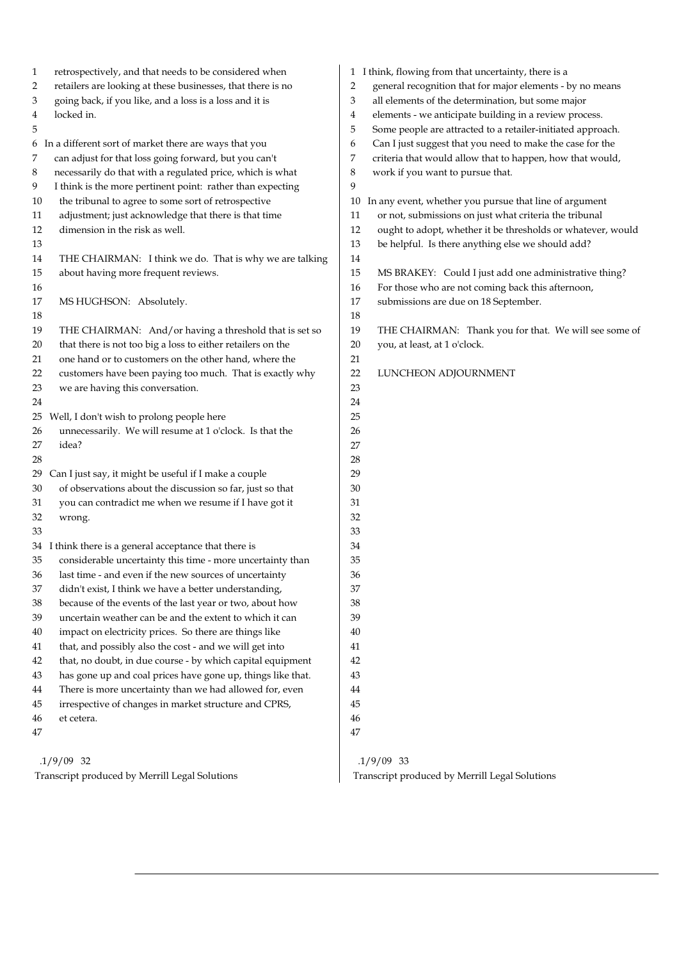| retrospectively, and that needs to be considered when<br>1<br>retailers are looking at these businesses, that there is no<br>2<br>going back, if you like, and a loss is a loss and it is<br>3<br>locked in.<br>4<br>5<br>In a different sort of market there are ways that you<br>6<br>can adjust for that loss going forward, but you can't<br>7<br>necessarily do that with a regulated price, which is what<br>8<br>I think is the more pertinent point: rather than expecting<br>9<br>the tribunal to agree to some sort of retrospective<br>10<br>adjustment; just acknowledge that there is that time<br>11<br>12<br>dimension in the risk as well.<br>13<br>14<br>THE CHAIRMAN: I think we do. That is why we are talking<br>15<br>about having more frequent reviews.<br>16<br>17<br>MS HUGHSON: Absolutely.<br>18<br>19<br>THE CHAIRMAN: And/or having a threshold that is set so<br>that there is not too big a loss to either retailers on the<br>20<br>one hand or to customers on the other hand, where the<br>21<br>customers have been paying too much. That is exactly why<br>22<br>23<br>we are having this conversation.<br>24<br>Well, I don't wish to prolong people here<br>25<br>unnecessarily. We will resume at 1 o'clock. Is that the<br>26<br>27<br>idea?<br>28<br>Can I just say, it might be useful if I make a couple<br>29<br>of observations about the discussion so far, just so that<br>30 | 1 I think, flowing from that uncertainty, there is a<br>general recognition that for major elements - by no means<br>$\overline{2}$<br>3<br>all elements of the determination, but some major<br>elements - we anticipate building in a review process.<br>4<br>Some people are attracted to a retailer-initiated approach.<br>5<br>Can I just suggest that you need to make the case for the<br>6<br>criteria that would allow that to happen, how that would,<br>7<br>work if you want to pursue that.<br>8<br>9<br>In any event, whether you pursue that line of argument<br>10<br>or not, submissions on just what criteria the tribunal<br>11<br>12<br>ought to adopt, whether it be thresholds or whatever, would<br>13<br>be helpful. Is there anything else we should add?<br>14<br>15<br>MS BRAKEY: Could I just add one administrative thing?<br>For those who are not coming back this afternoon,<br>16<br>17<br>submissions are due on 18 September.<br>$18\,$<br>19<br>THE CHAIRMAN: Thank you for that. We will see some of<br>20<br>you, at least, at 1 o'clock.<br>21<br>22<br>LUNCHEON ADJOURNMENT<br>23<br>24<br>25<br>26<br>27<br>28<br>29<br>30 |
|------------------------------------------------------------------------------------------------------------------------------------------------------------------------------------------------------------------------------------------------------------------------------------------------------------------------------------------------------------------------------------------------------------------------------------------------------------------------------------------------------------------------------------------------------------------------------------------------------------------------------------------------------------------------------------------------------------------------------------------------------------------------------------------------------------------------------------------------------------------------------------------------------------------------------------------------------------------------------------------------------------------------------------------------------------------------------------------------------------------------------------------------------------------------------------------------------------------------------------------------------------------------------------------------------------------------------------------------------------------------------------------------------------------------------|---------------------------------------------------------------------------------------------------------------------------------------------------------------------------------------------------------------------------------------------------------------------------------------------------------------------------------------------------------------------------------------------------------------------------------------------------------------------------------------------------------------------------------------------------------------------------------------------------------------------------------------------------------------------------------------------------------------------------------------------------------------------------------------------------------------------------------------------------------------------------------------------------------------------------------------------------------------------------------------------------------------------------------------------------------------------------------------------------------------------------------------------------------------------|
| you can contradict me when we resume if I have got it<br>31<br>32<br>wrong.                                                                                                                                                                                                                                                                                                                                                                                                                                                                                                                                                                                                                                                                                                                                                                                                                                                                                                                                                                                                                                                                                                                                                                                                                                                                                                                                                  | 31<br>32                                                                                                                                                                                                                                                                                                                                                                                                                                                                                                                                                                                                                                                                                                                                                                                                                                                                                                                                                                                                                                                                                                                                                            |
| 33                                                                                                                                                                                                                                                                                                                                                                                                                                                                                                                                                                                                                                                                                                                                                                                                                                                                                                                                                                                                                                                                                                                                                                                                                                                                                                                                                                                                                           | 33                                                                                                                                                                                                                                                                                                                                                                                                                                                                                                                                                                                                                                                                                                                                                                                                                                                                                                                                                                                                                                                                                                                                                                  |
| 34 I think there is a general acceptance that there is                                                                                                                                                                                                                                                                                                                                                                                                                                                                                                                                                                                                                                                                                                                                                                                                                                                                                                                                                                                                                                                                                                                                                                                                                                                                                                                                                                       | 34                                                                                                                                                                                                                                                                                                                                                                                                                                                                                                                                                                                                                                                                                                                                                                                                                                                                                                                                                                                                                                                                                                                                                                  |
| considerable uncertainty this time - more uncertainty than<br>35                                                                                                                                                                                                                                                                                                                                                                                                                                                                                                                                                                                                                                                                                                                                                                                                                                                                                                                                                                                                                                                                                                                                                                                                                                                                                                                                                             | 35                                                                                                                                                                                                                                                                                                                                                                                                                                                                                                                                                                                                                                                                                                                                                                                                                                                                                                                                                                                                                                                                                                                                                                  |
| last time - and even if the new sources of uncertainty<br>36<br>37<br>didn't exist, I think we have a better understanding,                                                                                                                                                                                                                                                                                                                                                                                                                                                                                                                                                                                                                                                                                                                                                                                                                                                                                                                                                                                                                                                                                                                                                                                                                                                                                                  | 36<br>37                                                                                                                                                                                                                                                                                                                                                                                                                                                                                                                                                                                                                                                                                                                                                                                                                                                                                                                                                                                                                                                                                                                                                            |
| 38<br>because of the events of the last year or two, about how                                                                                                                                                                                                                                                                                                                                                                                                                                                                                                                                                                                                                                                                                                                                                                                                                                                                                                                                                                                                                                                                                                                                                                                                                                                                                                                                                               | 38                                                                                                                                                                                                                                                                                                                                                                                                                                                                                                                                                                                                                                                                                                                                                                                                                                                                                                                                                                                                                                                                                                                                                                  |
| 39<br>uncertain weather can be and the extent to which it can                                                                                                                                                                                                                                                                                                                                                                                                                                                                                                                                                                                                                                                                                                                                                                                                                                                                                                                                                                                                                                                                                                                                                                                                                                                                                                                                                                | 39                                                                                                                                                                                                                                                                                                                                                                                                                                                                                                                                                                                                                                                                                                                                                                                                                                                                                                                                                                                                                                                                                                                                                                  |
| impact on electricity prices. So there are things like<br>40                                                                                                                                                                                                                                                                                                                                                                                                                                                                                                                                                                                                                                                                                                                                                                                                                                                                                                                                                                                                                                                                                                                                                                                                                                                                                                                                                                 | 40                                                                                                                                                                                                                                                                                                                                                                                                                                                                                                                                                                                                                                                                                                                                                                                                                                                                                                                                                                                                                                                                                                                                                                  |
| that, and possibly also the cost - and we will get into<br>41                                                                                                                                                                                                                                                                                                                                                                                                                                                                                                                                                                                                                                                                                                                                                                                                                                                                                                                                                                                                                                                                                                                                                                                                                                                                                                                                                                | 41                                                                                                                                                                                                                                                                                                                                                                                                                                                                                                                                                                                                                                                                                                                                                                                                                                                                                                                                                                                                                                                                                                                                                                  |
| that, no doubt, in due course - by which capital equipment<br>42                                                                                                                                                                                                                                                                                                                                                                                                                                                                                                                                                                                                                                                                                                                                                                                                                                                                                                                                                                                                                                                                                                                                                                                                                                                                                                                                                             | 42                                                                                                                                                                                                                                                                                                                                                                                                                                                                                                                                                                                                                                                                                                                                                                                                                                                                                                                                                                                                                                                                                                                                                                  |
| has gone up and coal prices have gone up, things like that.<br>43                                                                                                                                                                                                                                                                                                                                                                                                                                                                                                                                                                                                                                                                                                                                                                                                                                                                                                                                                                                                                                                                                                                                                                                                                                                                                                                                                            | 43                                                                                                                                                                                                                                                                                                                                                                                                                                                                                                                                                                                                                                                                                                                                                                                                                                                                                                                                                                                                                                                                                                                                                                  |
| There is more uncertainty than we had allowed for, even<br>44                                                                                                                                                                                                                                                                                                                                                                                                                                                                                                                                                                                                                                                                                                                                                                                                                                                                                                                                                                                                                                                                                                                                                                                                                                                                                                                                                                | $\bf 44$                                                                                                                                                                                                                                                                                                                                                                                                                                                                                                                                                                                                                                                                                                                                                                                                                                                                                                                                                                                                                                                                                                                                                            |
| irrespective of changes in market structure and CPRS,<br>45                                                                                                                                                                                                                                                                                                                                                                                                                                                                                                                                                                                                                                                                                                                                                                                                                                                                                                                                                                                                                                                                                                                                                                                                                                                                                                                                                                  | 45                                                                                                                                                                                                                                                                                                                                                                                                                                                                                                                                                                                                                                                                                                                                                                                                                                                                                                                                                                                                                                                                                                                                                                  |
| 46<br>et cetera.                                                                                                                                                                                                                                                                                                                                                                                                                                                                                                                                                                                                                                                                                                                                                                                                                                                                                                                                                                                                                                                                                                                                                                                                                                                                                                                                                                                                             | $46\,$                                                                                                                                                                                                                                                                                                                                                                                                                                                                                                                                                                                                                                                                                                                                                                                                                                                                                                                                                                                                                                                                                                                                                              |
| 47                                                                                                                                                                                                                                                                                                                                                                                                                                                                                                                                                                                                                                                                                                                                                                                                                                                                                                                                                                                                                                                                                                                                                                                                                                                                                                                                                                                                                           | 47                                                                                                                                                                                                                                                                                                                                                                                                                                                                                                                                                                                                                                                                                                                                                                                                                                                                                                                                                                                                                                                                                                                                                                  |
| $.1/9/09$ 32                                                                                                                                                                                                                                                                                                                                                                                                                                                                                                                                                                                                                                                                                                                                                                                                                                                                                                                                                                                                                                                                                                                                                                                                                                                                                                                                                                                                                 | $.1/9/09$ 33                                                                                                                                                                                                                                                                                                                                                                                                                                                                                                                                                                                                                                                                                                                                                                                                                                                                                                                                                                                                                                                                                                                                                        |

 .1/9/09 33 Transcript produced by Merrill Legal Solutions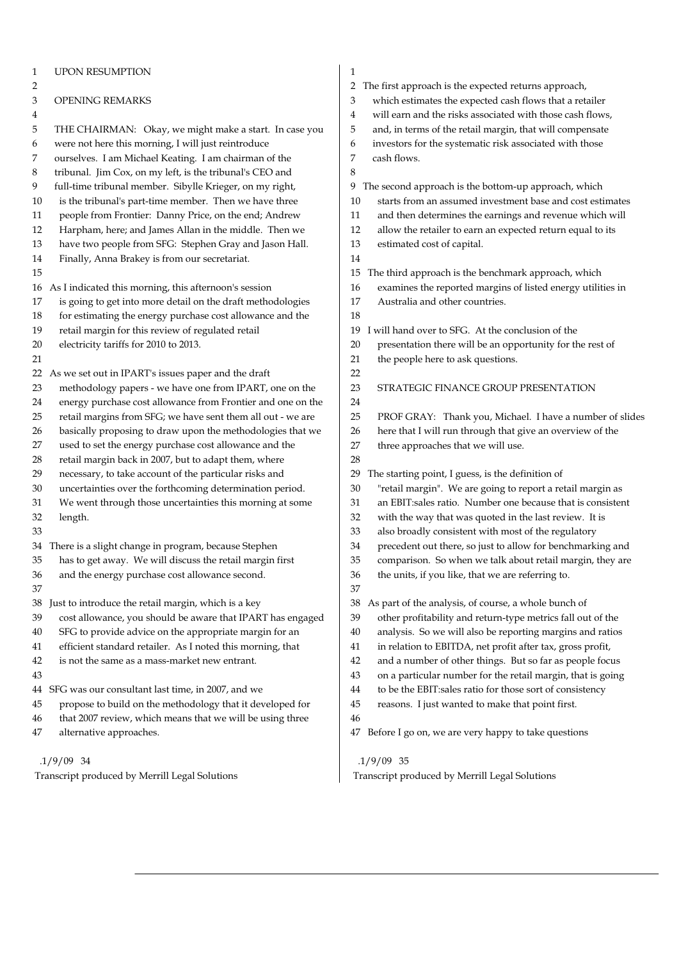| $\mathbf{1}$ | <b>UPON RESUMPTION</b>                                      | 1                                                                                                                             |
|--------------|-------------------------------------------------------------|-------------------------------------------------------------------------------------------------------------------------------|
| 2            |                                                             | The first approach is the expected returns approach,<br>$\mathbf{2}$                                                          |
| 3            | OPENING REMARKS                                             | 3<br>which estimates the expected cash flows that a retailer                                                                  |
| 4            |                                                             | will earn and the risks associated with those cash flows,<br>4                                                                |
| 5            | THE CHAIRMAN: Okay, we might make a start. In case you      | and, in terms of the retail margin, that will compensate<br>5                                                                 |
| 6            | were not here this morning, I will just reintroduce         | investors for the systematic risk associated with those<br>6                                                                  |
| 7            | ourselves. I am Michael Keating. I am chairman of the       | 7<br>cash flows.                                                                                                              |
| 8            | tribunal. Jim Cox, on my left, is the tribunal's CEO and    | 8                                                                                                                             |
| 9            | full-time tribunal member. Sibylle Krieger, on my right,    | The second approach is the bottom-up approach, which<br>9                                                                     |
| 10           | is the tribunal's part-time member. Then we have three      | starts from an assumed investment base and cost estimates<br>10                                                               |
| 11           | people from Frontier: Danny Price, on the end; Andrew       | 11<br>and then determines the earnings and revenue which will                                                                 |
| 12           | Harpham, here; and James Allan in the middle. Then we       | allow the retailer to earn an expected return equal to its<br>12                                                              |
| 13           | have two people from SFG: Stephen Gray and Jason Hall.      | 13<br>estimated cost of capital.                                                                                              |
| 14           | Finally, Anna Brakey is from our secretariat.               | 14                                                                                                                            |
| 15           |                                                             | The third approach is the benchmark approach, which<br>15                                                                     |
| 16           | As I indicated this morning, this afternoon's session       | examines the reported margins of listed energy utilities in<br>16                                                             |
| 17           | is going to get into more detail on the draft methodologies | Australia and other countries.<br>17                                                                                          |
| 18           | for estimating the energy purchase cost allowance and the   | 18                                                                                                                            |
| 19           | retail margin for this review of regulated retail           | will hand over to SFG. At the conclusion of the<br>19                                                                         |
| 20           | electricity tariffs for 2010 to 2013.                       | presentation there will be an opportunity for the rest of<br>20                                                               |
| 21           |                                                             | 21<br>the people here to ask questions.                                                                                       |
| 22           | As we set out in IPART's issues paper and the draft         | 22                                                                                                                            |
| 23           | methodology papers - we have one from IPART, one on the     | 23<br>STRATEGIC FINANCE GROUP PRESENTATION                                                                                    |
| 24           | energy purchase cost allowance from Frontier and one on the | 24                                                                                                                            |
| 25           | retail margins from SFG; we have sent them all out - we are | 25<br>PROF GRAY: Thank you, Michael. I have a number of slides                                                                |
| 26           | basically proposing to draw upon the methodologies that we  | here that I will run through that give an overview of the<br>26                                                               |
| 27           | used to set the energy purchase cost allowance and the      | three approaches that we will use.<br>27                                                                                      |
| 28           | retail margin back in 2007, but to adapt them, where        | 28                                                                                                                            |
| 29           | necessary, to take account of the particular risks and      | The starting point, I guess, is the definition of<br>29                                                                       |
| 30           | uncertainties over the forthcoming determination period.    | 30<br>"retail margin". We are going to report a retail margin as                                                              |
| 31           | We went through those uncertainties this morning at some    | an EBIT:sales ratio. Number one because that is consistent<br>31                                                              |
| 32           | length.                                                     | 32<br>with the way that was quoted in the last review. It is                                                                  |
| 33           |                                                             | 33<br>also broadly consistent with most of the regulatory                                                                     |
| 34           | There is a slight change in program, because Stephen        | precedent out there, so just to allow for benchmarking and<br>34                                                              |
| 35           | has to get away. We will discuss the retail margin first    | 35<br>comparison. So when we talk about retail margin, they are                                                               |
| 36           | and the energy purchase cost allowance second.              | the units, if you like, that we are referring to.<br>36                                                                       |
| 37           |                                                             | 37                                                                                                                            |
| 38           | Just to introduce the retail margin, which is a key         | As part of the analysis, of course, a whole bunch of<br>38                                                                    |
| 39           | cost allowance, you should be aware that IPART has engaged  | other profitability and return-type metrics fall out of the<br>39                                                             |
|              |                                                             |                                                                                                                               |
| 40           | SFG to provide advice on the appropriate margin for an      | analysis. So we will also be reporting margins and ratios<br>40<br>in relation to EBITDA, net profit after tax, gross profit, |
| 41           | efficient standard retailer. As I noted this morning, that  | 41<br>and a number of other things. But so far as people focus                                                                |
| 42           | is not the same as a mass-market new entrant.               | 42                                                                                                                            |
| 43           |                                                             | on a particular number for the retail margin, that is going<br>43                                                             |
|              | 44 SFG was our consultant last time, in 2007, and we        | to be the EBIT:sales ratio for those sort of consistency<br>44                                                                |
| 45           | propose to build on the methodology that it developed for   | 45<br>reasons. I just wanted to make that point first.                                                                        |
| 46           | that 2007 review, which means that we will be using three   | 46                                                                                                                            |
| 47           | alternative approaches.                                     | Before I go on, we are very happy to take questions<br>47                                                                     |
|              | $.1/9/09$ 34                                                | $.1/9/09$ 35                                                                                                                  |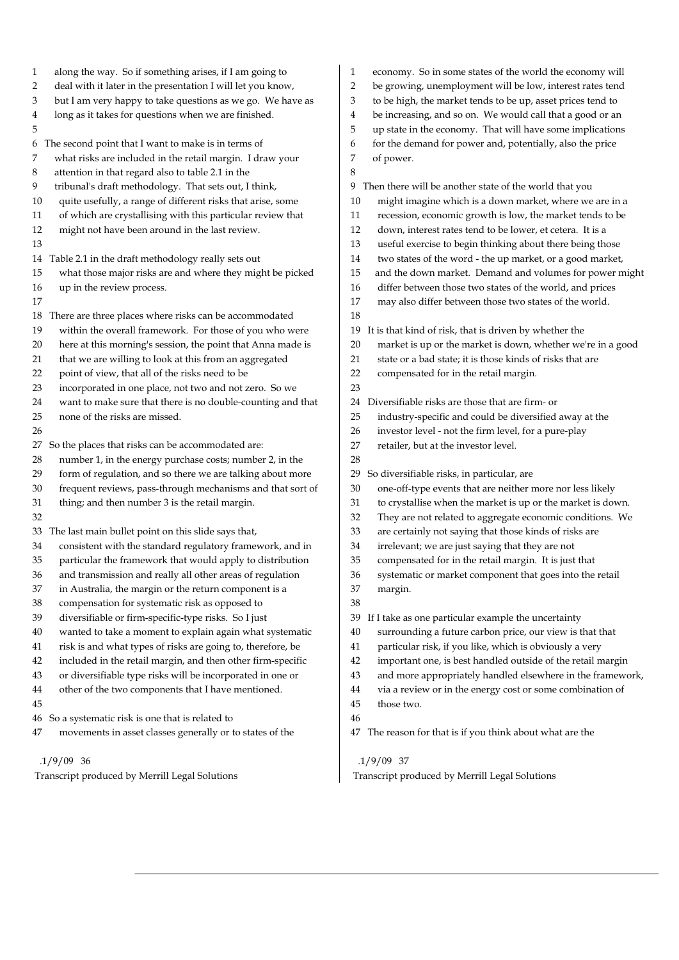| 1      | along the way. So if something arises, if I am going to     | economy. So in some states of the world the economy will<br>$\mathbf{1}$    |
|--------|-------------------------------------------------------------|-----------------------------------------------------------------------------|
| 2      | deal with it later in the presentation I will let you know, | $\overline{2}$<br>be growing, unemployment will be low, interest rates tend |
| 3      | but I am very happy to take questions as we go. We have as  | to be high, the market tends to be up, asset prices tend to<br>3            |
| 4      | long as it takes for questions when we are finished.        | be increasing, and so on. We would call that a good or an<br>4              |
| 5      |                                                             | 5<br>up state in the economy. That will have some implications              |
| 6      | The second point that I want to make is in terms of         | for the demand for power and, potentially, also the price<br>6              |
| 7      | what risks are included in the retail margin. I draw your   | 7<br>of power.                                                              |
| 8      | attention in that regard also to table 2.1 in the           | 8                                                                           |
| 9      | tribunal's draft methodology. That sets out, I think,       | Then there will be another state of the world that you<br>9                 |
| 10     | quite usefully, a range of different risks that arise, some | might imagine which is a down market, where we are in a<br>10               |
| 11     | of which are crystallising with this particular review that | recession, economic growth is low, the market tends to be<br>11             |
| 12     | might not have been around in the last review.              | 12<br>down, interest rates tend to be lower, et cetera. It is a             |
| 13     |                                                             | 13<br>useful exercise to begin thinking about there being those             |
| 14     | Table 2.1 in the draft methodology really sets out          | two states of the word - the up market, or a good market,<br>14             |
| 15     | what those major risks are and where they might be picked   | and the down market. Demand and volumes for power might<br>15               |
| 16     | up in the review process.                                   | differ between those two states of the world, and prices<br>16              |
| 17     |                                                             | 17<br>may also differ between those two states of the world.                |
| 18     | There are three places where risks can be accommodated      | 18                                                                          |
| 19     | within the overall framework. For those of you who were     | It is that kind of risk, that is driven by whether the<br>19                |
| 20     | here at this morning's session, the point that Anna made is | market is up or the market is down, whether we're in a good<br>20           |
| 21     | that we are willing to look at this from an aggregated      | 21<br>state or a bad state; it is those kinds of risks that are             |
| 22     | point of view, that all of the risks need to be             | 22<br>compensated for in the retail margin.                                 |
| 23     | incorporated in one place, not two and not zero. So we      | 23                                                                          |
| 24     | want to make sure that there is no double-counting and that | Diversifiable risks are those that are firm- or<br>24                       |
| 25     | none of the risks are missed.                               | industry-specific and could be diversified away at the<br>25                |
| 26     |                                                             | investor level - not the firm level, for a pure-play<br>26                  |
| 27     | So the places that risks can be accommodated are:           | retailer, but at the investor level.<br>27                                  |
| 28     | number 1, in the energy purchase costs; number 2, in the    | 28                                                                          |
| 29     | form of regulation, and so there we are talking about more  | So diversifiable risks, in particular, are<br>29                            |
| 30     | frequent reviews, pass-through mechanisms and that sort of  | one-off-type events that are neither more nor less likely<br>30             |
| 31     | thing; and then number 3 is the retail margin.              | to crystallise when the market is up or the market is down.<br>31           |
| 32     |                                                             | They are not related to aggregate economic conditions. We<br>32             |
| 33     | The last main bullet point on this slide says that,         | are certainly not saying that those kinds of risks are<br>33                |
| 34     | consistent with the standard regulatory framework, and in   | irrelevant; we are just saying that they are not<br>34                      |
| 35     | particular the framework that would apply to distribution   | compensated for in the retail margin. It is just that<br>35                 |
| 36     | and transmission and really all other areas of regulation   | 36<br>systematic or market component that goes into the retail              |
| 37     | in Australia, the margin or the return component is a       | $37\,$<br>margin.                                                           |
| $38\,$ | compensation for systematic risk as opposed to              | $38\,$                                                                      |
| 39     | diversifiable or firm-specific-type risks. So I just        | If I take as one particular example the uncertainty<br>39                   |
| 40     | wanted to take a moment to explain again what systematic    | surrounding a future carbon price, our view is that that<br>40              |
| 41     | risk is and what types of risks are going to, therefore, be | particular risk, if you like, which is obviously a very<br>41               |
| 42     | included in the retail margin, and then other firm-specific | important one, is best handled outside of the retail margin<br>42           |
| 43     | or diversifiable type risks will be incorporated in one or  | 43<br>and more appropriately handled elsewhere in the framework,            |
| 44     | other of the two components that I have mentioned.          | via a review or in the energy cost or some combination of<br>44             |
| 45     |                                                             | 45<br>those two.                                                            |
| 46     | So a systematic risk is one that is related to              | 46                                                                          |
| 47     | movements in asset classes generally or to states of the    | The reason for that is if you think about what are the<br>47                |
|        |                                                             |                                                                             |
|        |                                                             |                                                                             |

Transcript produced by Merrill Legal Solutions

 .1/9/09 37 Transcript produced by Merrill Legal Solutions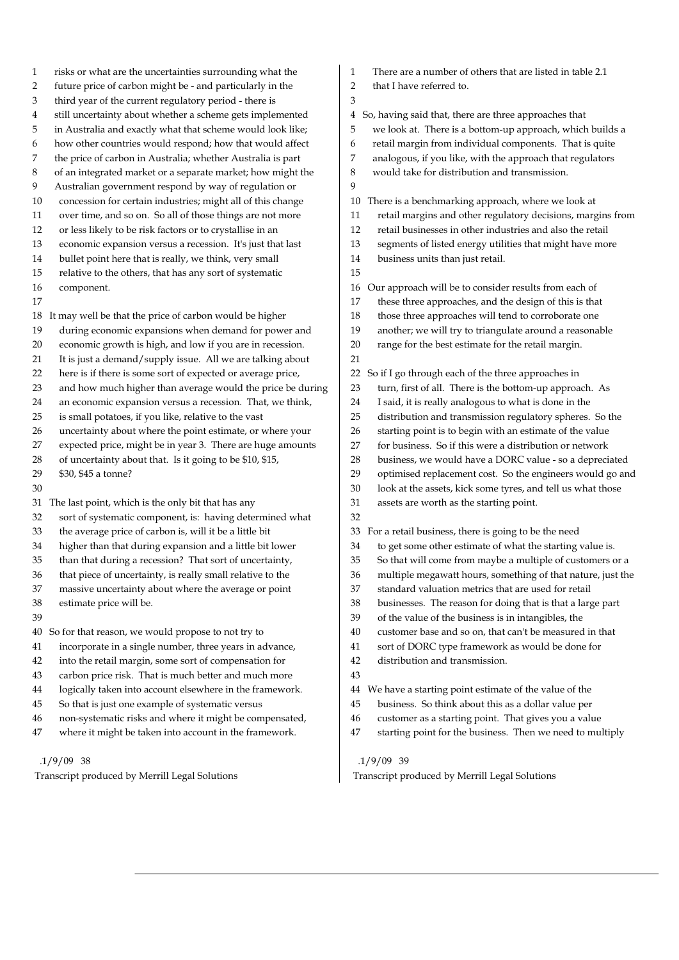- 1 risks or what are the uncertainties surrounding what the 2 future price of carbon might be - and particularly in the 3 third year of the current regulatory period - there is 4 still uncertainty about whether a scheme gets implemented 5 in Australia and exactly what that scheme would look like; 6 how other countries would respond; how that would affect 7 the price of carbon in Australia; whether Australia is part 8 of an integrated market or a separate market; how might the 9 Australian government respond by way of regulation or 10 concession for certain industries; might all of this change 11 over time, and so on. So all of those things are not more 12 or less likely to be risk factors or to crystallise in an 13 economic expansion versus a recession. It's just that last 14 bullet point here that is really, we think, very small 15 relative to the others, that has any sort of systematic 16 component. 17 18 It may well be that the price of carbon would be higher 19 during economic expansions when demand for power and 20 economic growth is high, and low if you are in recession. 21 It is just a demand/supply issue. All we are talking about 22 here is if there is some sort of expected or average price, 23 and how much higher than average would the price be during 24 an economic expansion versus a recession. That, we think, 25 is small potatoes, if you like, relative to the vast 26 uncertainty about where the point estimate, or where your 27 expected price, might be in year 3. There are huge amounts 28 of uncertainty about that. Is it going to be \$10, \$15, 29 \$30, \$45 a tonne? 30 31 The last point, which is the only bit that has any 32 sort of systematic component, is: having determined what 33 the average price of carbon is, will it be a little bit 34 higher than that during expansion and a little bit lower 35 than that during a recession? That sort of uncertainty, 36 that piece of uncertainty, is really small relative to the 37 massive uncertainty about where the average or point 38 estimate price will be. 39 40 So for that reason, we would propose to not try to 41 incorporate in a single number, three years in advance, 42 into the retail margin, some sort of compensation for 43 carbon price risk. That is much better and much more 44 logically taken into account elsewhere in the framework. 45 So that is just one example of systematic versus 1 There are a number of others that are listed in table 2.1 2 that I have referred to. 3 5 we look at. There is a bottom-up approach, which builds a 6 retail margin from individual components. That is quite 7 analogous, if you like, with the approach that regulators 8 would take for distribution and transmission.  $\overline{Q}$ 10 There is a benchmarking approach, where we look at 11 retail margins and other regulatory decisions, margins from 12 retail businesses in other industries and also the retail 14 business units than just retail. 15 18 those three approaches will tend to corroborate one 20 range for the best estimate for the retail margin. 21 22 So if I go through each of the three approaches in 31 assets are worth as the starting point. 32 33 For a retail business, there is going to be the need 34 to get some other estimate of what the starting value is. 39 of the value of the business is in intangibles, the 42 distribution and transmission. 43 45 business. So think about this as a dollar value per
	- 46 non-systematic risks and where it might be compensated, 47 where it might be taken into account in the framework.

Transcript produced by Merrill Legal Solutions

4 So, having said that, there are three approaches that

- 
- 
- 
- 
- 
- 
- 13 segments of listed energy utilities that might have more
- 16 Our approach will be to consider results from each of
- 17 these three approaches, and the design of this is that
- 
- 19 another; we will try to triangulate around a reasonable
	-
- 
- 23 turn, first of all. There is the bottom-up approach. As
- 24 I said, it is really analogous to what is done in the
- 25 distribution and transmission regulatory spheres. So the
- 26 starting point is to begin with an estimate of the value
- 27 for business. So if this were a distribution or network
- 28 business, we would have a DORC value so a depreciated
- 29 optimised replacement cost. So the engineers would go and
- 30 look at the assets, kick some tyres, and tell us what those
- 
- 
- 35 So that will come from maybe a multiple of customers or a
- 36 multiple megawatt hours, something of that nature, just the
- 37 standard valuation metrics that are used for retail
- 38 businesses. The reason for doing that is that a large part
- 
- 40 customer base and so on, that can't be measured in that
- 41 sort of DORC type framework as would be done for
- 44 We have a starting point estimate of the value of the
- 
- 46 customer as a starting point. That gives you a value
- 47 starting point for the business. Then we need to multiply

#### .1/9/09 39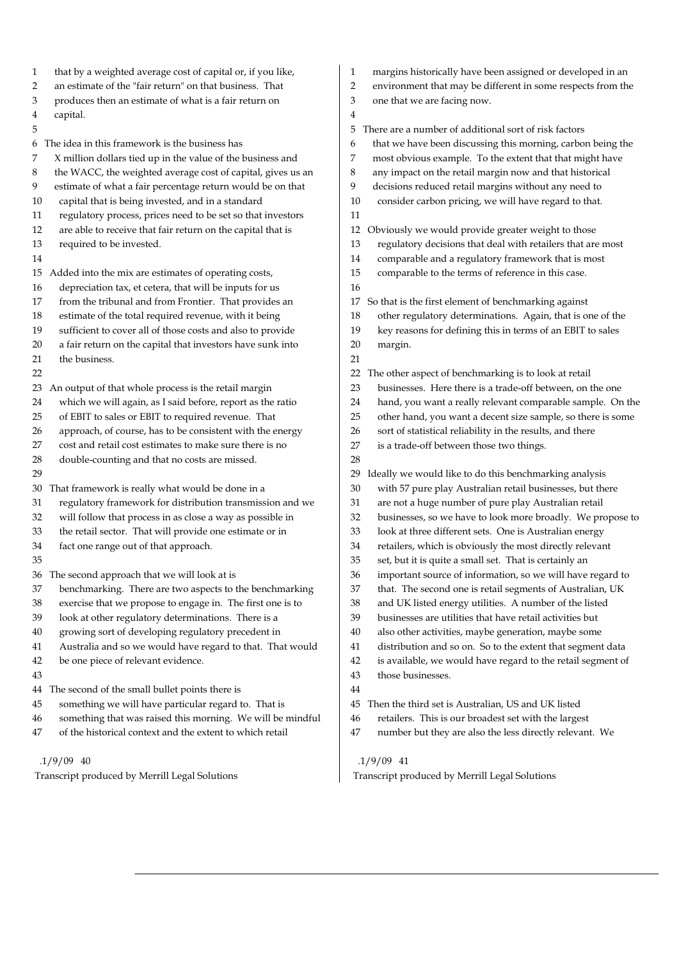| that by a weighted average cost of capital or, if you like,       | margins historically have been assigned or developed in an       |
|-------------------------------------------------------------------|------------------------------------------------------------------|
| 1                                                                 | 1                                                                |
| an estimate of the "fair return" on that business. That           | 2                                                                |
| 2                                                                 | environment that may be different in some respects from the      |
| produces then an estimate of what is a fair return on             | 3                                                                |
| 3                                                                 | one that we are facing now.                                      |
| capital.<br>4                                                     | 4                                                                |
| 5                                                                 | There are a number of additional sort of risk factors<br>5       |
| The idea in this framework is the business has                    | that we have been discussing this morning, carbon being the      |
| 6                                                                 | 6                                                                |
| X million dollars tied up in the value of the business and        | most obvious example. To the extent that that might have         |
| 7                                                                 | 7                                                                |
| the WACC, the weighted average cost of capital, gives us an       | 8                                                                |
| 8                                                                 | any impact on the retail margin now and that historical          |
| estimate of what a fair percentage return would be on that        | decisions reduced retail margins without any need to             |
| 9                                                                 | 9                                                                |
| capital that is being invested, and in a standard                 | consider carbon pricing, we will have regard to that.            |
| 10                                                                | 10                                                               |
| regulatory process, prices need to be set so that investors<br>11 | 11                                                               |
| are able to receive that fair return on the capital that is       | 12                                                               |
| 12                                                                | Obviously we would provide greater weight to those               |
| required to be invested.                                          | regulatory decisions that deal with retailers that are most      |
| 13                                                                | 13                                                               |
| 14                                                                | comparable and a regulatory framework that is most<br>14         |
| Added into the mix are estimates of operating costs,              | 15                                                               |
| 15                                                                | comparable to the terms of reference in this case.               |
| depreciation tax, et cetera, that will be inputs for us<br>16     | 16                                                               |
| from the tribunal and from Frontier. That provides an             | So that is the first element of benchmarking against             |
| 17                                                                | 17                                                               |
| estimate of the total required revenue, with it being             | other regulatory determinations. Again, that is one of the       |
| 18                                                                | 18                                                               |
| sufficient to cover all of those costs and also to provide        | 19                                                               |
| 19                                                                | key reasons for defining this in terms of an EBIT to sales       |
| a fair return on the capital that investors have sunk into        | 20                                                               |
| 20                                                                | margin.                                                          |
| the business.<br>21                                               | 21                                                               |
| 22                                                                | The other aspect of benchmarking is to look at retail<br>22      |
| An output of that whole process is the retail margin              | 23                                                               |
| 23                                                                | businesses. Here there is a trade-off between, on the one        |
| which we will again, as I said before, report as the ratio        | hand, you want a really relevant comparable sample. On the       |
| 24                                                                | 24                                                               |
| of EBIT to sales or EBIT to required revenue. That                | other hand, you want a decent size sample, so there is some      |
| 25                                                                | 25                                                               |
| approach, of course, has to be consistent with the energy         | sort of statistical reliability in the results, and there        |
| 26                                                                | 26                                                               |
| cost and retail cost estimates to make sure there is no           | is a trade-off between those two things.                         |
| 27                                                                | 27                                                               |
| double-counting and that no costs are missed.<br>28               | 28                                                               |
| 29                                                                | Ideally we would like to do this benchmarking analysis<br>29     |
| That framework is really what would be done in a                  | with 57 pure play Australian retail businesses, but there        |
| 30                                                                | 30                                                               |
| regulatory framework for distribution transmission and we         | 31                                                               |
| 31                                                                | are not a huge number of pure play Australian retail             |
| will follow that process in as close a way as possible in         | 32                                                               |
| 32                                                                | businesses, so we have to look more broadly. We propose to       |
| the retail sector. That will provide one estimate or in           | 33                                                               |
| 33                                                                | look at three different sets. One is Australian energy           |
| fact one range out of that approach.                              | retailers, which is obviously the most directly relevant         |
| 34                                                                | 34                                                               |
| 35                                                                | 35<br>set, but it is quite a small set. That is certainly an     |
| 36 The second approach that we will look at is                    | 36<br>important source of information, so we will have regard to |
| benchmarking. There are two aspects to the benchmarking           | that. The second one is retail segments of Australian, UK        |
| 37                                                                | 37                                                               |
| exercise that we propose to engage in. The first one is to        | and UK listed energy utilities. A number of the listed           |
| 38                                                                | 38                                                               |
| look at other regulatory determinations. There is a               | businesses are utilities that have retail activities but         |
| 39                                                                | 39                                                               |
| growing sort of developing regulatory precedent in                | also other activities, maybe generation, maybe some              |
| 40                                                                | 40                                                               |
| Australia and so we would have regard to that. That would         | distribution and so on. So to the extent that segment data       |
| 41                                                                | 41                                                               |
| be one piece of relevant evidence.                                | 42                                                               |
| 42                                                                | is available, we would have regard to the retail segment of      |
| 43                                                                | 43<br>those businesses.                                          |
| The second of the small bullet points there is<br>44              | 44                                                               |
| something we will have particular regard to. That is              | Then the third set is Australian, US and UK listed               |
| 45                                                                | 45                                                               |
| something that was raised this morning. We will be mindful        | retailers. This is our broadest set with the largest             |
| 46                                                                | 46                                                               |
| of the historical context and the extent to which retail          | 47                                                               |
| 47                                                                | number but they are also the less directly relevant. We          |
| $.1/9/09$ 40                                                      | $.1/9/09$ 41                                                     |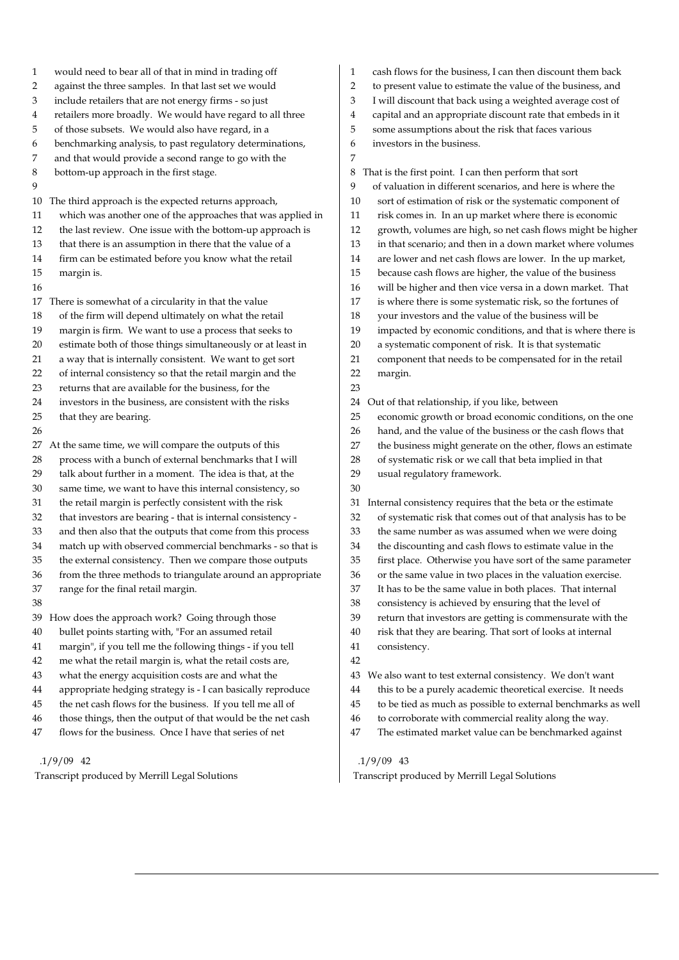| $\mathbf{1}$ | would need to bear all of that in mind in trading off       | $\mathbf{1}$<br>cash flows for the business, I can then discount them back |
|--------------|-------------------------------------------------------------|----------------------------------------------------------------------------|
| 2            | against the three samples. In that last set we would        | to present value to estimate the value of the business, and<br>2           |
| 3            | include retailers that are not energy firms - so just       | I will discount that back using a weighted average cost of<br>3            |
| 4            | retailers more broadly. We would have regard to all three   | capital and an appropriate discount rate that embeds in it<br>4            |
| 5            | of those subsets. We would also have regard, in a           | 5<br>some assumptions about the risk that faces various                    |
| 6            | benchmarking analysis, to past regulatory determinations,   | investors in the business.<br>6                                            |
| 7            | and that would provide a second range to go with the        | 7                                                                          |
| 8            | bottom-up approach in the first stage.                      | That is the first point. I can then perform that sort<br>8                 |
| 9            |                                                             | of valuation in different scenarios, and here is where the<br>9            |
| 10           | The third approach is the expected returns approach,        | sort of estimation of risk or the systematic component of<br>10            |
| 11           | which was another one of the approaches that was applied in | risk comes in. In an up market where there is economic<br>11               |
| 12           | the last review. One issue with the bottom-up approach is   | 12<br>growth, volumes are high, so net cash flows might be higher          |
| 13           | that there is an assumption in there that the value of a    | in that scenario; and then in a down market where volumes<br>13            |
| 14           | firm can be estimated before you know what the retail       | are lower and net cash flows are lower. In the up market,<br>14            |
| 15           | margin is.                                                  | because cash flows are higher, the value of the business<br>15             |
| 16           |                                                             | will be higher and then vice versa in a down market. That<br>16            |
| 17           | There is somewhat of a circularity in that the value        | is where there is some systematic risk, so the fortunes of<br>17           |
| 18           | of the firm will depend ultimately on what the retail       | your investors and the value of the business will be<br>18                 |
| 19           | margin is firm. We want to use a process that seeks to      | impacted by economic conditions, and that is where there is<br>19          |
| 20           | estimate both of those things simultaneously or at least in | a systematic component of risk. It is that systematic<br>20                |
| 21           | a way that is internally consistent. We want to get sort    | component that needs to be compensated for in the retail<br>21             |
| 22           | of internal consistency so that the retail margin and the   | 22<br>margin.                                                              |
| 23           | returns that are available for the business, for the        | 23                                                                         |
| 24           | investors in the business, are consistent with the risks    | Out of that relationship, if you like, between<br>24                       |
| 25           | that they are bearing.                                      | economic growth or broad economic conditions, on the one<br>25             |
| 26           |                                                             | hand, and the value of the business or the cash flows that<br>26           |
| 27           | At the same time, we will compare the outputs of this       | the business might generate on the other, flows an estimate<br>27          |
| 28           | process with a bunch of external benchmarks that I will     | of systematic risk or we call that beta implied in that<br>28              |
| 29           | talk about further in a moment. The idea is that, at the    | usual regulatory framework.<br>29                                          |
| 30           | same time, we want to have this internal consistency, so    | 30                                                                         |
| 31           | the retail margin is perfectly consistent with the risk     | Internal consistency requires that the beta or the estimate<br>31          |
| 32           | that investors are bearing - that is internal consistency - | of systematic risk that comes out of that analysis has to be<br>32         |
| 33           | and then also that the outputs that come from this process  | the same number as was assumed when we were doing<br>33                    |
| 34           | match up with observed commercial benchmarks - so that is   | the discounting and cash flows to estimate value in the<br>34              |
| 35           | the external consistency. Then we compare those outputs     | 35<br>first place. Otherwise you have sort of the same parameter           |
| 36           | from the three methods to triangulate around an appropriate | 36<br>or the same value in two places in the valuation exercise.           |
| 37           | range for the final retail margin.                          | It has to be the same value in both places. That internal<br>37            |
| $38\,$       |                                                             | $38\,$<br>consistency is achieved by ensuring that the level of            |
| 39           | How does the approach work? Going through those             | 39<br>return that investors are getting is commensurate with the           |
| 40           | bullet points starting with, "For an assumed retail         | risk that they are bearing. That sort of looks at internal<br>$40\,$       |
| $41\,$       | margin", if you tell me the following things - if you tell  | $41\,$<br>consistency.                                                     |
| 42           | me what the retail margin is, what the retail costs are,    | 42                                                                         |
| 43           | what the energy acquisition costs are and what the          | We also want to test external consistency. We don't want<br>43             |
| 44           | appropriate hedging strategy is - I can basically reproduce | this to be a purely academic theoretical exercise. It needs<br>44          |
| 45           | the net cash flows for the business. If you tell me all of  | to be tied as much as possible to external benchmarks as well<br>45        |
| 46           | those things, then the output of that would be the net cash | to corroborate with commercial reality along the way.<br>46                |
| 47           | flows for the business. Once I have that series of net      | The estimated market value can be benchmarked against<br>47                |
|              |                                                             |                                                                            |

Transcript produced by Merrill Legal Solutions

# .1/9/09 43

Transcript produced by Merrill Legal Solutions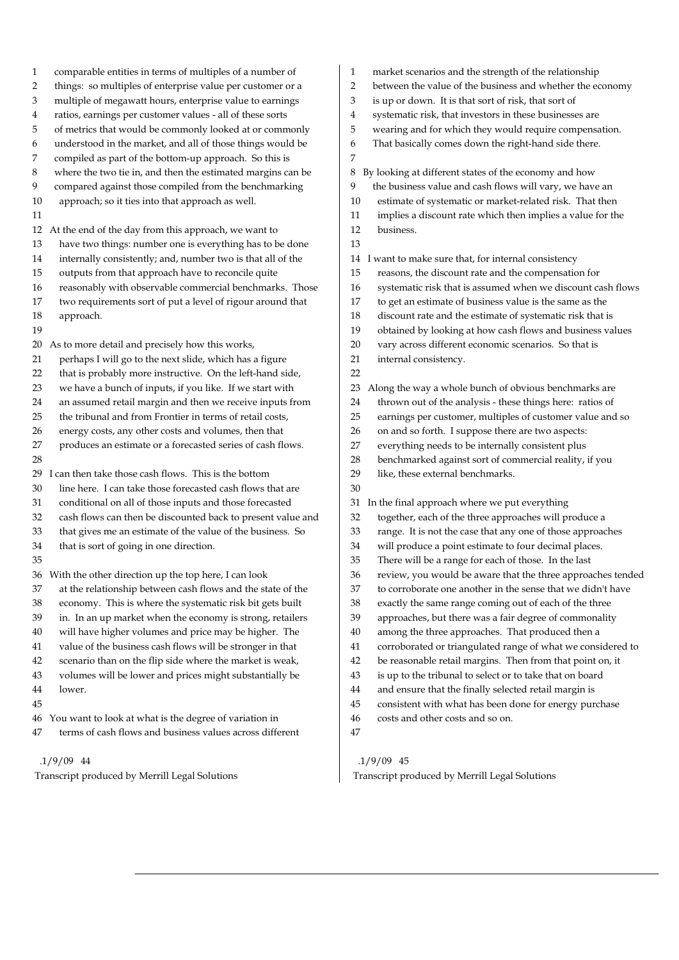| 1  | comparable entities in terms of multiples of a number of    |
|----|-------------------------------------------------------------|
| 2  | things: so multiples of enterprise value per customer or a  |
| 3  | multiple of megawatt hours, enterprise value to earnings    |
| 4  | ratios, earnings per customer values - all of these sorts   |
| 5  | of metrics that would be commonly looked at or commonly     |
| 6  | understood in the market, and all of those things would be  |
| 7  | compiled as part of the bottom-up approach. So this is      |
| 8  | where the two tie in, and then the estimated margins can be |
| 9  | compared against those compiled from the benchmarking       |
| 10 | approach; so it ties into that approach as well.            |
| 11 |                                                             |
| 12 | At the end of the day from this approach, we want to        |
| 13 | have two things: number one is everything has to be done    |
| 14 | internally consistently; and, number two is that all of the |
| 15 | outputs from that approach have to reconcile quite          |
| 16 | reasonably with observable commercial benchmarks. Those     |
| 17 | two requirements sort of put a level of rigour around that  |
| 18 | approach.                                                   |
| 19 |                                                             |
| 20 | As to more detail and precisely how this works,             |
| 21 | perhaps I will go to the next slide, which has a figure     |
| 22 | that is probably more instructive. On the left-hand side,   |
| 23 | we have a bunch of inputs, if you like. If we start with    |
| 24 | an assumed retail margin and then we receive inputs from    |
| 25 | the tribunal and from Frontier in terms of retail costs,    |
| 26 | energy costs, any other costs and volumes, then that        |
| 27 | produces an estimate or a forecasted series of cash flows.  |
| 28 |                                                             |
| 29 | I can then take those cash flows. This is the bottom        |
| 30 | line here. I can take those forecasted cash flows that are  |
| 31 | conditional on all of those inputs and those forecasted     |
| 32 | cash flows can then be discounted back to present value and |
| 33 | that gives me an estimate of the value of the business. So  |
| 34 | that is sort of going in one direction.                     |
| 35 |                                                             |
| 36 | With the other direction up the top here, I can look        |
| 37 | at the relationship between cash flows and the state of the |
| 38 | economy. This is where the systematic risk bit gets built   |
| 39 | in. In an up market when the economy is strong, retailers   |
| 40 | will have higher volumes and price may be higher. The       |
| 41 | value of the business cash flows will be stronger in that   |
| 42 | scenario than on the flip side where the market is weak,    |
| 43 | volumes will be lower and prices might substantially be     |
| 44 | lower.                                                      |
| 45 |                                                             |
| 46 | You want to look at what is the degree of variation in      |
| 47 | terms of cash flows and business values across different    |

Transcript produced by Merrill Legal Solutions

- 1 market scenarios and the strength of the relationship
- 2 between the value of the business and whether the economy
- 3 is up or down. It is that sort of risk, that sort of
- 4 systematic risk, that investors in these businesses are
- 5 wearing and for which they would require compensation.
- 6 That basically comes down the right-hand side there.

7 8 By looking at different states of the economy and how the business value and cash flows will vary, we have an 10 estimate of systematic or market-related risk. That then 11 implies a discount rate which then implies a value for the 12 business. 13 14 I want to make sure that, for internal consistency 15 reasons, the discount rate and the compensation for 16 systematic risk that is assumed when we discount cash flows 17 to get an estimate of business value is the same as the 18 discount rate and the estimate of systematic risk that is 19 obtained by looking at how cash flows and business values 20 vary across different economic scenarios. So that is 21 internal consistency. 22 23 Along the way a whole bunch of obvious benchmarks are 24 thrown out of the analysis - these things here: ratios of 25 earnings per customer, multiples of customer value and so 26 on and so forth. I suppose there are two aspects: 27 everything needs to be internally consistent plus 28 benchmarked against sort of commercial reality, if you 29 like, these external benchmarks. 30 31 In the final approach where we put everything 32 together, each of the three approaches will produce a 33 range. It is not the case that any one of those approaches 34 will produce a point estimate to four decimal places. 35 There will be a range for each of those. In the last 36 review, you would be aware that the three approaches tended 37 to corroborate one another in the sense that we didn't have 38 exactly the same range coming out of each of the three 39 approaches, but there was a fair degree of commonality 40 among the three approaches. That produced then a 41 corroborated or triangulated range of what we considered to 42 be reasonable retail margins. Then from that point on, it 43 is up to the tribunal to select or to take that on board 44 and ensure that the finally selected retail margin is 45 consistent with what has been done for energy purchase 46 costs and other costs and so on. 47 .1/9/09 45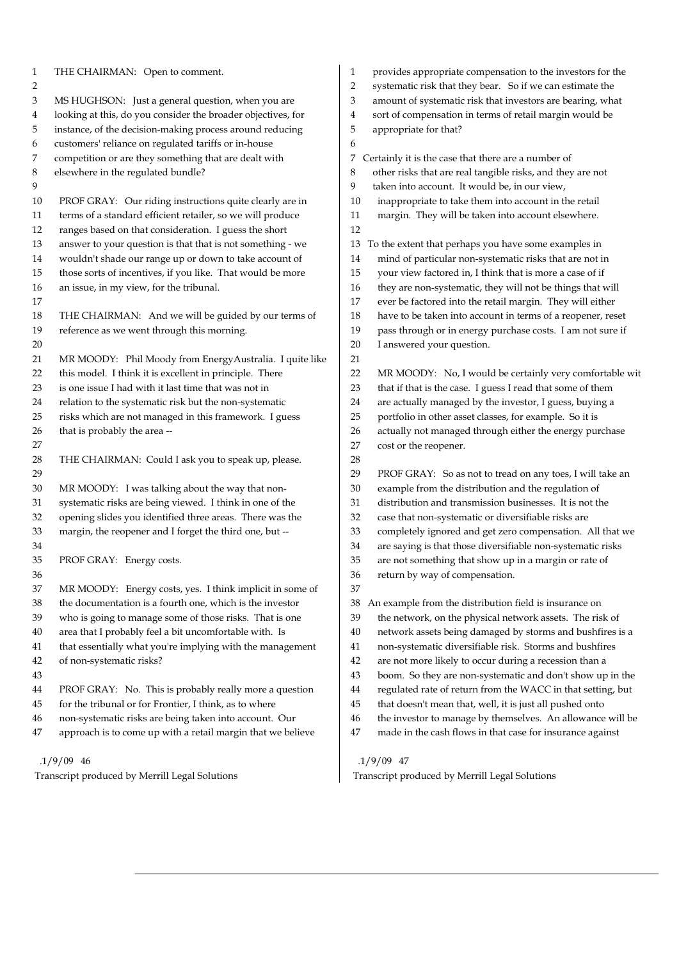| 1        | THE CHAIRMAN: Open to comment.                                                                                        | 1        | provides appropriate compensation to the investors for the                                                              |
|----------|-----------------------------------------------------------------------------------------------------------------------|----------|-------------------------------------------------------------------------------------------------------------------------|
| 2<br>3   | MS HUGHSON: Just a general question, when you are                                                                     | 2<br>3   | systematic risk that they bear. So if we can estimate the<br>amount of systematic risk that investors are bearing, what |
|          | looking at this, do you consider the broader objectives, for                                                          | 4        | sort of compensation in terms of retail margin would be                                                                 |
| 4<br>5   | instance, of the decision-making process around reducing                                                              | 5        | appropriate for that?                                                                                                   |
| 6        | customers' reliance on regulated tariffs or in-house                                                                  | 6        |                                                                                                                         |
| 7        | competition or are they something that are dealt with                                                                 | 7.       | Certainly it is the case that there are a number of                                                                     |
| 8        | elsewhere in the regulated bundle?                                                                                    | 8        | other risks that are real tangible risks, and they are not                                                              |
| 9        |                                                                                                                       | 9        | taken into account. It would be, in our view,                                                                           |
| 10       |                                                                                                                       | 10       | inappropriate to take them into account in the retail                                                                   |
| 11       | PROF GRAY: Our riding instructions quite clearly are in<br>terms of a standard efficient retailer, so we will produce | 11       | margin. They will be taken into account elsewhere.                                                                      |
| 12       | ranges based on that consideration. I guess the short                                                                 | 12       |                                                                                                                         |
| 13       | answer to your question is that that is not something - we                                                            |          |                                                                                                                         |
|          | wouldn't shade our range up or down to take account of                                                                | 13<br>14 | To the extent that perhaps you have some examples in                                                                    |
| 14<br>15 |                                                                                                                       | 15       | mind of particular non-systematic risks that are not in                                                                 |
|          | those sorts of incentives, if you like. That would be more                                                            | 16       | your view factored in, I think that is more a case of if                                                                |
| 16       | an issue, in my view, for the tribunal.                                                                               |          | they are non-systematic, they will not be things that will                                                              |
| 17       |                                                                                                                       | 17       | ever be factored into the retail margin. They will either                                                               |
| 18       | THE CHAIRMAN: And we will be guided by our terms of                                                                   | 18       | have to be taken into account in terms of a reopener, reset                                                             |
| 19       | reference as we went through this morning.                                                                            | 19       | pass through or in energy purchase costs. I am not sure if                                                              |
| 20       |                                                                                                                       | 20       | I answered your question.                                                                                               |
| 21       | MR MOODY: Phil Moody from EnergyAustralia. I quite like                                                               | 21       |                                                                                                                         |
| 22       | this model. I think it is excellent in principle. There                                                               | 22       | MR MOODY: No, I would be certainly very comfortable wit                                                                 |
| 23       | is one issue I had with it last time that was not in                                                                  | 23       | that if that is the case. I guess I read that some of them                                                              |
| 24       | relation to the systematic risk but the non-systematic                                                                | 24       | are actually managed by the investor, I guess, buying a                                                                 |
| 25       | risks which are not managed in this framework. I guess                                                                | 25       | portfolio in other asset classes, for example. So it is                                                                 |
| 26       | that is probably the area --                                                                                          | 26       | actually not managed through either the energy purchase                                                                 |
| 27       |                                                                                                                       | 27<br>28 | cost or the reopener.                                                                                                   |
| 28<br>29 | THE CHAIRMAN: Could I ask you to speak up, please.                                                                    | 29       |                                                                                                                         |
| 30       | MR MOODY: I was talking about the way that non-                                                                       | 30       | PROF GRAY: So as not to tread on any toes, I will take an<br>example from the distribution and the regulation of        |
| 31       | systematic risks are being viewed. I think in one of the                                                              | 31       | distribution and transmission businesses. It is not the                                                                 |
| 32       | opening slides you identified three areas. There was the                                                              | 32       | case that non-systematic or diversifiable risks are                                                                     |
| 33       | margin, the reopener and I forget the third one, but --                                                               | 33       | completely ignored and get zero compensation. All that we                                                               |
| 34       |                                                                                                                       | 34       | are saying is that those diversifiable non-systematic risks                                                             |
| 35       | PROF GRAY: Energy costs.                                                                                              | 35       | are not something that show up in a margin or rate of                                                                   |
| 36       |                                                                                                                       | 36       | return by way of compensation.                                                                                          |
| 37       | MR MOODY: Energy costs, yes. I think implicit in some of                                                              | 37       |                                                                                                                         |
| 38       | the documentation is a fourth one, which is the investor                                                              | 38       | An example from the distribution field is insurance on                                                                  |
| 39       | who is going to manage some of those risks. That is one                                                               | 39       | the network, on the physical network assets. The risk of                                                                |
| 40       | area that I probably feel a bit uncomfortable with. Is                                                                | 40       | network assets being damaged by storms and bushfires is a                                                               |
| 41       | that essentially what you're implying with the management                                                             | 41       | non-systematic diversifiable risk. Storms and bushfires                                                                 |
| 42       | of non-systematic risks?                                                                                              | 42       | are not more likely to occur during a recession than a                                                                  |
| 43       |                                                                                                                       | 43       | boom. So they are non-systematic and don't show up in the                                                               |
| 44       | PROF GRAY: No. This is probably really more a question                                                                | 44       | regulated rate of return from the WACC in that setting, but                                                             |
| 45       | for the tribunal or for Frontier, I think, as to where                                                                | 45       | that doesn't mean that, well, it is just all pushed onto                                                                |
| 46       | non-systematic risks are being taken into account. Our                                                                | 46       | the investor to manage by themselves. An allowance will be                                                              |
| 47       | approach is to come up with a retail margin that we believe                                                           | 47       | made in the cash flows in that case for insurance against                                                               |
|          |                                                                                                                       |          |                                                                                                                         |
|          | $.1/9/09$ 46                                                                                                          |          | $.1/9/09$ 47                                                                                                            |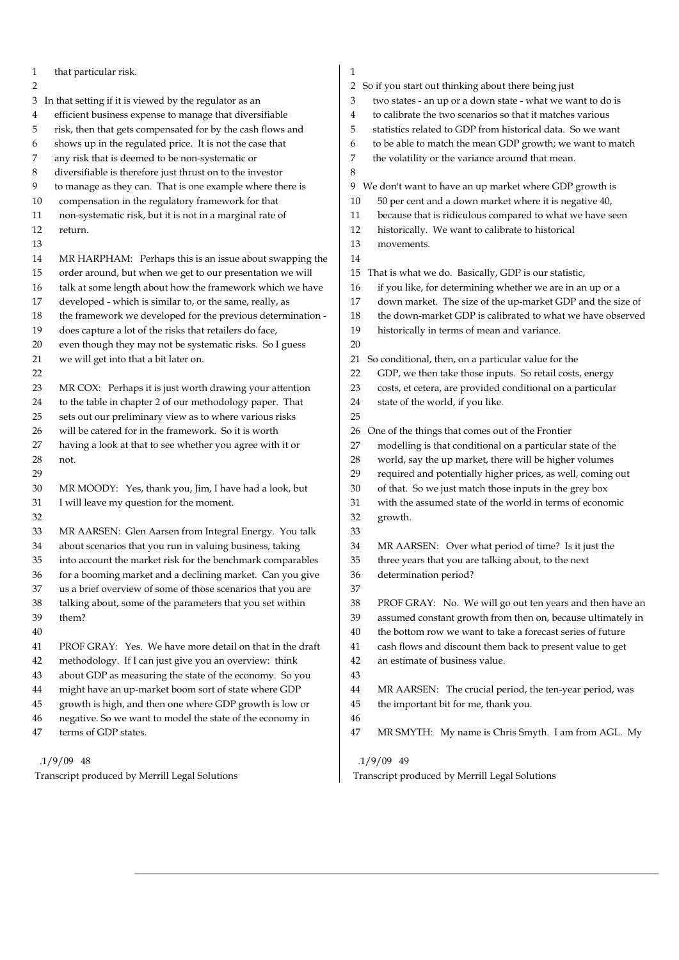1 that particular risk. 2 3 In that setting if it is viewed by the regulator as an 4 efficient business expense to manage that diversifiable 5 risk, then that gets compensated for by the cash flows and 6 shows up in the regulated price. It is not the case that 7 any risk that is deemed to be non-systematic or 8 diversifiable is therefore just thrust on to the investor 9 to manage as they can. That is one example where there is 10 compensation in the regulatory framework for that 11 non-systematic risk, but it is not in a marginal rate of 12 return. 13 14 MR HARPHAM: Perhaps this is an issue about swapping the 15 order around, but when we get to our presentation we will 16 talk at some length about how the framework which we have 17 developed - which is similar to, or the same, really, as 18 the framework we developed for the previous determination - 19 does capture a lot of the risks that retailers do face, 20 even though they may not be systematic risks. So I guess 21 we will get into that a bit later on. 22 23 MR COX: Perhaps it is just worth drawing your attention 24 to the table in chapter 2 of our methodology paper. That 25 sets out our preliminary view as to where various risks 26 will be catered for in the framework. So it is worth 27 having a look at that to see whether you agree with it or 28 not. 29 30 MR MOODY: Yes, thank you, Jim, I have had a look, but 31 I will leave my question for the moment. 32 33 MR AARSEN: Glen Aarsen from Integral Energy. You talk 34 about scenarios that you run in valuing business, taking 35 into account the market risk for the benchmark comparables 36 for a booming market and a declining market. Can you give 37 us a brief overview of some of those scenarios that you are 38 talking about, some of the parameters that you set within 39 them? 40 41 PROF GRAY: Yes. We have more detail on that in the draft 42 methodology. If I can just give you an overview: think 43 about GDP as measuring the state of the economy. So you 44 might have an up-market boom sort of state where GDP 45 growth is high, and then one where GDP growth is low or 46 negative. So we want to model the state of the economy in 47 terms of GDP states. .1/9/09 48 1 2 So if you start out thinking about there being just 3 two states - an up or a down state - what we want to do is 4 to calibrate the two scenarios so that it matches various 5 statistics related to GDP from historical data. So we want 6 to be able to match the mean GDP growth; we want to match 7 the volatility or the variance around that mean. 8 9 We don't want to have an up market where GDP growth is 10 50 per cent and a down market where it is negative 40, 11 because that is ridiculous compared to what we have seen 12 historically. We want to calibrate to historical 13 movements. 14 15 That is what we do. Basically, GDP is our statistic, 16 if you like, for determining whether we are in an up or a 17 down market. The size of the up-market GDP and the size of 18 the down-market GDP is calibrated to what we have observed 19 historically in terms of mean and variance. 20 21 So conditional, then, on a particular value for the 22 GDP, we then take those inputs. So retail costs, energy 23 costs, et cetera, are provided conditional on a particular 24 state of the world, if you like. 25 26 One of the things that comes out of the Frontier 27 modelling is that conditional on a particular state of the 28 world, say the up market, there will be higher volumes 29 required and potentially higher prices, as well, coming out 30 of that. So we just match those inputs in the grey box 31 with the assumed state of the world in terms of economic 32 growth. 33 34 MR AARSEN: Over what period of time? Is it just the 35 three years that you are talking about, to the next 36 determination period? 37 38 PROF GRAY: No. We will go out ten years and then have an 39 assumed constant growth from then on, because ultimately in 40 the bottom row we want to take a forecast series of future 41 cash flows and discount them back to present value to get 42 an estimate of business value. 43 44 MR AARSEN: The crucial period, the ten-year period, was 45 the important bit for me, thank you. 46 47 MR SMYTH: My name is Chris Smyth. I am from AGL. My .1/9/09 49

Transcript produced by Merrill Legal Solutions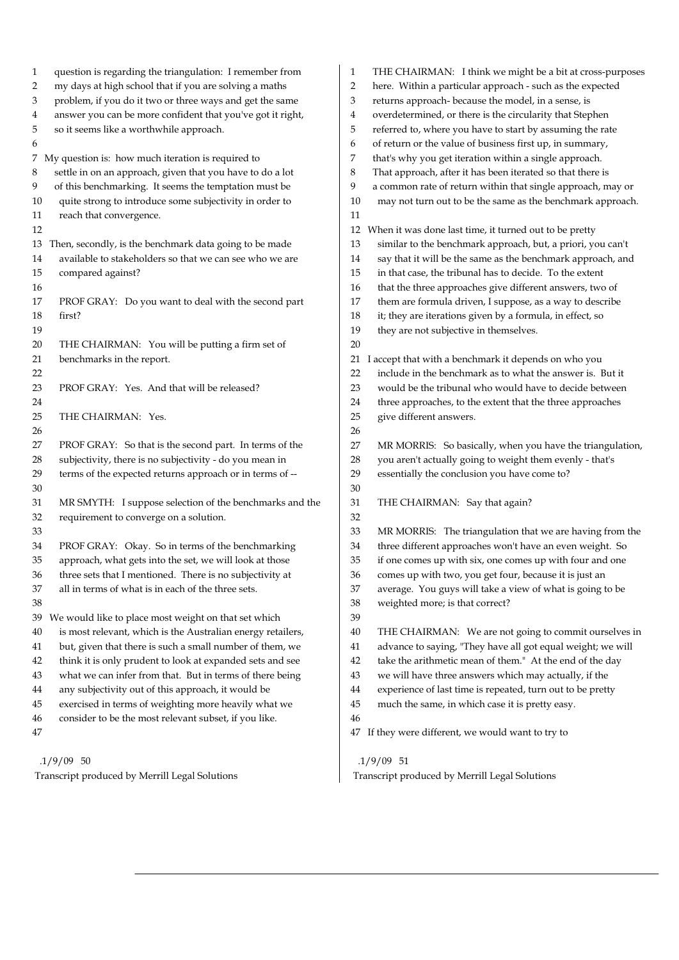| question is regarding the triangulation: I remember from    | THE CHAIRMAN: I think we might be a bit at cross-purposes       |
|-------------------------------------------------------------|-----------------------------------------------------------------|
| 1                                                           | 1                                                               |
| my days at high school that if you are solving a maths      | here. Within a particular approach - such as the expected       |
| $\overline{\mathbf{c}}$                                     | 2                                                               |
| problem, if you do it two or three ways and get the same    | returns approach- because the model, in a sense, is             |
| 3                                                           | 3                                                               |
| answer you can be more confident that you've got it right,  | overdetermined, or there is the circularity that Stephen        |
| 4                                                           | 4                                                               |
| 5                                                           | referred to, where you have to start by assuming the rate       |
| so it seems like a worthwhile approach.                     | 5                                                               |
| 6                                                           | of return or the value of business first up, in summary,<br>6   |
| 7 My question is: how much iteration is required to         | that's why you get iteration within a single approach.<br>7     |
| settle in on an approach, given that you have to do a lot   | That approach, after it has been iterated so that there is      |
| 8                                                           | 8                                                               |
| of this benchmarking. It seems the temptation must be       | a common rate of return within that single approach, may or     |
| 9                                                           | 9                                                               |
| quite strong to introduce some subjectivity in order to     | may not turn out to be the same as the benchmark approach.      |
| 10                                                          | 10                                                              |
| reach that convergence.<br>11                               | 11                                                              |
| 12                                                          | When it was done last time, it turned out to be pretty<br>12    |
| Then, secondly, is the benchmark data going to be made      | similar to the benchmark approach, but, a priori, you can't     |
| 13                                                          | 13                                                              |
| available to stakeholders so that we can see who we are     | say that it will be the same as the benchmark approach, and     |
| 14                                                          | 14                                                              |
| 15                                                          | 15                                                              |
| compared against?                                           | in that case, the tribunal has to decide. To the extent         |
| 16                                                          | that the three approaches give different answers, two of<br>16  |
| 17                                                          | them are formula driven, I suppose, as a way to describe        |
| PROF GRAY: Do you want to deal with the second part         | 17                                                              |
| 18                                                          | it; they are iterations given by a formula, in effect, so       |
| first?                                                      | 18                                                              |
| 19                                                          | they are not subjective in themselves.<br>19                    |
| 20<br>THE CHAIRMAN: You will be putting a firm set of       | 20                                                              |
| 21                                                          | I accept that with a benchmark it depends on who you            |
| benchmarks in the report.                                   | 21                                                              |
| 22                                                          | include in the benchmark as to what the answer is. But it<br>22 |
| 23                                                          | would be the tribunal who would have to decide between          |
| PROF GRAY: Yes. And that will be released?                  | 23                                                              |
| 24                                                          | three approaches, to the extent that the three approaches<br>24 |
| 25                                                          | 25                                                              |
| THE CHAIRMAN: Yes.                                          | give different answers.                                         |
| 26                                                          | 26                                                              |
| PROF GRAY: So that is the second part. In terms of the      | 27                                                              |
| 27                                                          | MR MORRIS: So basically, when you have the triangulation,       |
| subjectivity, there is no subjectivity - do you mean in     | you aren't actually going to weight them evenly - that's        |
| 28                                                          | 28                                                              |
| terms of the expected returns approach or in terms of --    | 29                                                              |
| 29                                                          | essentially the conclusion you have come to?                    |
| 30                                                          | 30                                                              |
| MR SMYTH: I suppose selection of the benchmarks and the     | 31                                                              |
| 31                                                          | THE CHAIRMAN: Say that again?                                   |
| requirement to converge on a solution.<br>32                | 32                                                              |
| 33                                                          | MR MORRIS: The triangulation that we are having from the<br>33  |
| 34                                                          | three different approaches won't have an even weight. So        |
| PROF GRAY: Okay. So in terms of the benchmarking            | 34                                                              |
| approach, what gets into the set, we will look at those     | if one comes up with six, one comes up with four and one        |
| 35                                                          | 35                                                              |
| three sets that I mentioned. There is no subjectivity at    | 36                                                              |
| 36                                                          | comes up with two, you get four, because it is just an          |
| 37                                                          | average. You guys will take a view of what is going to be       |
| all in terms of what is in each of the three sets.          | 37                                                              |
| 38                                                          | weighted more; is that correct?<br>38                           |
| We would like to place most weight on that set which<br>39  | 39                                                              |
| is most relevant, which is the Australian energy retailers, | 40                                                              |
| 40                                                          | THE CHAIRMAN: We are not going to commit ourselves in           |
| but, given that there is such a small number of them, we    | advance to saying, "They have all got equal weight; we will     |
| 41                                                          | 41                                                              |
| think it is only prudent to look at expanded sets and see   | take the arithmetic mean of them." At the end of the day        |
| 42                                                          | 42                                                              |
| what we can infer from that. But in terms of there being    | we will have three answers which may actually, if the           |
| 43                                                          | 43                                                              |
| any subjectivity out of this approach, it would be          | experience of last time is repeated, turn out to be pretty      |
| 44                                                          | 44                                                              |
| exercised in terms of weighting more heavily what we        | much the same, in which case it is pretty easy.                 |
| 45                                                          | 45                                                              |
| consider to be the most relevant subset, if you like.<br>46 | 46                                                              |
| 47                                                          | If they were different, we would want to try to<br>47           |
|                                                             |                                                                 |
| $.1/9/09$ 50                                                | $.1/9/09$ 51                                                    |
| Transcript produced by Merrill Legal Solutions              | Transcript produced by Merrill Legal Solutions                  |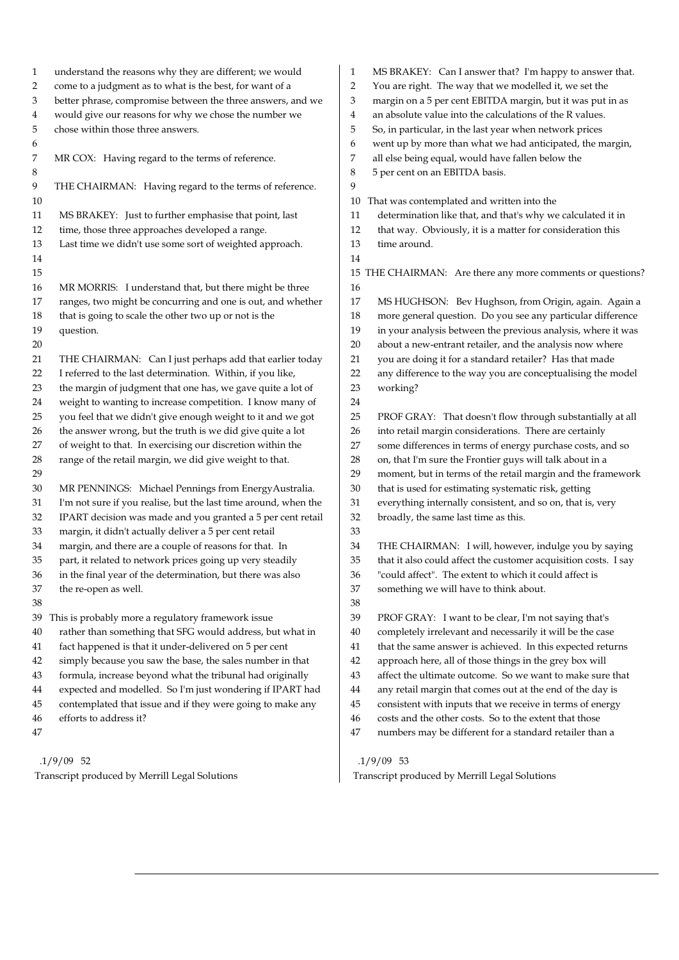1 understand the reasons why they are different; we would 2 come to a judgment as to what is the best, for want of a 3 better phrase, compromise between the three answers, and we 4 would give our reasons for why we chose the number we 5 chose within those three answers. 6 7 MR COX: Having regard to the terms of reference. 8 9 THE CHAIRMAN: Having regard to the terms of reference. 10 11 MS BRAKEY: Just to further emphasise that point, last 12 time, those three approaches developed a range. 13 Last time we didn't use some sort of weighted approach. 14 15 16 MR MORRIS: I understand that, but there might be three 17 ranges, two might be concurring and one is out, and whether 18 that is going to scale the other two up or not is the 19 question. 20 21 THE CHAIRMAN: Can I just perhaps add that earlier today 22 I referred to the last determination. Within, if you like, 23 the margin of judgment that one has, we gave quite a lot of 24 weight to wanting to increase competition. I know many of 25 you feel that we didn't give enough weight to it and we got 26 the answer wrong, but the truth is we did give quite a lot 27 of weight to that. In exercising our discretion within the 28 range of the retail margin, we did give weight to that. 29 30 MR PENNINGS: Michael Pennings from EnergyAustralia. 31 I'm not sure if you realise, but the last time around, when the 32 IPART decision was made and you granted a 5 per cent retail 33 margin, it didn't actually deliver a 5 per cent retail 34 margin, and there are a couple of reasons for that. In 35 part, it related to network prices going up very steadily 36 in the final year of the determination, but there was also 37 the re-open as well. 38 39 This is probably more a regulatory framework issue 40 rather than something that SFG would address, but what in 41 fact happened is that it under-delivered on 5 per cent 42 simply because you saw the base, the sales number in that 43 formula, increase beyond what the tribunal had originally 44 expected and modelled. So I'm just wondering if IPART had 45 contemplated that issue and if they were going to make any 46 efforts to address it? 47 .1/9/09 52 1 MS BRAKEY: Can I answer that? I'm happy to answer that. 2 You are right. The way that we modelled it, we set the 3 margin on a 5 per cent EBITDA margin, but it was put in as 4 an absolute value into the calculations of the R values. 5 So, in particular, in the last year when network prices 6 went up by more than what we had anticipated, the margin, 7 all else being equal, would have fallen below the 8 5 per cent on an EBITDA basis.  $\overline{Q}$ 10 That was contemplated and written into the 11 determination like that, and that's why we calculated it in 12 that way. Obviously, it is a matter for consideration this 13 time around. 14 15 THE CHAIRMAN: Are there any more comments or questions? 16 17 MS HUGHSON: Bev Hughson, from Origin, again. Again a 18 more general question. Do you see any particular difference 19 in your analysis between the previous analysis, where it was 20 about a new-entrant retailer, and the analysis now where 21 you are doing it for a standard retailer? Has that made 22 any difference to the way you are conceptualising the model 23 working? 24 25 PROF GRAY: That doesn't flow through substantially at all 26 into retail margin considerations. There are certainly 27 some differences in terms of energy purchase costs, and so 28 on, that I'm sure the Frontier guys will talk about in a 29 moment, but in terms of the retail margin and the framework 30 that is used for estimating systematic risk, getting 31 everything internally consistent, and so on, that is, very 32 broadly, the same last time as this. 33 34 THE CHAIRMAN: I will, however, indulge you by saying 35 that it also could affect the customer acquisition costs. I say 36 "could affect". The extent to which it could affect is 37 something we will have to think about. 38 39 PROF GRAY: I want to be clear, I'm not saying that's 40 completely irrelevant and necessarily it will be the case 41 that the same answer is achieved. In this expected returns 42 approach here, all of those things in the grey box will 43 affect the ultimate outcome. So we want to make sure that 44 any retail margin that comes out at the end of the day is 45 consistent with inputs that we receive in terms of energy 46 costs and the other costs. So to the extent that those 47 numbers may be different for a standard retailer than a .1/9/09 53

Transcript produced by Merrill Legal Solutions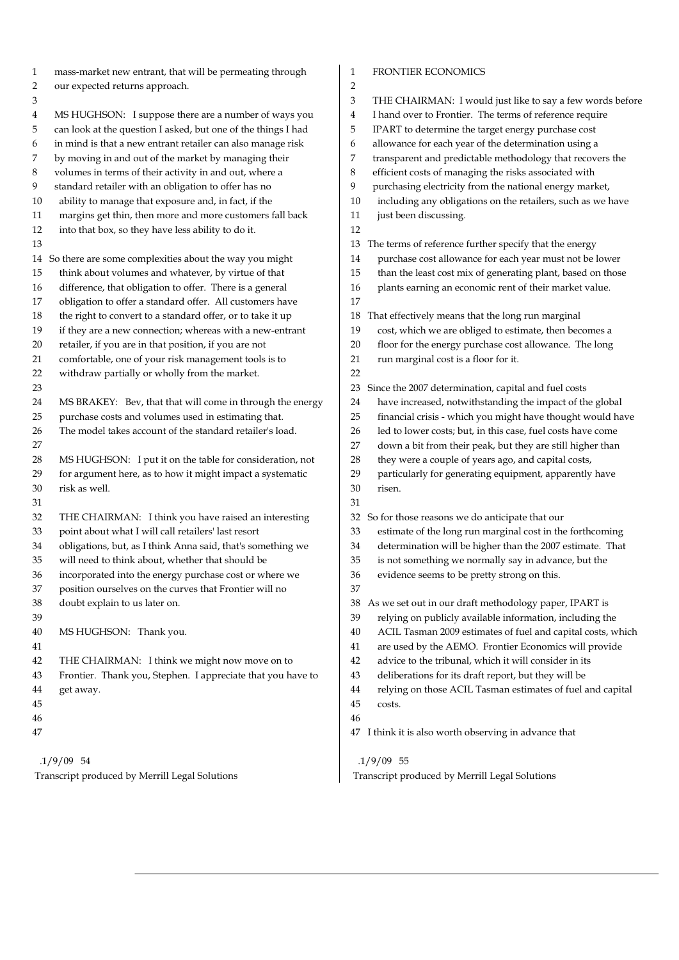| 1                                                              | <b>FRONTIER ECONOMICS</b>                                        |
|----------------------------------------------------------------|------------------------------------------------------------------|
| mass-market new entrant, that will be permeating through       | 1                                                                |
| $\overline{\mathbf{c}}$<br>our expected returns approach.      | $\overline{2}$                                                   |
| 3                                                              | 3<br>THE CHAIRMAN: I would just like to say a few words before   |
| MS HUGHSON: I suppose there are a number of ways you           | I hand over to Frontier. The terms of reference require          |
| 4                                                              | 4                                                                |
| 5                                                              | 5                                                                |
| can look at the question I asked, but one of the things I had  | IPART to determine the target energy purchase cost               |
| in mind is that a new entrant retailer can also manage risk    | allowance for each year of the determination using a             |
| 6                                                              | 6                                                                |
| by moving in and out of the market by managing their           | transparent and predictable methodology that recovers the        |
| 7                                                              | 7                                                                |
| volumes in terms of their activity in and out, where a         | 8                                                                |
| 8                                                              | efficient costs of managing the risks associated with            |
| 9                                                              | purchasing electricity from the national energy market,          |
| standard retailer with an obligation to offer has no           | 9                                                                |
| ability to manage that exposure and, in fact, if the           | including any obligations on the retailers, such as we have      |
| 10                                                             | 10                                                               |
| margins get thin, then more and more customers fall back       | just been discussing.                                            |
| 11                                                             | 11                                                               |
| into that box, so they have less ability to do it.<br>12       | 12                                                               |
| 13                                                             | The terms of reference further specify that the energy<br>13     |
| 14 So there are some complexities about the way you might      | purchase cost allowance for each year must not be lower<br>14    |
| think about volumes and whatever, by virtue of that            | than the least cost mix of generating plant, based on those      |
| 15                                                             | 15                                                               |
| difference, that obligation to offer. There is a general       | plants earning an economic rent of their market value.           |
| 16                                                             | 16                                                               |
| obligation to offer a standard offer. All customers have<br>17 | 17                                                               |
| 18                                                             | That effectively means that the long run marginal                |
| the right to convert to a standard offer, or to take it up     | 18                                                               |
| 19                                                             | cost, which we are obliged to estimate, then becomes a           |
| if they are a new connection; whereas with a new-entrant       | 19                                                               |
| retailer, if you are in that position, if you are not          | floor for the energy purchase cost allowance. The long           |
| 20                                                             | 20                                                               |
| comfortable, one of your risk management tools is to           | 21                                                               |
| 21                                                             | run marginal cost is a floor for it.                             |
| withdraw partially or wholly from the market.<br>22            | 22                                                               |
| 23                                                             | Since the 2007 determination, capital and fuel costs<br>23       |
| MS BRAKEY: Bev, that that will come in through the energy      | have increased, notwithstanding the impact of the global         |
| 24                                                             | 24                                                               |
| purchase costs and volumes used in estimating that.            | 25                                                               |
| 25                                                             | financial crisis - which you might have thought would have       |
| 26                                                             | led to lower costs; but, in this case, fuel costs have come      |
| The model takes account of the standard retailer's load.       | 26                                                               |
| 27                                                             | 27<br>down a bit from their peak, but they are still higher than |
| 28                                                             | 28                                                               |
| MS HUGHSON: I put it on the table for consideration, not       | they were a couple of years ago, and capital costs,              |
| for argument here, as to how it might impact a systematic      | particularly for generating equipment, apparently have           |
| 29                                                             | 29                                                               |
| risk as well.                                                  | 30                                                               |
| 30                                                             | risen.                                                           |
| 31                                                             | 31                                                               |
| 32                                                             | So for those reasons we do anticipate that our                   |
| THE CHAIRMAN: I think you have raised an interesting           | 32                                                               |
| point about what I will call retailers' last resort            | estimate of the long run marginal cost in the forthcoming        |
| 33                                                             | 33                                                               |
| obligations, but, as I think Anna said, that's something we    | determination will be higher than the 2007 estimate. That        |
| 34                                                             | 34                                                               |
| will need to think about, whether that should be               | 35                                                               |
| 35                                                             | is not something we normally say in advance, but the             |
| 36                                                             | evidence seems to be pretty strong on this.                      |
| incorporated into the energy purchase cost or where we         | 36                                                               |
| position ourselves on the curves that Frontier will no<br>37   | 37                                                               |
| 38                                                             | As we set out in our draft methodology paper, IPART is           |
| doubt explain to us later on.                                  | 38                                                               |
| 39                                                             | relying on publicly available information, including the<br>39   |
| 40                                                             | ACIL Tasman 2009 estimates of fuel and capital costs, which      |
| MS HUGHSON: Thank you.                                         | 40                                                               |
| 41                                                             | are used by the AEMO. Frontier Economics will provide<br>41      |
| 42                                                             | 42                                                               |
| THE CHAIRMAN: I think we might now move on to                  | advice to the tribunal, which it will consider in its            |
| Frontier. Thank you, Stephen. I appreciate that you have to    | deliberations for its draft report, but they will be             |
| 43                                                             | 43                                                               |
| 44                                                             | relying on those ACIL Tasman estimates of fuel and capital       |
| get away.                                                      | 44                                                               |
| 45                                                             | 45<br>costs.                                                     |
| 46                                                             | 46                                                               |
| 47                                                             | 47 I think it is also worth observing in advance that            |
| $.1/9/09$ 54                                                   | $.1/9/09$ 55                                                     |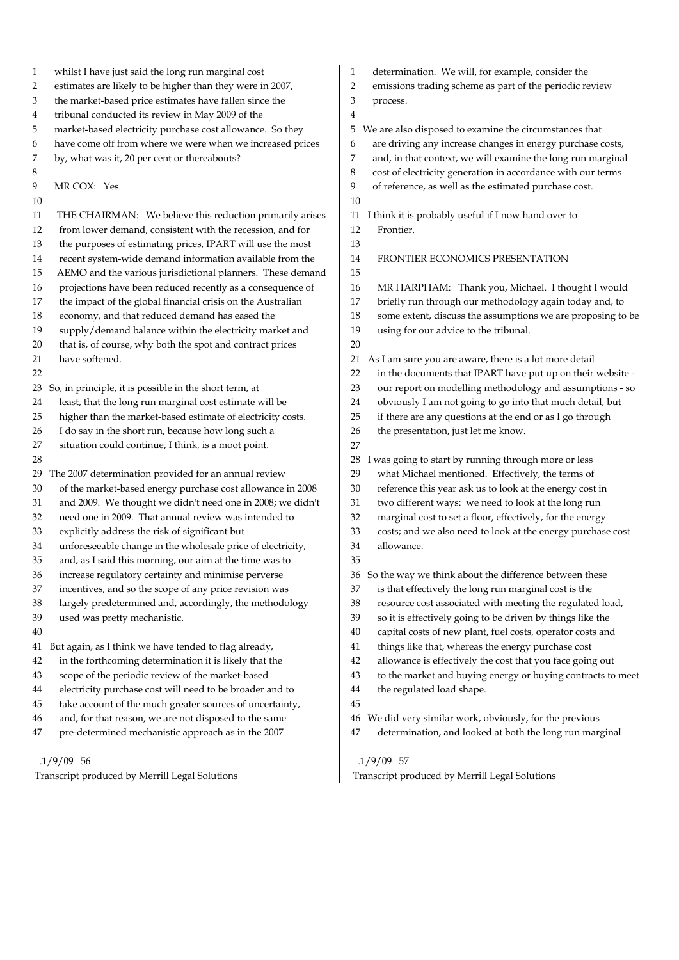1 whilst I have just said the long run marginal cost 2 estimates are likely to be higher than they were in 2007, 3 the market-based price estimates have fallen since the 4 tribunal conducted its review in May 2009 of the 5 market-based electricity purchase cost allowance. So they 6 have come off from where we were when we increased prices 7 by, what was it, 20 per cent or thereabouts? 8 9 MR COX: Yes. 10 11 THE CHAIRMAN: We believe this reduction primarily arises 12 from lower demand, consistent with the recession, and for 13 the purposes of estimating prices, IPART will use the most 14 recent system-wide demand information available from the 15 AEMO and the various jurisdictional planners. These demand 16 projections have been reduced recently as a consequence of 17 the impact of the global financial crisis on the Australian 18 economy, and that reduced demand has eased the 19 supply/demand balance within the electricity market and 20 that is, of course, why both the spot and contract prices 21 have softened. 22 23 So, in principle, it is possible in the short term, at 24 least, that the long run marginal cost estimate will be 25 higher than the market-based estimate of electricity costs. 26 I do say in the short run, because how long such a 27 situation could continue, I think, is a moot point. 28 29 The 2007 determination provided for an annual review 30 of the market-based energy purchase cost allowance in 2008 31 and 2009. We thought we didn't need one in 2008; we didn't 32 need one in 2009. That annual review was intended to 33 explicitly address the risk of significant but 34 unforeseeable change in the wholesale price of electricity, 35 and, as I said this morning, our aim at the time was to 36 increase regulatory certainty and minimise perverse 37 incentives, and so the scope of any price revision was 38 largely predetermined and, accordingly, the methodology 39 used was pretty mechanistic. 40 41 But again, as I think we have tended to flag already, 42 in the forthcoming determination it is likely that the 43 scope of the periodic review of the market-based 44 electricity purchase cost will need to be broader and to 45 take account of the much greater sources of uncertainty, 46 and, for that reason, we are not disposed to the same 47 pre-determined mechanistic approach as in the 2007 1 determination. We will, for example, consider the 2 emissions trading scheme as part of the periodic review 3 process. 4 5 We are also disposed to examine the circumstances that 6 are driving any increase changes in energy purchase costs, 7 and, in that context, we will examine the long run marginal 8 cost of electricity generation in accordance with our terms 9 of reference, as well as the estimated purchase cost. 10 11 I think it is probably useful if I now hand over to 12 Frontier. 13 14 FRONTIER ECONOMICS PRESENTATION 15 16 MR HARPHAM: Thank you, Michael. I thought I would 17 briefly run through our methodology again today and, to 18 some extent, discuss the assumptions we are proposing to be 19 using for our advice to the tribunal. 20 21 As I am sure you are aware, there is a lot more detail 22 in the documents that IPART have put up on their website - 23 our report on modelling methodology and assumptions - so 24 obviously I am not going to go into that much detail, but 25 if there are any questions at the end or as I go through 26 the presentation, just let me know. 27 28 I was going to start by running through more or less 29 what Michael mentioned. Effectively, the terms of 30 reference this year ask us to look at the energy cost in 31 two different ways: we need to look at the long run 32 marginal cost to set a floor, effectively, for the energy 33 costs; and we also need to look at the energy purchase cost 34 allowance. 35 36 So the way we think about the difference between these 37 is that effectively the long run marginal cost is the 38 resource cost associated with meeting the regulated load, 39 so it is effectively going to be driven by things like the 40 capital costs of new plant, fuel costs, operator costs and 41 things like that, whereas the energy purchase cost 42 allowance is effectively the cost that you face going out 43 to the market and buying energy or buying contracts to meet 44 the regulated load shape. 45 46 We did very similar work, obviously, for the previous 47 determination, and looked at both the long run marginal

#### .1/9/09 56

Transcript produced by Merrill Legal Solutions

.1/9/09 57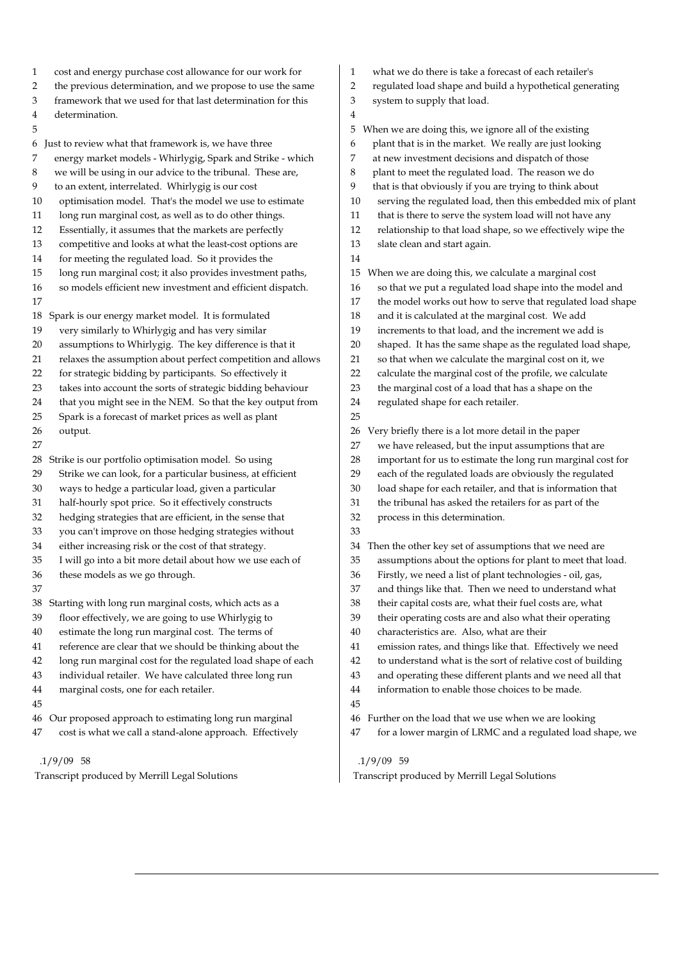- 1 cost and energy purchase cost allowance for our work for
- 2 the previous determination, and we propose to use the same
- 3 framework that we used for that last determination for this
- 4 determination.
- 5

6 Just to review what that framework is, we have three

- 7 energy market models Whirlygig, Spark and Strike which
- 8 we will be using in our advice to the tribunal. These are,
- 9 to an extent, interrelated. Whirlygig is our cost
- 10 optimisation model. That's the model we use to estimate
- 11 long run marginal cost, as well as to do other things.
- 12 Essentially, it assumes that the markets are perfectly
- 13 competitive and looks at what the least-cost options are
- 14 for meeting the regulated load. So it provides the
- 15 long run marginal cost; it also provides investment paths,
- 16 so models efficient new investment and efficient dispatch. 17
- 18 Spark is our energy market model. It is formulated
- 19 very similarly to Whirlygig and has very similar
- 20 assumptions to Whirlygig. The key difference is that it
- 21 relaxes the assumption about perfect competition and allows
- 22 for strategic bidding by participants. So effectively it
- 23 takes into account the sorts of strategic bidding behaviour
- 24 that you might see in the NEM. So that the key output from
- 25 Spark is a forecast of market prices as well as plant
- 26 output.
- 27
- 28 Strike is our portfolio optimisation model. So using
- 29 Strike we can look, for a particular business, at efficient
- 30 ways to hedge a particular load, given a particular
- 31 half-hourly spot price. So it effectively constructs
- 32 hedging strategies that are efficient, in the sense that
- 33 you can't improve on those hedging strategies without
- 34 either increasing risk or the cost of that strategy.
- 35 I will go into a bit more detail about how we use each of
- 36 these models as we go through.
- 37
- 
- 38 Starting with long run marginal costs, which acts as a
- 39 floor effectively, we are going to use Whirlygig to
- 40 estimate the long run marginal cost. The terms of
- 41 reference are clear that we should be thinking about the
- 42 long run marginal cost for the regulated load shape of each
- 43 individual retailer. We have calculated three long run
- 44 marginal costs, one for each retailer.
- 45
- 46 Our proposed approach to estimating long run marginal
- 47 cost is what we call a stand-alone approach. Effectively

#### .1/9/09 58

Transcript produced by Merrill Legal Solutions

- 1 what we do there is take a forecast of each retailer's
- 2 regulated load shape and build a hypothetical generating
- 3 system to supply that load.
- 4

14

- 5 When we are doing this, we ignore all of the existing 6 plant that is in the market. We really are just looking 7 at new investment decisions and dispatch of those
- 8 plant to meet the regulated load. The reason we do
- 9 that is that obviously if you are trying to think about
- 10 serving the regulated load, then this embedded mix of plant
- 11 that is there to serve the system load will not have any
- 12 relationship to that load shape, so we effectively wipe the
- 13 slate clean and start again.
- 15 When we are doing this, we calculate a marginal cost
- 16 so that we put a regulated load shape into the model and
- 17 the model works out how to serve that regulated load shape
- 18 and it is calculated at the marginal cost. We add
- 19 increments to that load, and the increment we add is
- 20 shaped. It has the same shape as the regulated load shape,
- 21 so that when we calculate the marginal cost on it, we
- 22 calculate the marginal cost of the profile, we calculate
- 23 the marginal cost of a load that has a shape on the
- 24 regulated shape for each retailer.
- 25
- 26 Very briefly there is a lot more detail in the paper
- 27 we have released, but the input assumptions that are
- 28 important for us to estimate the long run marginal cost for
- 29 each of the regulated loads are obviously the regulated
- 30 load shape for each retailer, and that is information that
- 31 the tribunal has asked the retailers for as part of the
- 32 process in this determination.
- 34 Then the other key set of assumptions that we need are
- 35 assumptions about the options for plant to meet that load.
- 36 Firstly, we need a list of plant technologies oil, gas,
- 37 and things like that. Then we need to understand what
- 38 their capital costs are, what their fuel costs are, what
- 39 their operating costs are and also what their operating
- 40 characteristics are. Also, what are their
- 41 emission rates, and things like that. Effectively we need
- 42 to understand what is the sort of relative cost of building
- 43 and operating these different plants and we need all that
- 44 information to enable those choices to be made.
- 45

33

- 46 Further on the load that we use when we are looking
- 47 for a lower margin of LRMC and a regulated load shape, we

#### .1/9/09 59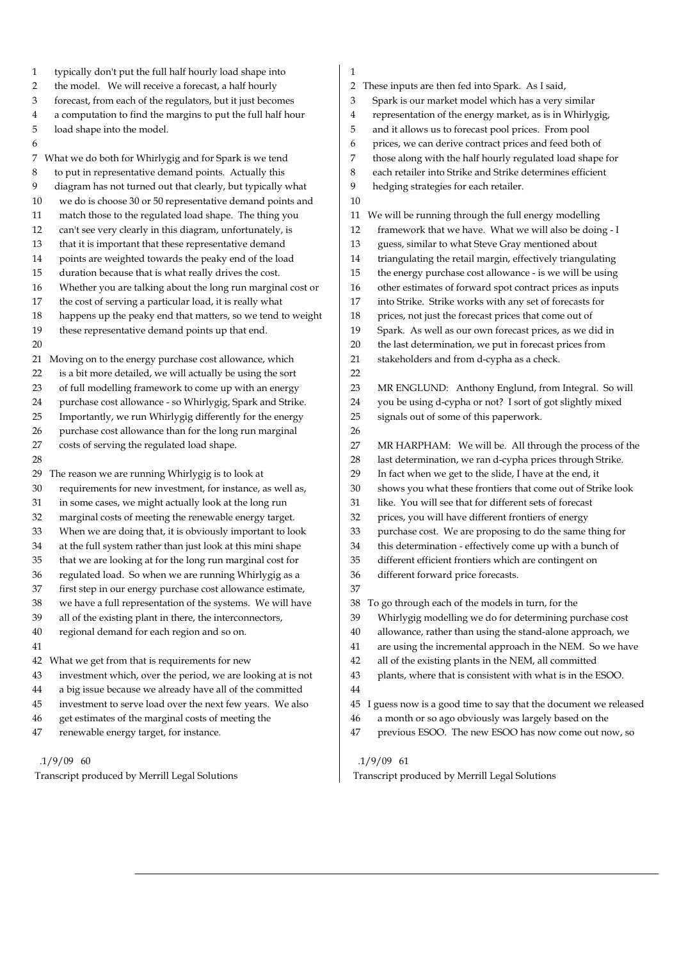| $\mathbf{1}$ | typically don't put the full half hourly load shape into    | 1        |                                                                 |
|--------------|-------------------------------------------------------------|----------|-----------------------------------------------------------------|
| 2            | the model. We will receive a forecast, a half hourly        | 2        | These inputs are then fed into Spark. As I said,                |
| 3            | forecast, from each of the regulators, but it just becomes  | 3        | Spark is our market model which has a very similar              |
| 4            | a computation to find the margins to put the full half hour | 4        | representation of the energy market, as is in Whirlygig,        |
| 5            | load shape into the model.                                  | 5        | and it allows us to forecast pool prices. From pool             |
| 6            |                                                             | 6        | prices, we can derive contract prices and feed both of          |
|              | 7 What we do both for Whirlygig and for Spark is we tend    | 7        | those along with the half hourly regulated load shape for       |
| 8            | to put in representative demand points. Actually this       | 8        | each retailer into Strike and Strike determines efficient       |
| 9            | diagram has not turned out that clearly, but typically what | 9        | hedging strategies for each retailer.                           |
| 10           | we do is choose 30 or 50 representative demand points and   | 10       |                                                                 |
| 11           | match those to the regulated load shape. The thing you      |          | We will be running through the full energy modelling            |
| 12           | can't see very clearly in this diagram, unfortunately, is   | 11<br>12 | framework that we have. What we will also be doing - I          |
|              |                                                             |          |                                                                 |
| 13           | that it is important that these representative demand       | 13       | guess, similar to what Steve Gray mentioned about               |
| 14           | points are weighted towards the peaky end of the load       | 14       | triangulating the retail margin, effectively triangulating      |
| 15           | duration because that is what really drives the cost.       | 15       | the energy purchase cost allowance - is we will be using        |
| 16           | Whether you are talking about the long run marginal cost or | 16       | other estimates of forward spot contract prices as inputs       |
| 17           | the cost of serving a particular load, it is really what    | 17       | into Strike. Strike works with any set of forecasts for         |
| 18           | happens up the peaky end that matters, so we tend to weight | 18       | prices, not just the forecast prices that come out of           |
| 19           | these representative demand points up that end.             | 19       | Spark. As well as our own forecast prices, as we did in         |
| 20           |                                                             | 20       | the last determination, we put in forecast prices from          |
|              | 21 Moving on to the energy purchase cost allowance, which   | 21       | stakeholders and from d-cypha as a check.                       |
| 22           | is a bit more detailed, we will actually be using the sort  | 22       |                                                                 |
| 23           | of full modelling framework to come up with an energy       | 23       | MR ENGLUND: Anthony Englund, from Integral. So will             |
| 24           | purchase cost allowance - so Whirlygig, Spark and Strike.   | 24       | you be using d-cypha or not? I sort of got slightly mixed       |
| 25           | Importantly, we run Whirlygig differently for the energy    | 25       | signals out of some of this paperwork.                          |
| 26           | purchase cost allowance than for the long run marginal      | 26       |                                                                 |
| 27           | costs of serving the regulated load shape.                  | 27       | MR HARPHAM: We will be. All through the process of the          |
| 28           |                                                             | 28       | last determination, we ran d-cypha prices through Strike.       |
| 29           | The reason we are running Whirlygig is to look at           | 29       | In fact when we get to the slide, I have at the end, it         |
| 30           | requirements for new investment, for instance, as well as,  | 30       | shows you what these frontiers that come out of Strike look     |
| 31           | in some cases, we might actually look at the long run       | 31       | like. You will see that for different sets of forecast          |
| 32           | marginal costs of meeting the renewable energy target.      | 32       | prices, you will have different frontiers of energy             |
| 33           | When we are doing that, it is obviously important to look   | 33       | purchase cost. We are proposing to do the same thing for        |
| 34           | at the full system rather than just look at this mini shape | 34       | this determination - effectively come up with a bunch of        |
| 35           | that we are looking at for the long run marginal cost for   | 35       | different efficient frontiers which are contingent on           |
| 36           | regulated load. So when we are running Whirlygig as a       | 36       | different forward price forecasts.                              |
| 37           | first step in our energy purchase cost allowance estimate,  | 37       |                                                                 |
| 38           | we have a full representation of the systems. We will have  | 38       | To go through each of the models in turn, for the               |
| 39           | all of the existing plant in there, the interconnectors,    | 39       | Whirlygig modelling we do for determining purchase cost         |
| 40           | regional demand for each region and so on.                  | 40       | allowance, rather than using the stand-alone approach, we       |
| 41           |                                                             | 41       | are using the incremental approach in the NEM. So we have       |
| 42           | What we get from that is requirements for new               | 42       | all of the existing plants in the NEM, all committed            |
| 43           | investment which, over the period, we are looking at is not | 43       | plants, where that is consistent with what is in the ESOO.      |
| 44           | a big issue because we already have all of the committed    | 44       |                                                                 |
| 45           | investment to serve load over the next few years. We also   | 45       | I guess now is a good time to say that the document we released |
| 46           | get estimates of the marginal costs of meeting the          | 46       | a month or so ago obviously was largely based on the            |
| 47           | renewable energy target, for instance.                      | 47       | previous ESOO. The new ESOO has now come out now, so            |
|              |                                                             |          |                                                                 |

Transcript produced by Merrill Legal Solutions

.1/9/09 61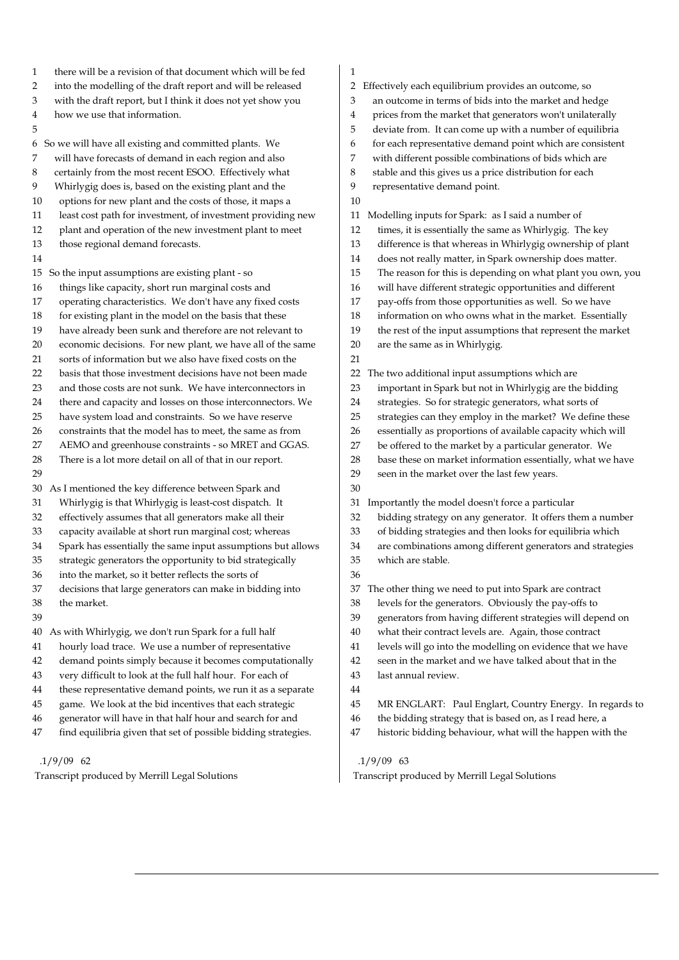- 1 there will be a revision of that document which will be fed
- 2 into the modelling of the draft report and will be released
- 3 with the draft report, but I think it does not yet show you
- 4 how we use that information.
- 5

6 So we will have all existing and committed plants. We 7 will have forecasts of demand in each region and also 8 certainly from the most recent ESOO. Effectively what 9 Whirlygig does is, based on the existing plant and the 10 options for new plant and the costs of those, it maps a

- 11 least cost path for investment, of investment providing new
- 12 plant and operation of the new investment plant to meet
- 13 those regional demand forecasts.
- 14

15 So the input assumptions are existing plant - so

- 16 things like capacity, short run marginal costs and
- 17 operating characteristics. We don't have any fixed costs
- 18 for existing plant in the model on the basis that these

19 have already been sunk and therefore are not relevant to

- 20 economic decisions. For new plant, we have all of the same
- 21 sorts of information but we also have fixed costs on the
- 22 basis that those investment decisions have not been made
- 23 and those costs are not sunk. We have interconnectors in
- 24 there and capacity and losses on those interconnectors. We
- 25 have system load and constraints. So we have reserve
- 26 constraints that the model has to meet, the same as from
- 27 AEMO and greenhouse constraints so MRET and GGAS.
- 28 There is a lot more detail on all of that in our report. 29
- 30 As I mentioned the key difference between Spark and
- 31 Whirlygig is that Whirlygig is least-cost dispatch. It
- 32 effectively assumes that all generators make all their
- 33 capacity available at short run marginal cost; whereas
- 34 Spark has essentially the same input assumptions but allows
- 35 strategic generators the opportunity to bid strategically
- 36 into the market, so it better reflects the sorts of
- 37 decisions that large generators can make in bidding into
- 38 the market.
- 39
- 40 As with Whirlygig, we don't run Spark for a full half 41 hourly load trace. We use a number of representative
- 
- 42 demand points simply because it becomes computationally
- 43 very difficult to look at the full half hour. For each of
- 44 these representative demand points, we run it as a separate
- 45 game. We look at the bid incentives that each strategic
- 46 generator will have in that half hour and search for and 47 find equilibria given that set of possible bidding strategies.
- .1/9/09 62

Transcript produced by Merrill Legal Solutions

1

10

- 2 Effectively each equilibrium provides an outcome, so
- 3 an outcome in terms of bids into the market and hedge
- 4 prices from the market that generators won't unilaterally
- 5 deviate from. It can come up with a number of equilibria
- 6 for each representative demand point which are consistent
- 7 with different possible combinations of bids which are
- 8 stable and this gives us a price distribution for each
- 9 representative demand point.
- 11 Modelling inputs for Spark: as I said a number of
- 12 times, it is essentially the same as Whirlygig. The key
- 13 difference is that whereas in Whirlygig ownership of plant
- 14 does not really matter, in Spark ownership does matter.
- 15 The reason for this is depending on what plant you own, you
- 16 will have different strategic opportunities and different
- 17 pay-offs from those opportunities as well. So we have
- 18 information on who owns what in the market. Essentially
- 19 the rest of the input assumptions that represent the market
- 20 are the same as in Whirlygig.
- 21
- 22 The two additional input assumptions which are
- 23 important in Spark but not in Whirlygig are the bidding
- 24 strategies. So for strategic generators, what sorts of
- 25 strategies can they employ in the market? We define these
- 26 essentially as proportions of available capacity which will
- 27 be offered to the market by a particular generator. We
- 28 base these on market information essentially, what we have
- 29 seen in the market over the last few years.
- 30

31 Importantly the model doesn't force a particular

- 32 bidding strategy on any generator. It offers them a number
- 33 of bidding strategies and then looks for equilibria which
- 34 are combinations among different generators and strategies
- 35 which are stable.
- 36

37 The other thing we need to put into Spark are contract

- 38 levels for the generators. Obviously the pay-offs to
- 39 generators from having different strategies will depend on
- 40 what their contract levels are. Again, those contract
- 41 levels will go into the modelling on evidence that we have
- 42 seen in the market and we have talked about that in the
- 43 last annual review.
- 44
- 45 MR ENGLART: Paul Englart, Country Energy. In regards to
- 46 the bidding strategy that is based on, as I read here, a
- 47 historic bidding behaviour, what will the happen with the

- .1/9/09 63
-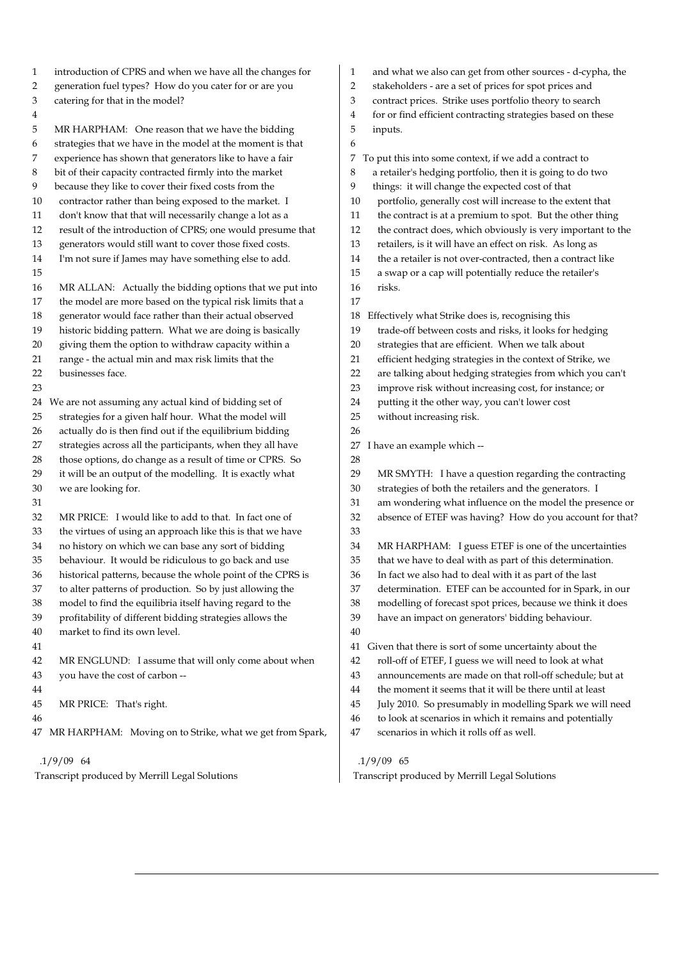| 1<br>2 | introduction of CPRS and when we have all the changes for<br>generation fuel types? How do you cater for or are you | 1<br>2 | and what we also can get from other sources - d-cypha, the<br>stakeholders - are a set of prices for spot prices and |
|--------|---------------------------------------------------------------------------------------------------------------------|--------|----------------------------------------------------------------------------------------------------------------------|
| 3      | catering for that in the model?                                                                                     | 3      | contract prices. Strike uses portfolio theory to search                                                              |
| 4      |                                                                                                                     | 4      | for or find efficient contracting strategies based on these                                                          |
| 5      | MR HARPHAM: One reason that we have the bidding                                                                     | 5      | inputs.                                                                                                              |
| 6      | strategies that we have in the model at the moment is that                                                          | 6      |                                                                                                                      |
| 7      | experience has shown that generators like to have a fair                                                            | 7      | To put this into some context, if we add a contract to                                                               |
| 8      | bit of their capacity contracted firmly into the market                                                             | 8      | a retailer's hedging portfolio, then it is going to do two                                                           |
| 9      | because they like to cover their fixed costs from the                                                               | 9      | things: it will change the expected cost of that                                                                     |
| 10     | contractor rather than being exposed to the market. I                                                               | 10     | portfolio, generally cost will increase to the extent that                                                           |
| 11     | don't know that that will necessarily change a lot as a                                                             | 11     | the contract is at a premium to spot. But the other thing                                                            |
| 12     | result of the introduction of CPRS; one would presume that                                                          | 12     | the contract does, which obviously is very important to the                                                          |
| 13     | generators would still want to cover those fixed costs.                                                             | 13     | retailers, is it will have an effect on risk. As long as                                                             |
| 14     | I'm not sure if James may have something else to add.                                                               | 14     | the a retailer is not over-contracted, then a contract like                                                          |
| 15     |                                                                                                                     | 15     | a swap or a cap will potentially reduce the retailer's                                                               |
| 16     | MR ALLAN: Actually the bidding options that we put into                                                             | 16     | risks.                                                                                                               |
| 17     | the model are more based on the typical risk limits that a                                                          | 17     |                                                                                                                      |
| 18     | generator would face rather than their actual observed                                                              | 18     | Effectively what Strike does is, recognising this                                                                    |
| 19     | historic bidding pattern. What we are doing is basically                                                            | 19     | trade-off between costs and risks, it looks for hedging                                                              |
| 20     | giving them the option to withdraw capacity within a                                                                | 20     | strategies that are efficient. When we talk about                                                                    |
| 21     | range - the actual min and max risk limits that the                                                                 | 21     | efficient hedging strategies in the context of Strike, we                                                            |
| 22     | businesses face.                                                                                                    | 22     | are talking about hedging strategies from which you can't                                                            |
| 23     |                                                                                                                     | 23     | improve risk without increasing cost, for instance; or                                                               |
|        | 24 We are not assuming any actual kind of bidding set of                                                            | 24     | putting it the other way, you can't lower cost                                                                       |
| 25     | strategies for a given half hour. What the model will                                                               | 25     | without increasing risk.                                                                                             |
| 26     | actually do is then find out if the equilibrium bidding                                                             | 26     |                                                                                                                      |
| 27     | strategies across all the participants, when they all have                                                          | 27     | I have an example which --                                                                                           |
| 28     | those options, do change as a result of time or CPRS. So                                                            | 28     |                                                                                                                      |
| 29     | it will be an output of the modelling. It is exactly what                                                           | 29     | MR SMYTH: I have a question regarding the contracting                                                                |
| 30     | we are looking for.                                                                                                 | 30     | strategies of both the retailers and the generators. I                                                               |
| 31     |                                                                                                                     | 31     | am wondering what influence on the model the presence or                                                             |
| 32     | MR PRICE: I would like to add to that. In fact one of                                                               | 32     | absence of ETEF was having? How do you account for that?                                                             |
| 33     | the virtues of using an approach like this is that we have                                                          | 33     |                                                                                                                      |
| 34     | no history on which we can base any sort of bidding                                                                 | 34     | MR HARPHAM: I guess ETEF is one of the uncertainties                                                                 |
| 35     | behaviour. It would be ridiculous to go back and use                                                                | 35     | that we have to deal with as part of this determination.                                                             |
| 36     | historical patterns, because the whole point of the CPRS is                                                         | 36     | In fact we also had to deal with it as part of the last                                                              |
| 37     | to alter patterns of production. So by just allowing the                                                            | 37     | determination. ETEF can be accounted for in Spark, in our                                                            |
| 38     | model to find the equilibria itself having regard to the                                                            | 38     | modelling of forecast spot prices, because we think it does                                                          |
| 39     | profitability of different bidding strategies allows the                                                            | 39     | have an impact on generators' bidding behaviour.                                                                     |
| 40     | market to find its own level.                                                                                       | 40     |                                                                                                                      |
| 41     |                                                                                                                     | 41     | Given that there is sort of some uncertainty about the                                                               |
| 42     | MR ENGLUND: I assume that will only come about when                                                                 | 42     | roll-off of ETEF, I guess we will need to look at what                                                               |
| 43     | you have the cost of carbon --                                                                                      | 43     | announcements are made on that roll-off schedule; but at                                                             |
| 44     |                                                                                                                     | 44     | the moment it seems that it will be there until at least                                                             |
| 45     | MR PRICE: That's right.                                                                                             | 45     | July 2010. So presumably in modelling Spark we will need                                                             |
| 46     |                                                                                                                     | 46     | to look at scenarios in which it remains and potentially                                                             |
|        | 47 MR HARPHAM: Moving on to Strike, what we get from Spark,                                                         | 47     | scenarios in which it rolls off as well.                                                                             |
|        |                                                                                                                     |        |                                                                                                                      |

Transcript produced by Merrill Legal Solutions

.1/9/09 65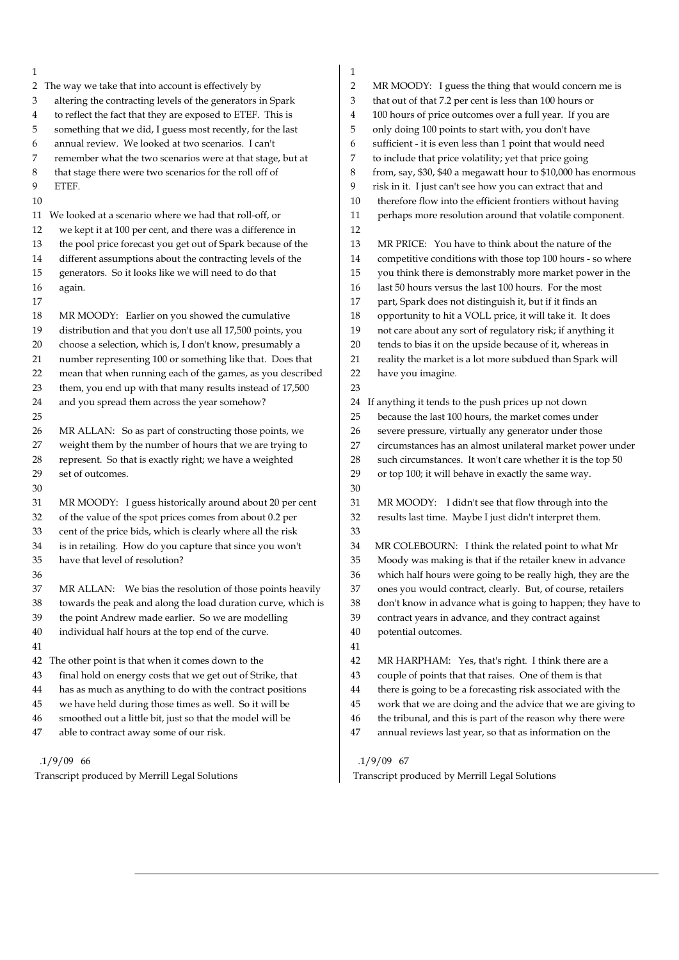| 1                                                                 | 1                                                                 |
|-------------------------------------------------------------------|-------------------------------------------------------------------|
| 2 The way we take that into account is effectively by             | 2<br>MR MOODY: I guess the thing that would concern me is         |
| altering the contracting levels of the generators in Spark        | 3                                                                 |
| 3                                                                 | that out of that 7.2 per cent is less than 100 hours or           |
| to reflect the fact that they are exposed to ETEF. This is        | 100 hours of price outcomes over a full year. If you are          |
| 4                                                                 | 4                                                                 |
| something that we did, I guess most recently, for the last        | 5                                                                 |
| 5                                                                 | only doing 100 points to start with, you don't have               |
| annual review. We looked at two scenarios. I can't                | sufficient - it is even less than 1 point that would need         |
| 6                                                                 | 6                                                                 |
| 7                                                                 | 7                                                                 |
| remember what the two scenarios were at that stage, but at        | to include that price volatility; yet that price going            |
| 8                                                                 | 8                                                                 |
| that stage there were two scenarios for the roll off of           | from, say, \$30, \$40 a megawatt hour to \$10,000 has enormous    |
| 9                                                                 | 9                                                                 |
| ETEF.                                                             | risk in it. I just can't see how you can extract that and         |
| 10                                                                | therefore flow into the efficient frontiers without having<br>10  |
| 11 We looked at a scenario where we had that roll-off, or         | perhaps more resolution around that volatile component.<br>11     |
| 12<br>we kept it at 100 per cent, and there was a difference in   | 12                                                                |
| the pool price forecast you get out of Spark because of the       | 13                                                                |
| 13                                                                | MR PRICE: You have to think about the nature of the               |
| different assumptions about the contracting levels of the         | competitive conditions with those top 100 hours - so where        |
| 14                                                                | 14                                                                |
| generators. So it looks like we will need to do that              | 15                                                                |
| 15                                                                | you think there is demonstrably more market power in the          |
| 16                                                                | last 50 hours versus the last 100 hours. For the most             |
| again.                                                            | 16                                                                |
| 17                                                                | 17<br>part, Spark does not distinguish it, but if it finds an     |
| MR MOODY: Earlier on you showed the cumulative                    | opportunity to hit a VOLL price, it will take it. It does         |
| 18                                                                | 18                                                                |
| distribution and that you don't use all 17,500 points, you        | 19                                                                |
| 19                                                                | not care about any sort of regulatory risk; if anything it        |
| choose a selection, which is, I don't know, presumably a          | tends to bias it on the upside because of it, whereas in          |
| 20                                                                | 20                                                                |
| number representing 100 or something like that. Does that         | reality the market is a lot more subdued than Spark will          |
| 21                                                                | 21                                                                |
| mean that when running each of the games, as you described        | 22                                                                |
| 22                                                                | have you imagine.                                                 |
| them, you end up with that many results instead of 17,500<br>23   | 23                                                                |
| and you spread them across the year somehow?                      | If anything it tends to the push prices up not down               |
| 24                                                                | 24                                                                |
| 25                                                                | because the last 100 hours, the market comes under<br>25          |
| MR ALLAN: So as part of constructing those points, we             | 26                                                                |
| 26                                                                | severe pressure, virtually any generator under those              |
| weight them by the number of hours that we are trying to          | 27                                                                |
| 27                                                                | circumstances has an almost unilateral market power under         |
| represent. So that is exactly right; we have a weighted           | such circumstances. It won't care whether it is the top 50        |
| 28                                                                | 28                                                                |
| set of outcomes.                                                  | 29                                                                |
| 29                                                                | or top 100; it will behave in exactly the same way.               |
| 30                                                                | 30                                                                |
| MR MOODY: I guess historically around about 20 per cent           | 31                                                                |
| 31                                                                | MR MOODY: I didn't see that flow through into the                 |
| of the value of the spot prices comes from about 0.2 per          | 32                                                                |
| 32                                                                | results last time. Maybe I just didn't interpret them.            |
| cent of the price bids, which is clearly where all the risk<br>33 | 33                                                                |
| is in retailing. How do you capture that since you won't          | 34                                                                |
| 34                                                                | MR COLEBOURN: I think the related point to what Mr                |
| have that level of resolution?                                    | Moody was making is that if the retailer knew in advance          |
| 35                                                                | 35                                                                |
| 36                                                                | 36<br>which half hours were going to be really high, they are the |
| 37                                                                | ones you would contract, clearly. But, of course, retailers       |
| MR ALLAN: We bias the resolution of those points heavily          | 37                                                                |
| 38                                                                | 38                                                                |
| towards the peak and along the load duration curve, which is      | don't know in advance what is going to happen; they have to       |
| the point Andrew made earlier. So we are modelling                | 39                                                                |
| 39                                                                | contract years in advance, and they contract against              |
| individual half hours at the top end of the curve.                | 40                                                                |
| 40                                                                | potential outcomes.                                               |
| 41                                                                | 41                                                                |
| 42 The other point is that when it comes down to the              | 42<br>MR HARPHAM: Yes, that's right. I think there are a          |
| final hold on energy costs that we get out of Strike, that        | couple of points that that raises. One of them is that            |
| 43                                                                | 43                                                                |
| has as much as anything to do with the contract positions         | there is going to be a forecasting risk associated with the       |
| 44                                                                | 44                                                                |
| we have held during those times as well. So it will be            | work that we are doing and the advice that we are giving to       |
| 45                                                                | 45                                                                |
| smoothed out a little bit, just so that the model will be         | the tribunal, and this is part of the reason why there were       |
| 46                                                                | 46                                                                |
| able to contract away some of our risk.                           | annual reviews last year, so that as information on the           |
| 47                                                                | 47                                                                |
| $.1/9/09$ 66                                                      | $.1/9/09$ 67                                                      |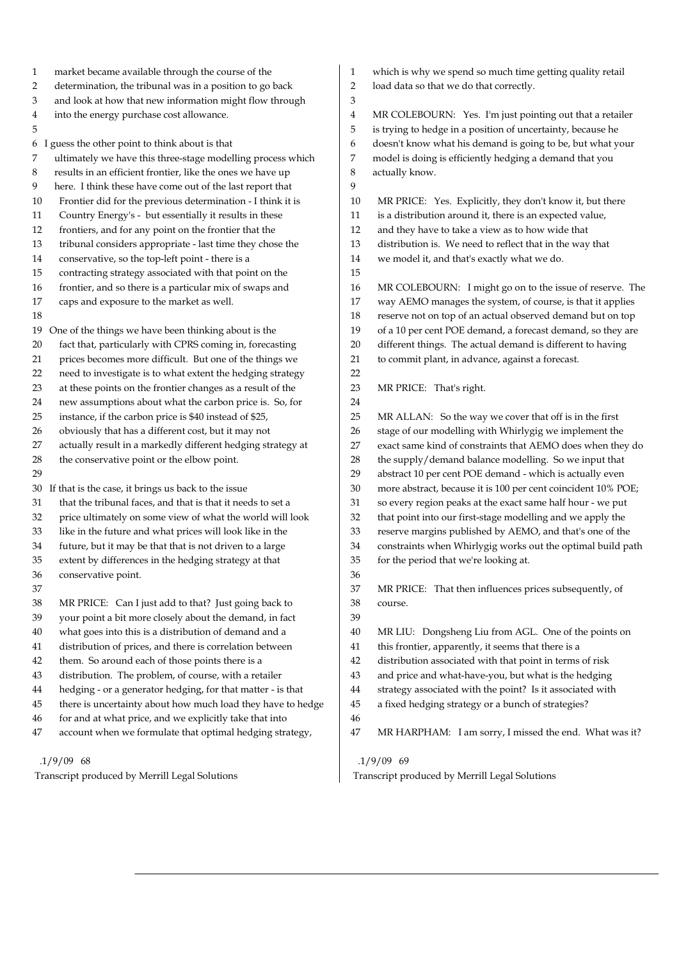- 1 market became available through the course of the
- 2 determination, the tribunal was in a position to go back
- 3 and look at how that new information might flow through
- 4 into the energy purchase cost allowance.
- 5

6 I guess the other point to think about is that

- 7 ultimately we have this three-stage modelling process which
- 8 results in an efficient frontier, like the ones we have up
- 9 here. I think these have come out of the last report that
- 10 Frontier did for the previous determination I think it is
- 11 Country Energy's but essentially it results in these
- 12 frontiers, and for any point on the frontier that the
- 13 tribunal considers appropriate last time they chose the
- 14 conservative, so the top-left point there is a
- 15 contracting strategy associated with that point on the
- 16 frontier, and so there is a particular mix of swaps and
- 17 caps and exposure to the market as well.
- 18
- 19 One of the things we have been thinking about is the
- 20 fact that, particularly with CPRS coming in, forecasting
- 21 prices becomes more difficult. But one of the things we
- 22 need to investigate is to what extent the hedging strategy
- 23 at these points on the frontier changes as a result of the
- 24 new assumptions about what the carbon price is. So, for
- 25 instance, if the carbon price is \$40 instead of \$25,
- 26 obviously that has a different cost, but it may not
- 27 actually result in a markedly different hedging strategy at
- 28 the conservative point or the elbow point.
- 29
- 30 If that is the case, it brings us back to the issue
- 31 that the tribunal faces, and that is that it needs to set a
- 32 price ultimately on some view of what the world will look
- 33 like in the future and what prices will look like in the
- 34 future, but it may be that that is not driven to a large
- 35 extent by differences in the hedging strategy at that
- 36 conservative point.
- 37
- 38 MR PRICE: Can I just add to that? Just going back to
- 39 your point a bit more closely about the demand, in fact
- 40 what goes into this is a distribution of demand and a
- 41 distribution of prices, and there is correlation between
- 42 them. So around each of those points there is a
- 43 distribution. The problem, of course, with a retailer
- 44 hedging or a generator hedging, for that matter is that
- 45 there is uncertainty about how much load they have to hedge
- 46 for and at what price, and we explicitly take that into
- 47 account when we formulate that optimal hedging strategy,

#### .1/9/09 68

Transcript produced by Merrill Legal Solutions

- 1 which is why we spend so much time getting quality retail
- 2 load data so that we do that correctly.

4 MR COLEBOURN: Yes. I'm just pointing out that a retailer 5 is trying to hedge in a position of uncertainty, because he 6 doesn't know what his demand is going to be, but what your 7 model is doing is efficiently hedging a demand that you 8 actually know.

- 10 MR PRICE: Yes. Explicitly, they don't know it, but there
- 11 is a distribution around it, there is an expected value,
- 12 and they have to take a view as to how wide that
- 13 distribution is. We need to reflect that in the way that 14 we model it, and that's exactly what we do.
- 15

22

3

 $\overline{Q}$ 

16 MR COLEBOURN: I might go on to the issue of reserve. The 17 way AEMO manages the system, of course, is that it applies 18 reserve not on top of an actual observed demand but on top 19 of a 10 per cent POE demand, a forecast demand, so they are 20 different things. The actual demand is different to having 21 to commit plant, in advance, against a forecast.

- 23 MR PRICE: That's right.
- 24 25 MR ALLAN: So the way we cover that off is in the first 26 stage of our modelling with Whirlygig we implement the 27 exact same kind of constraints that AEMO does when they do 28 the supply/demand balance modelling. So we input that 29 abstract 10 per cent POE demand - which is actually even 30 more abstract, because it is 100 per cent coincident 10% POE; 31 so every region peaks at the exact same half hour - we put 32 that point into our first-stage modelling and we apply the 33 reserve margins published by AEMO, and that's one of the 34 constraints when Whirlygig works out the optimal build path 35 for the period that we're looking at. 36 37 MR PRICE: That then influences prices subsequently, of 38 course. 39
- 40 MR LIU: Dongsheng Liu from AGL. One of the points on
- 41 this frontier, apparently, it seems that there is a
- 42 distribution associated with that point in terms of risk
- 43 and price and what-have-you, but what is the hedging
- 44 strategy associated with the point? Is it associated with
- 45 a fixed hedging strategy or a bunch of strategies?
- 46
- 47 MR HARPHAM: I am sorry, I missed the end. What was it?

### .1/9/09 69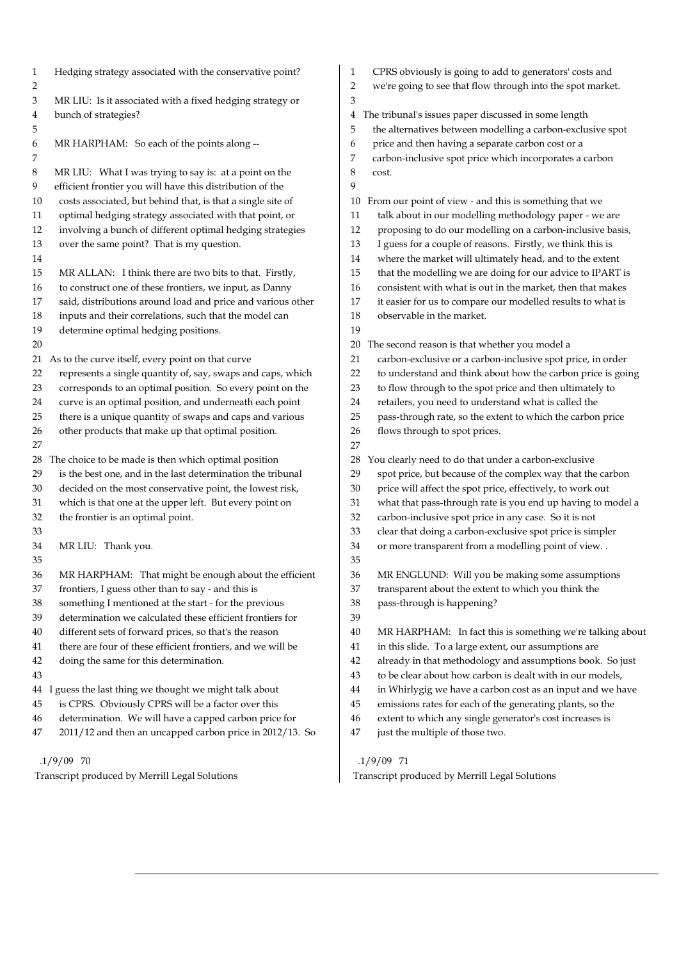| $\mathbf{1}$<br>$\overline{2}$ | Hedging strategy associated with the conservative point?                                                             | $\mathbf{1}$<br>2 | CPRS obviously is going to add to generators' costs and<br>we're going to see that flow through into the spot market.  |
|--------------------------------|----------------------------------------------------------------------------------------------------------------------|-------------------|------------------------------------------------------------------------------------------------------------------------|
| 3                              | MR LIU: Is it associated with a fixed hedging strategy or                                                            | 3                 |                                                                                                                        |
| $\overline{\mathbf{4}}$        | bunch of strategies?                                                                                                 | 4                 | The tribunal's issues paper discussed in some length                                                                   |
| 5                              |                                                                                                                      | 5                 | the alternatives between modelling a carbon-exclusive spot                                                             |
| 6                              | MR HARPHAM: So each of the points along --                                                                           | 6                 | price and then having a separate carbon cost or a                                                                      |
| 7                              |                                                                                                                      | 7                 | carbon-inclusive spot price which incorporates a carbon                                                                |
| 8                              | MR LIU: What I was trying to say is: at a point on the                                                               | 8                 | cost.                                                                                                                  |
| 9                              | efficient frontier you will have this distribution of the                                                            | 9                 |                                                                                                                        |
| 10                             | costs associated, but behind that, is that a single site of                                                          | 10                | From our point of view - and this is something that we                                                                 |
| 11                             |                                                                                                                      | 11                | talk about in our modelling methodology paper - we are                                                                 |
| 12                             | optimal hedging strategy associated with that point, or<br>involving a bunch of different optimal hedging strategies | 12                | proposing to do our modelling on a carbon-inclusive basis,                                                             |
| 13                             | over the same point? That is my question.                                                                            | 13                |                                                                                                                        |
|                                |                                                                                                                      |                   | I guess for a couple of reasons. Firstly, we think this is                                                             |
| 14                             |                                                                                                                      | 14<br>15          | where the market will ultimately head, and to the extent                                                               |
| 15                             | MR ALLAN: I think there are two bits to that. Firstly,                                                               |                   | that the modelling we are doing for our advice to IPART is                                                             |
| 16                             | to construct one of these frontiers, we input, as Danny                                                              | 16                | consistent with what is out in the market, then that makes                                                             |
| 17                             | said, distributions around load and price and various other                                                          | 17                | it easier for us to compare our modelled results to what is                                                            |
| 18                             | inputs and their correlations, such that the model can                                                               | 18<br>19          | observable in the market.                                                                                              |
| 19                             | determine optimal hedging positions.                                                                                 |                   |                                                                                                                        |
| 20                             |                                                                                                                      | 20<br>21          | The second reason is that whether you model a                                                                          |
|                                | 21 As to the curve itself, every point on that curve                                                                 |                   | carbon-exclusive or a carbon-inclusive spot price, in order                                                            |
| 22                             | represents a single quantity of, say, swaps and caps, which                                                          | 22                | to understand and think about how the carbon price is going                                                            |
| 23                             | corresponds to an optimal position. So every point on the                                                            | 23                | to flow through to the spot price and then ultimately to                                                               |
| 24<br>25                       | curve is an optimal position, and underneath each point                                                              | 24<br>25          | retailers, you need to understand what is called the                                                                   |
| 26                             | there is a unique quantity of swaps and caps and various                                                             | 26                | pass-through rate, so the extent to which the carbon price                                                             |
| 27                             | other products that make up that optimal position.                                                                   | 27                | flows through to spot prices.                                                                                          |
| 28                             | The choice to be made is then which optimal position                                                                 | 28                | You clearly need to do that under a carbon-exclusive                                                                   |
|                                | is the best one, and in the last determination the tribunal                                                          | 29                |                                                                                                                        |
| 29                             |                                                                                                                      | 30                | spot price, but because of the complex way that the carbon                                                             |
| 30                             | decided on the most conservative point, the lowest risk,<br>which is that one at the upper left. But every point on  | 31                | price will affect the spot price, effectively, to work out                                                             |
| 31<br>32                       | the frontier is an optimal point.                                                                                    | 32                | what that pass-through rate is you end up having to model a<br>carbon-inclusive spot price in any case. So it is not   |
| 33                             |                                                                                                                      | 33                |                                                                                                                        |
| 34                             | MR LIU: Thank you.                                                                                                   | 34                | clear that doing a carbon-exclusive spot price is simpler                                                              |
| 35                             |                                                                                                                      | 35                | or more transparent from a modelling point of view                                                                     |
|                                | MR HARPHAM: That might be enough about the efficient                                                                 | 36                |                                                                                                                        |
| 36<br>37                       | frontiers, I guess other than to say - and this is                                                                   | 37                | MR ENGLUND: Will you be making some assumptions<br>transparent about the extent to which you think the                 |
| 38                             | something I mentioned at the start - for the previous                                                                | 38                | pass-through is happening?                                                                                             |
| 39                             | determination we calculated these efficient frontiers for                                                            | 39                |                                                                                                                        |
| 40                             | different sets of forward prices, so that's the reason                                                               | 40                |                                                                                                                        |
| 41                             | there are four of these efficient frontiers, and we will be                                                          | 41                | MR HARPHAM: In fact this is something we're talking about<br>in this slide. To a large extent, our assumptions are     |
|                                |                                                                                                                      | 42                |                                                                                                                        |
| 42<br>43                       | doing the same for this determination.                                                                               | 43                | already in that methodology and assumptions book. So just<br>to be clear about how carbon is dealt with in our models, |
|                                |                                                                                                                      | 44                |                                                                                                                        |
| 44<br>45                       | guess the last thing we thought we might talk about<br>is CPRS. Obviously CPRS will be a factor over this            | 45                | in Whirlygig we have a carbon cost as an input and we have                                                             |
| 46                             | determination. We will have a capped carbon price for                                                                | 46                | emissions rates for each of the generating plants, so the<br>extent to which any single generator's cost increases is  |
| 47                             | 2011/12 and then an uncapped carbon price in 2012/13. So                                                             | 47                | just the multiple of those two.                                                                                        |
|                                |                                                                                                                      |                   |                                                                                                                        |
|                                | $.1/9/09$ 70                                                                                                         |                   | $.1/9/09$ 71                                                                                                           |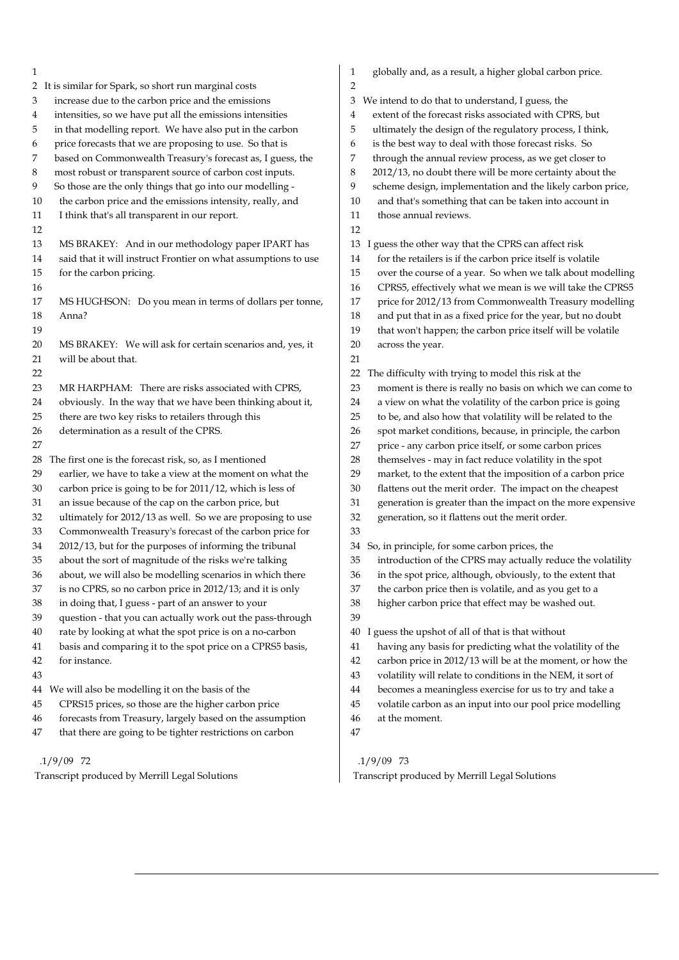| 1                                                                | globally and, as a result, a higher global carbon price.<br>1     |
|------------------------------------------------------------------|-------------------------------------------------------------------|
| 2 It is similar for Spark, so short run marginal costs           | 2                                                                 |
| increase due to the carbon price and the emissions               | We intend to do that to understand, I guess, the                  |
| 3                                                                | 3                                                                 |
| intensities, so we have put all the emissions intensities        | extent of the forecast risks associated with CPRS, but            |
| 4                                                                | 4                                                                 |
| in that modelling report. We have also put in the carbon         | 5                                                                 |
| 5                                                                | ultimately the design of the regulatory process, I think,         |
| price forecasts that we are proposing to use. So that is         | is the best way to deal with those forecast risks. So             |
| 6                                                                | 6                                                                 |
| based on Commonwealth Treasury's forecast as, I guess, the       | through the annual review process, as we get closer to            |
| 7                                                                | 7                                                                 |
| most robust or transparent source of carbon cost inputs.         | 2012/13, no doubt there will be more certainty about the          |
| 8                                                                | 8                                                                 |
| So those are the only things that go into our modelling -        | 9                                                                 |
| 9                                                                | scheme design, implementation and the likely carbon price,        |
| the carbon price and the emissions intensity, really, and        | and that's something that can be taken into account in            |
| 10                                                               | 10                                                                |
| I think that's all transparent in our report.                    | those annual reviews.                                             |
| 11                                                               | 11                                                                |
| 12                                                               | 12                                                                |
| 13                                                               | 13                                                                |
| MS BRAKEY: And in our methodology paper IPART has                | I guess the other way that the CPRS can affect risk               |
| said that it will instruct Frontier on what assumptions to use   | for the retailers is if the carbon price itself is volatile       |
| 14                                                               | 14                                                                |
| 15                                                               | over the course of a year. So when we talk about modelling        |
| for the carbon pricing.                                          | 15                                                                |
| 16                                                               | CPRS5, effectively what we mean is we will take the CPRS5<br>16   |
| 17                                                               | price for 2012/13 from Commonwealth Treasury modelling            |
| MS HUGHSON: Do you mean in terms of dollars per tonne,           | 17                                                                |
| 18                                                               | and put that in as a fixed price for the year, but no doubt       |
| Anna?                                                            | 18                                                                |
| 19                                                               | that won't happen; the carbon price itself will be volatile<br>19 |
| 20                                                               | 20                                                                |
| MS BRAKEY: We will ask for certain scenarios and, yes, it        | across the year.                                                  |
| will be about that.<br>21                                        | 21                                                                |
| 22                                                               | 22<br>The difficulty with trying to model this risk at the        |
| 23                                                               | 23                                                                |
| MR HARPHAM: There are risks associated with CPRS,                | moment is there is really no basis on which we can come to        |
| obviously. In the way that we have been thinking about it,       | a view on what the volatility of the carbon price is going        |
| 24                                                               | 24                                                                |
| there are two key risks to retailers through this                | to be, and also how that volatility will be related to the        |
| 25                                                               | 25                                                                |
| determination as a result of the CPRS.                           | spot market conditions, because, in principle, the carbon         |
| 26                                                               | 26                                                                |
| 27                                                               | price - any carbon price itself, or some carbon prices<br>27      |
| The first one is the forecast risk, so, as I mentioned           | themselves - may in fact reduce volatility in the spot            |
| 28                                                               | 28                                                                |
| earlier, we have to take a view at the moment on what the        | 29                                                                |
| 29                                                               | market, to the extent that the imposition of a carbon price       |
| carbon price is going to be for 2011/12, which is less of        | 30                                                                |
| 30                                                               | flattens out the merit order. The impact on the cheapest          |
| an issue because of the cap on the carbon price, but             | generation is greater than the impact on the more expensive       |
| 31                                                               | 31                                                                |
| ultimately for 2012/13 as well. So we are proposing to use       | 32                                                                |
| 32                                                               | generation, so it flattens out the merit order.                   |
| Commonwealth Treasury's forecast of the carbon price for<br>33   | 33                                                                |
| 2012/13, but for the purposes of informing the tribunal          | 34                                                                |
| 34                                                               | So, in principle, for some carbon prices, the                     |
| about the sort of magnitude of the risks we're talking           | introduction of the CPRS may actually reduce the volatility       |
| 35                                                               | 35                                                                |
| 36                                                               | 36                                                                |
| about, we will also be modelling scenarios in which there        | in the spot price, although, obviously, to the extent that        |
| is no CPRS, so no carbon price in 2012/13; and it is only        | the carbon price then is volatile, and as you get to a            |
| 37                                                               | 37                                                                |
| 38                                                               | 38                                                                |
| in doing that, I guess - part of an answer to your               | higher carbon price that effect may be washed out.                |
| 39<br>question - that you can actually work out the pass-through | 39                                                                |
| rate by looking at what the spot price is on a no-carbon         | I guess the upshot of all of that is that without                 |
| 40                                                               | 40                                                                |
| basis and comparing it to the spot price on a CPRS5 basis,       | having any basis for predicting what the volatility of the        |
| 41                                                               | 41                                                                |
| 42                                                               | carbon price in 2012/13 will be at the moment, or how the         |
| for instance.                                                    | 42                                                                |
| 43                                                               | volatility will relate to conditions in the NEM, it sort of<br>43 |
| 44 We will also be modelling it on the basis of the              | becomes a meaningless exercise for us to try and take a<br>44     |
| CPRS15 prices, so those are the higher carbon price              | volatile carbon as an input into our pool price modelling         |
| 45                                                               | 45                                                                |
| forecasts from Treasury, largely based on the assumption         | at the moment.                                                    |
| 46                                                               | 46                                                                |
| that there are going to be tighter restrictions on carbon<br>47  | 47                                                                |
|                                                                  |                                                                   |

Transcript produced by Merrill Legal Solutions

# .1/9/09 72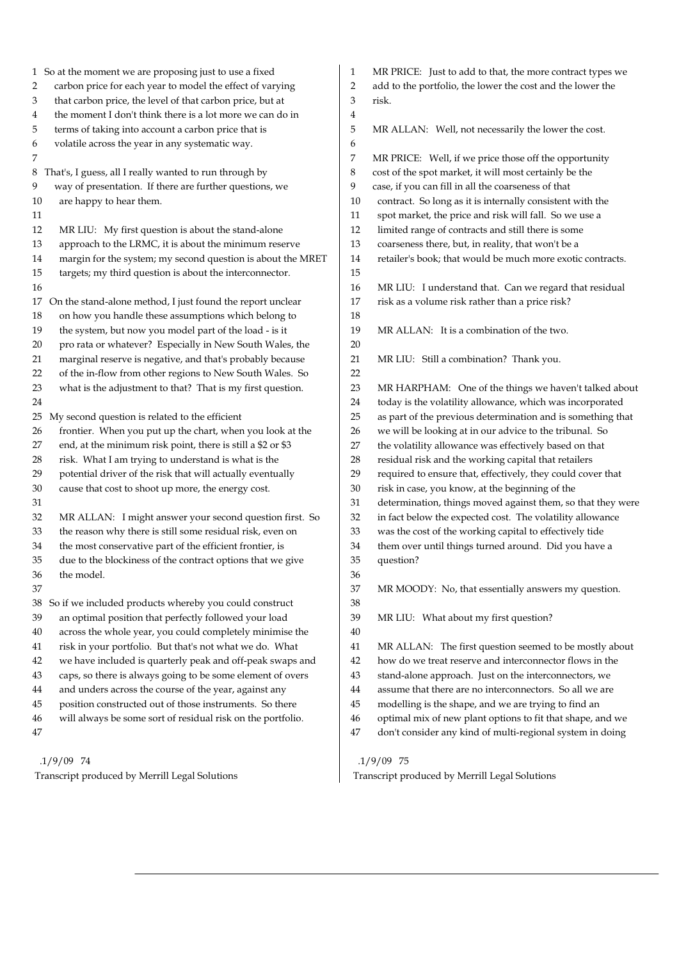1 So at the moment we are proposing just to use a fixed 2 carbon price for each year to model the effect of varying 3 that carbon price, the level of that carbon price, but at 4 the moment I don't think there is a lot more we can do in 5 terms of taking into account a carbon price that is 6 volatile across the year in any systematic way. 7 8 That's, I guess, all I really wanted to run through by 9 way of presentation. If there are further questions, we 10 are happy to hear them. 11 12 MR LIU: My first question is about the stand-alone 13 approach to the LRMC, it is about the minimum reserve 14 margin for the system; my second question is about the MRET 15 targets; my third question is about the interconnector. 16 17 On the stand-alone method, I just found the report unclear 18 on how you handle these assumptions which belong to 19 the system, but now you model part of the load - is it 20 pro rata or whatever? Especially in New South Wales, the 21 marginal reserve is negative, and that's probably because 22 of the in-flow from other regions to New South Wales. So 23 what is the adjustment to that? That is my first question. 24 25 My second question is related to the efficient 26 frontier. When you put up the chart, when you look at the 27 end, at the minimum risk point, there is still a \$2 or \$3 28 risk. What I am trying to understand is what is the 29 potential driver of the risk that will actually eventually 30 cause that cost to shoot up more, the energy cost. 31 32 MR ALLAN: I might answer your second question first. So 33 the reason why there is still some residual risk, even on 34 the most conservative part of the efficient frontier, is 35 due to the blockiness of the contract options that we give 36 the model. 37 38 So if we included products whereby you could construct 39 an optimal position that perfectly followed your load 40 across the whole year, you could completely minimise the 41 risk in your portfolio. But that's not what we do. What 42 we have included is quarterly peak and off-peak swaps and 43 caps, so there is always going to be some element of overs 44 and unders across the course of the year, against any 45 position constructed out of those instruments. So there 46 will always be some sort of residual risk on the portfolio. 47 .1/9/09 74 Transcript produced by Merrill Legal Solutions 1 MR PRICE: Just to add to that, the more contract types we 2 add to the portfolio, the lower the cost and the lower the 3 risk. 4 5 MR ALLAN: Well, not necessarily the lower the cost. 6 7 MR PRICE: Well, if we price those off the opportunity 8 cost of the spot market, it will most certainly be the 9 case, if you can fill in all the coarseness of that 10 contract. So long as it is internally consistent with the 11 spot market, the price and risk will fall. So we use a 12 limited range of contracts and still there is some 13 coarseness there, but, in reality, that won't be a 14 retailer's book; that would be much more exotic contracts. 15 16 MR LIU: I understand that. Can we regard that residual 17 risk as a volume risk rather than a price risk? 18 19 MR ALLAN: It is a combination of the two. 20 21 MR LIU: Still a combination? Thank you. 22 23 MR HARPHAM: One of the things we haven't talked about 24 today is the volatility allowance, which was incorporated 25 as part of the previous determination and is something that 26 we will be looking at in our advice to the tribunal. So 27 the volatility allowance was effectively based on that 28 residual risk and the working capital that retailers 29 required to ensure that, effectively, they could cover that 30 risk in case, you know, at the beginning of the 31 determination, things moved against them, so that they were 32 in fact below the expected cost. The volatility allowance 33 was the cost of the working capital to effectively tide 34 them over until things turned around. Did you have a 35 question? 36 37 MR MOODY: No, that essentially answers my question. 38 39 MR LIU: What about my first question? 40 41 MR ALLAN: The first question seemed to be mostly about 42 how do we treat reserve and interconnector flows in the 43 stand-alone approach. Just on the interconnectors, we 44 assume that there are no interconnectors. So all we are 45 modelling is the shape, and we are trying to find an 46 optimal mix of new plant options to fit that shape, and we 47 don't consider any kind of multi-regional system in doing .1/9/09 75 Transcript produced by Merrill Legal Solutions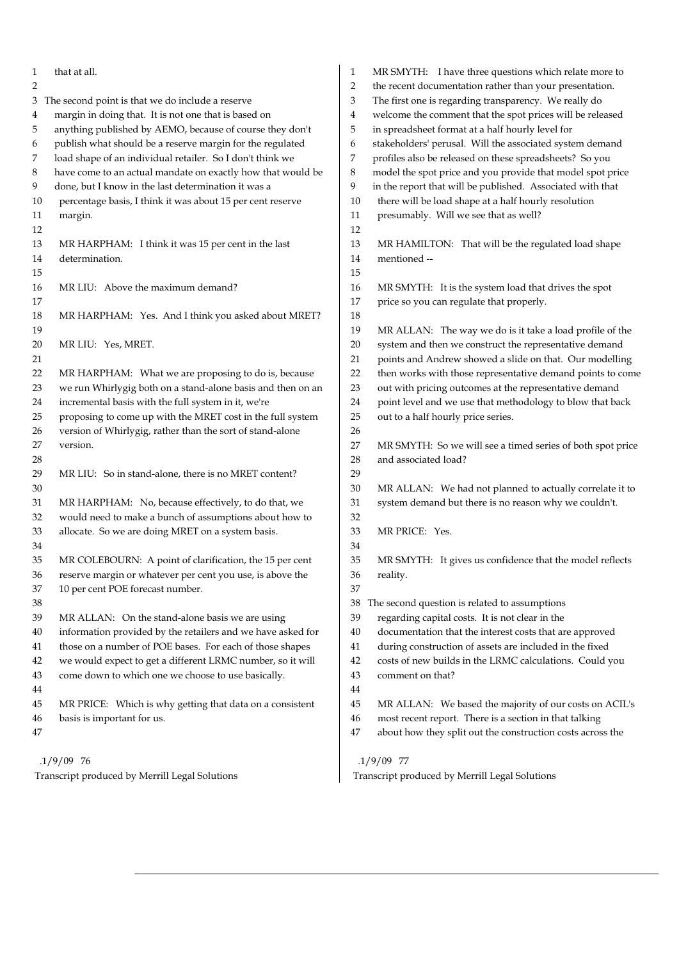| 1                                              | that at all.                                                | $\mathbf{1}$ | MR SMYTH: I have three questions which relate more to      |
|------------------------------------------------|-------------------------------------------------------------|--------------|------------------------------------------------------------|
| 2                                              |                                                             | 2            | the recent documentation rather than your presentation.    |
| 3                                              | The second point is that we do include a reserve            | 3            | The first one is regarding transparency. We really do      |
| 4                                              | margin in doing that. It is not one that is based on        | 4            | welcome the comment that the spot prices will be released  |
| 5                                              | anything published by AEMO, because of course they don't    | 5            | in spreadsheet format at a half hourly level for           |
| 6                                              | publish what should be a reserve margin for the regulated   | 6            | stakeholders' perusal. Will the associated system demand   |
| 7                                              | load shape of an individual retailer. So I don't think we   | 7            | profiles also be released on these spreadsheets? So you    |
| 8                                              | have come to an actual mandate on exactly how that would be | 8            | model the spot price and you provide that model spot price |
| 9                                              | done, but I know in the last determination it was a         | 9            | in the report that will be published. Associated with that |
| 10                                             | percentage basis, I think it was about 15 per cent reserve  | 10           | there will be load shape at a half hourly resolution       |
| 11                                             | margin.                                                     | 11           | presumably. Will we see that as well?                      |
| 12                                             |                                                             | 12           |                                                            |
| 13                                             | MR HARPHAM: I think it was 15 per cent in the last          | 13           | MR HAMILTON: That will be the regulated load shape         |
| 14                                             | determination.                                              | 14           | mentioned --                                               |
| 15                                             |                                                             | 15           |                                                            |
| 16                                             | MR LIU: Above the maximum demand?                           | 16           | MR SMYTH: It is the system load that drives the spot       |
| 17                                             |                                                             | 17           | price so you can regulate that properly.                   |
| 18                                             | MR HARPHAM: Yes. And I think you asked about MRET?          | 18           |                                                            |
| 19                                             |                                                             | 19           | MR ALLAN: The way we do is it take a load profile of the   |
| 20                                             | MR LIU: Yes, MRET.                                          | 20           | system and then we construct the representative demand     |
| 21                                             |                                                             | 21           | points and Andrew showed a slide on that. Our modelling    |
| 22                                             | MR HARPHAM: What we are proposing to do is, because         | 22           | then works with those representative demand points to come |
| 23                                             | we run Whirlygig both on a stand-alone basis and then on an | 23           | out with pricing outcomes at the representative demand     |
| 24                                             | incremental basis with the full system in it, we're         | 24           | point level and we use that methodology to blow that back  |
| 25                                             | proposing to come up with the MRET cost in the full system  | 25           | out to a half hourly price series.                         |
| 26                                             | version of Whirlygig, rather than the sort of stand-alone   | 26           |                                                            |
| 27                                             | version.                                                    | 27           | MR SMYTH: So we will see a timed series of both spot price |
| 28                                             |                                                             | 28           | and associated load?                                       |
| 29                                             | MR LIU: So in stand-alone, there is no MRET content?        | 29           |                                                            |
| 30                                             |                                                             | 30           | MR ALLAN: We had not planned to actually correlate it to   |
| 31                                             | MR HARPHAM: No, because effectively, to do that, we         | 31           | system demand but there is no reason why we couldn't.      |
| 32                                             | would need to make a bunch of assumptions about how to      | 32           |                                                            |
| 33                                             | allocate. So we are doing MRET on a system basis.           | 33           | MR PRICE: Yes.                                             |
| 34                                             |                                                             | 34           |                                                            |
| 35                                             | MR COLEBOURN: A point of clarification, the 15 per cent     | 35           | MR SMYTH: It gives us confidence that the model reflects   |
| 36                                             | reserve margin or whatever per cent you use, is above the   | 36           | reality.                                                   |
| 37                                             | 10 per cent POE forecast number.                            | 37           |                                                            |
| 38                                             |                                                             | 38           | The second question is related to assumptions              |
| 39                                             | MR ALLAN: On the stand-alone basis we are using             | 39           | regarding capital costs. It is not clear in the            |
|                                                |                                                             |              |                                                            |
| 40                                             | information provided by the retailers and we have asked for | 40           | documentation that the interest costs that are approved    |
| 41                                             | those on a number of POE bases. For each of those shapes    | 41           | during construction of assets are included in the fixed    |
| 42                                             | we would expect to get a different LRMC number, so it will  | 42           | costs of new builds in the LRMC calculations. Could you    |
| 43                                             | come down to which one we choose to use basically.          | 43           | comment on that?                                           |
| 44                                             |                                                             | 44           |                                                            |
| 45                                             | MR PRICE: Which is why getting that data on a consistent    | 45           | MR ALLAN: We based the majority of our costs on ACIL's     |
| 46                                             | basis is important for us.                                  | 46           | most recent report. There is a section in that talking     |
| 47                                             |                                                             | 47           | about how they split out the construction costs across the |
|                                                | $.1/9/09$ 76                                                |              | $.1/9/09$ 77                                               |
| Transcript produced by Merrill Legal Solutions |                                                             |              | Transcript produced by Merrill Legal Solutions             |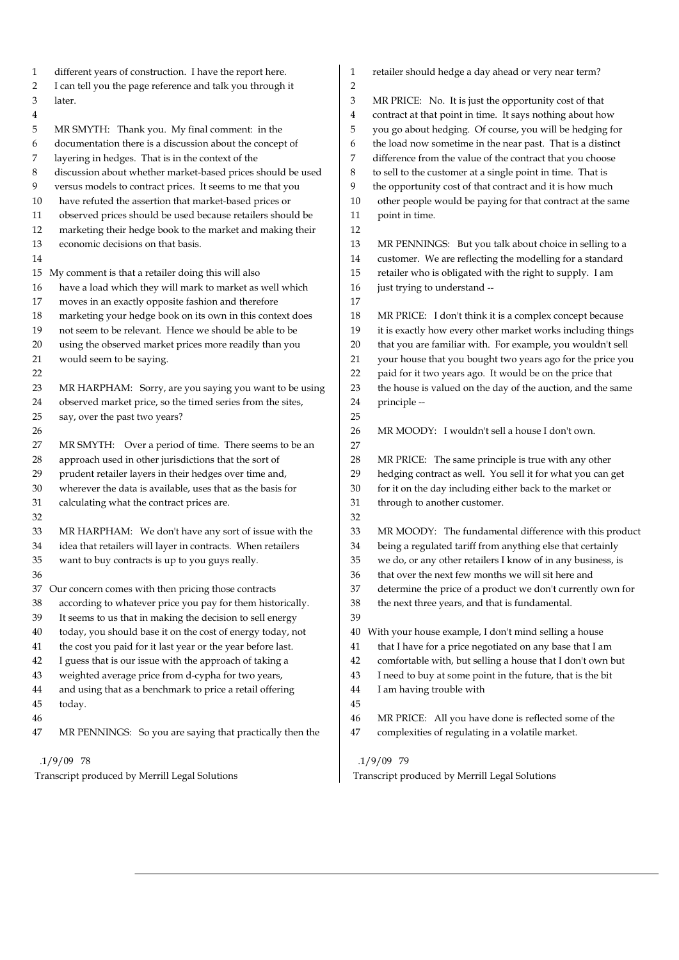| 1<br>2                                         | different years of construction. I have the report here.<br>I can tell you the page reference and talk you through it | 1<br>$\overline{2}$ | retailer should hedge a day ahead or very near term?                                                               |
|------------------------------------------------|-----------------------------------------------------------------------------------------------------------------------|---------------------|--------------------------------------------------------------------------------------------------------------------|
| 3                                              | later.                                                                                                                | 3                   | MR PRICE: No. It is just the opportunity cost of that                                                              |
| 4                                              |                                                                                                                       | 4                   | contract at that point in time. It says nothing about how                                                          |
| 5                                              | MR SMYTH: Thank you. My final comment: in the                                                                         | 5                   | you go about hedging. Of course, you will be hedging for                                                           |
| 6                                              | documentation there is a discussion about the concept of                                                              | 6                   | the load now sometime in the near past. That is a distinct                                                         |
| 7                                              | layering in hedges. That is in the context of the                                                                     | 7                   | difference from the value of the contract that you choose                                                          |
| 8                                              | discussion about whether market-based prices should be used                                                           | 8                   | to sell to the customer at a single point in time. That is                                                         |
| 9                                              | versus models to contract prices. It seems to me that you                                                             | 9                   | the opportunity cost of that contract and it is how much                                                           |
| 10                                             | have refuted the assertion that market-based prices or                                                                | 10                  | other people would be paying for that contract at the same                                                         |
| 11                                             | observed prices should be used because retailers should be                                                            | 11                  | point in time.                                                                                                     |
| 12                                             | marketing their hedge book to the market and making their                                                             | 12                  |                                                                                                                    |
| 13                                             | economic decisions on that basis.                                                                                     | 13                  |                                                                                                                    |
| 14                                             |                                                                                                                       | 14                  | MR PENNINGS: But you talk about choice in selling to a<br>customer. We are reflecting the modelling for a standard |
|                                                |                                                                                                                       | 15                  |                                                                                                                    |
|                                                | 15 My comment is that a retailer doing this will also                                                                 |                     | retailer who is obligated with the right to supply. I am                                                           |
| 16                                             | have a load which they will mark to market as well which                                                              | 16                  | just trying to understand --                                                                                       |
| 17                                             | moves in an exactly opposite fashion and therefore                                                                    | 17                  |                                                                                                                    |
| 18                                             | marketing your hedge book on its own in this context does                                                             | 18                  | MR PRICE: I don't think it is a complex concept because                                                            |
| 19                                             | not seem to be relevant. Hence we should be able to be                                                                | 19                  | it is exactly how every other market works including things                                                        |
| 20                                             | using the observed market prices more readily than you                                                                | 20                  | that you are familiar with. For example, you wouldn't sell                                                         |
| 21                                             | would seem to be saying.                                                                                              | 21                  | your house that you bought two years ago for the price you                                                         |
| 22                                             |                                                                                                                       | 22                  | paid for it two years ago. It would be on the price that                                                           |
| 23                                             | MR HARPHAM: Sorry, are you saying you want to be using                                                                | 23                  | the house is valued on the day of the auction, and the same                                                        |
| 24                                             | observed market price, so the timed series from the sites,                                                            | 24                  | principle --                                                                                                       |
| 25                                             | say, over the past two years?                                                                                         | 25                  |                                                                                                                    |
| 26                                             |                                                                                                                       | 26                  | MR MOODY: I wouldn't sell a house I don't own.                                                                     |
| 27                                             | MR SMYTH: Over a period of time. There seems to be an                                                                 | 27                  |                                                                                                                    |
| 28                                             | approach used in other jurisdictions that the sort of                                                                 | 28                  | MR PRICE: The same principle is true with any other                                                                |
| 29                                             | prudent retailer layers in their hedges over time and,                                                                | 29                  | hedging contract as well. You sell it for what you can get                                                         |
| 30                                             | wherever the data is available, uses that as the basis for                                                            | 30                  | for it on the day including either back to the market or                                                           |
| 31                                             | calculating what the contract prices are.                                                                             | 31                  | through to another customer.                                                                                       |
| 32                                             |                                                                                                                       | 32                  |                                                                                                                    |
| 33                                             | MR HARPHAM: We don't have any sort of issue with the                                                                  | 33                  | MR MOODY: The fundamental difference with this product                                                             |
| 34                                             | idea that retailers will layer in contracts. When retailers                                                           | 34                  | being a regulated tariff from anything else that certainly                                                         |
| 35                                             | want to buy contracts is up to you guys really.                                                                       | 35                  | we do, or any other retailers I know of in any business, is                                                        |
| 36                                             |                                                                                                                       | 36                  | that over the next few months we will sit here and                                                                 |
| 37                                             | Our concern comes with then pricing those contracts                                                                   | 37                  | determine the price of a product we don't currently own for                                                        |
| 38                                             | according to whatever price you pay for them historically.                                                            | 38                  | the next three years, and that is fundamental.                                                                     |
| 39                                             | It seems to us that in making the decision to sell energy                                                             | 39                  |                                                                                                                    |
| 40                                             | today, you should base it on the cost of energy today, not                                                            | 40                  | With your house example, I don't mind selling a house                                                              |
| 41                                             | the cost you paid for it last year or the year before last.                                                           | 41                  | that I have for a price negotiated on any base that I am                                                           |
| 42                                             | I guess that is our issue with the approach of taking a                                                               | 42                  | comfortable with, but selling a house that I don't own but                                                         |
| 43                                             | weighted average price from d-cypha for two years,                                                                    | 43                  | I need to buy at some point in the future, that is the bit                                                         |
| 44                                             | and using that as a benchmark to price a retail offering                                                              | 44                  | I am having trouble with                                                                                           |
| 45                                             | today.                                                                                                                | 45                  |                                                                                                                    |
| 46                                             |                                                                                                                       | 46                  | MR PRICE: All you have done is reflected some of the                                                               |
| 47                                             | MR PENNINGS: So you are saying that practically then the                                                              | 47                  | complexities of regulating in a volatile market.                                                                   |
|                                                | $.1/9/09$ 78                                                                                                          |                     | $.1/9/09$ 79                                                                                                       |
| Transcript produced by Merrill Legal Solutions |                                                                                                                       |                     | Transcript produced by Merrill Legal Solutions                                                                     |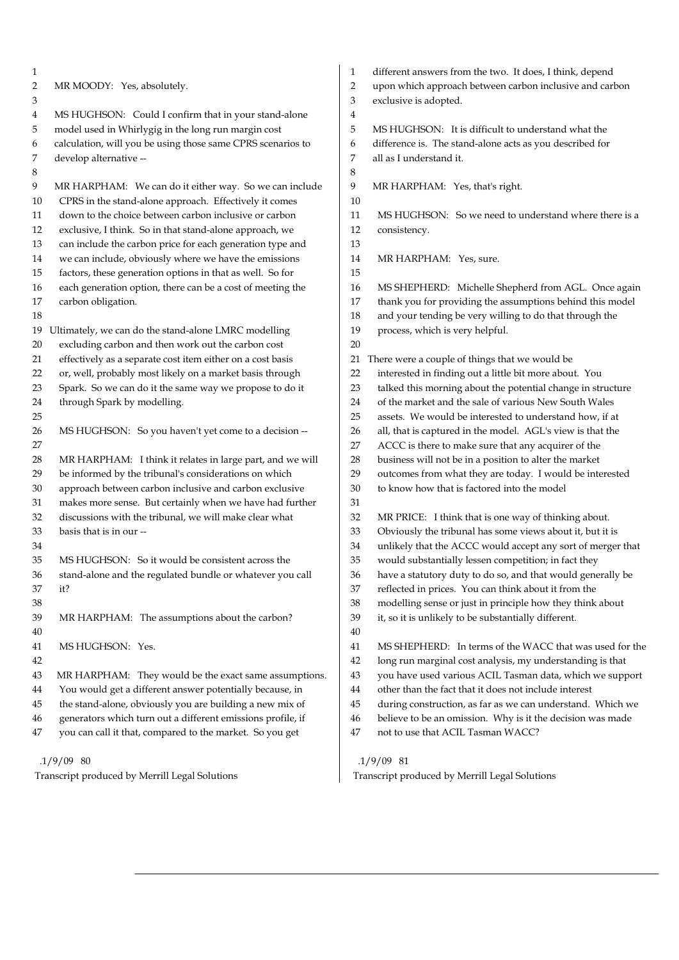| 1                                              |                                                                                                            | 1              | different answers from the two. It does, I think, depend    |
|------------------------------------------------|------------------------------------------------------------------------------------------------------------|----------------|-------------------------------------------------------------|
| 2                                              | MR MOODY: Yes, absolutely.                                                                                 | $\overline{2}$ | upon which approach between carbon inclusive and carbon     |
| 3                                              |                                                                                                            | 3              | exclusive is adopted.                                       |
| 4                                              | MS HUGHSON: Could I confirm that in your stand-alone                                                       | 4              |                                                             |
| 5                                              | model used in Whirlygig in the long run margin cost                                                        | 5              | MS HUGHSON: It is difficult to understand what the          |
| 6                                              | calculation, will you be using those same CPRS scenarios to                                                | 6              | difference is. The stand-alone acts as you described for    |
| 7                                              | develop alternative --                                                                                     | 7              | all as I understand it.                                     |
| 8                                              |                                                                                                            | 8              |                                                             |
| 9                                              | MR HARPHAM: We can do it either way. So we can include                                                     | 9              | MR HARPHAM: Yes, that's right.                              |
| 10                                             | CPRS in the stand-alone approach. Effectively it comes                                                     | 10             |                                                             |
| 11                                             | down to the choice between carbon inclusive or carbon                                                      | 11             | MS HUGHSON: So we need to understand where there is a       |
| 12                                             | exclusive, I think. So in that stand-alone approach, we                                                    | 12             | consistency.                                                |
| 13                                             | can include the carbon price for each generation type and                                                  | 13             |                                                             |
| 14                                             | we can include, obviously where we have the emissions                                                      | 14             | MR HARPHAM: Yes, sure.                                      |
| 15                                             | factors, these generation options in that as well. So for                                                  | 15             |                                                             |
| 16                                             | each generation option, there can be a cost of meeting the                                                 | 16             | MS SHEPHERD: Michelle Shepherd from AGL. Once again         |
| 17                                             | carbon obligation.                                                                                         | 17<br>18       | thank you for providing the assumptions behind this model   |
| 18                                             |                                                                                                            | 19             | and your tending be very willing to do that through the     |
| 19                                             | Ultimately, we can do the stand-alone LMRC modelling<br>excluding carbon and then work out the carbon cost | 20             | process, which is very helpful.                             |
| 20<br>21                                       | effectively as a separate cost item either on a cost basis                                                 | 21             | There were a couple of things that we would be              |
| 22                                             | or, well, probably most likely on a market basis through                                                   | 22             | interested in finding out a little bit more about. You      |
| 23                                             | Spark. So we can do it the same way we propose to do it                                                    | 23             | talked this morning about the potential change in structure |
| 24                                             | through Spark by modelling.                                                                                | 24             | of the market and the sale of various New South Wales       |
| 25                                             |                                                                                                            | 25             | assets. We would be interested to understand how, if at     |
| 26                                             | MS HUGHSON: So you haven't yet come to a decision --                                                       | 26             | all, that is captured in the model. AGL's view is that the  |
| 27                                             |                                                                                                            | 27             | ACCC is there to make sure that any acquirer of the         |
| 28                                             | MR HARPHAM: I think it relates in large part, and we will                                                  | 28             | business will not be in a position to alter the market      |
| 29                                             | be informed by the tribunal's considerations on which                                                      | 29             | outcomes from what they are today. I would be interested    |
| 30                                             | approach between carbon inclusive and carbon exclusive                                                     | 30             | to know how that is factored into the model                 |
| 31                                             | makes more sense. But certainly when we have had further                                                   | 31             |                                                             |
| 32                                             | discussions with the tribunal, we will make clear what                                                     | 32             | MR PRICE: I think that is one way of thinking about.        |
| 33                                             | basis that is in our --                                                                                    | 33             | Obviously the tribunal has some views about it, but it is   |
| 34                                             |                                                                                                            | 34             | unlikely that the ACCC would accept any sort of merger that |
| 35                                             | MS HUGHSON: So it would be consistent across the                                                           | 35             | would substantially lessen competition; in fact they        |
| 36                                             | stand-alone and the regulated bundle or whatever you call                                                  | 36             | have a statutory duty to do so, and that would generally be |
| 37                                             | it?                                                                                                        | 37             | reflected in prices. You can think about it from the        |
| 38                                             |                                                                                                            | 38             | modelling sense or just in principle how they think about   |
| 39                                             | MR HARPHAM: The assumptions about the carbon?                                                              | 39             | it, so it is unlikely to be substantially different.        |
| 40                                             |                                                                                                            | 40             |                                                             |
| 41                                             | MS HUGHSON: Yes.                                                                                           | 41             | MS SHEPHERD: In terms of the WACC that was used for the     |
| 42                                             |                                                                                                            | 42             | long run marginal cost analysis, my understanding is that   |
| 43                                             | MR HARPHAM: They would be the exact same assumptions.                                                      | 43             | you have used various ACIL Tasman data, which we support    |
| 44                                             | You would get a different answer potentially because, in                                                   | 44             | other than the fact that it does not include interest       |
| 45                                             | the stand-alone, obviously you are building a new mix of                                                   | 45             | during construction, as far as we can understand. Which we  |
| 46                                             | generators which turn out a different emissions profile, if                                                | 46             | believe to be an omission. Why is it the decision was made  |
| 47                                             | you can call it that, compared to the market. So you get                                                   | 47             | not to use that ACIL Tasman WACC?                           |
|                                                | $.1/9/09$ 80                                                                                               |                | $.1/9/09$ 81                                                |
| Transcript produced by Merrill Legal Solutions |                                                                                                            |                | Transcript produced by Merrill Legal Solutions              |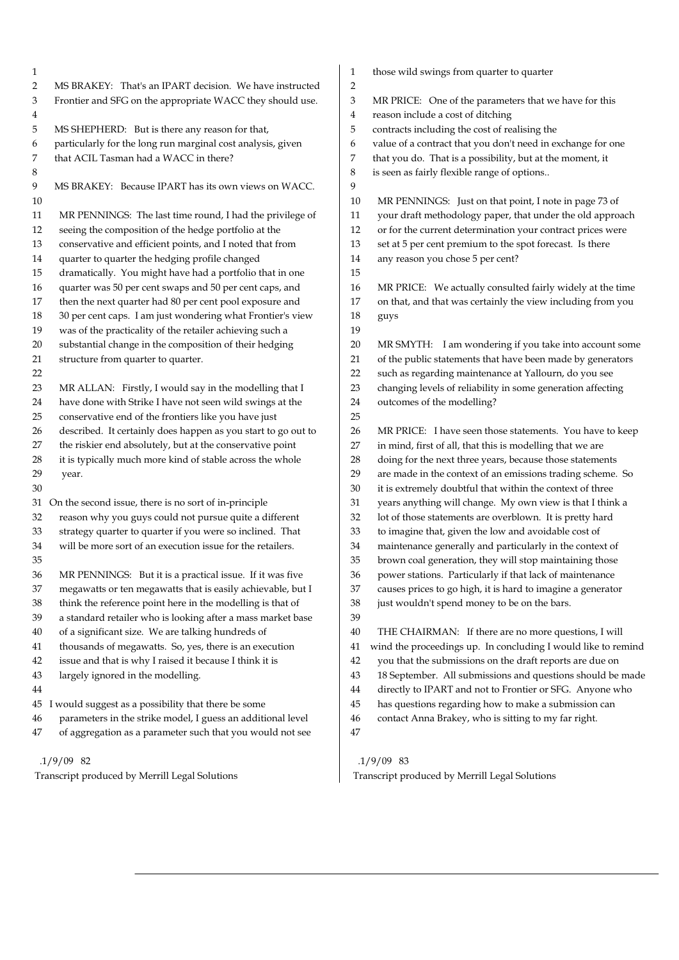| 1              |                                                               | $\mathbf{1}$  | those wild swings from quarter to quarter                     |
|----------------|---------------------------------------------------------------|---------------|---------------------------------------------------------------|
| $\overline{2}$ | MS BRAKEY: That's an IPART decision. We have instructed       | 2             |                                                               |
| 3              | Frontier and SFG on the appropriate WACC they should use.     | $\mathfrak 3$ | MR PRICE: One of the parameters that we have for this         |
| 4              |                                                               | 4             | reason include a cost of ditching                             |
| 5              | MS SHEPHERD: But is there any reason for that,                | 5             | contracts including the cost of realising the                 |
| 6              | particularly for the long run marginal cost analysis, given   | 6             | value of a contract that you don't need in exchange for one   |
| 7              | that ACIL Tasman had a WACC in there?                         | 7             | that you do. That is a possibility, but at the moment, it     |
| 8              |                                                               | 8             | is seen as fairly flexible range of options                   |
| 9              | MS BRAKEY: Because IPART has its own views on WACC.           | 9             |                                                               |
| 10             |                                                               | 10            | MR PENNINGS: Just on that point, I note in page 73 of         |
| 11             | MR PENNINGS: The last time round, I had the privilege of      | 11            | your draft methodology paper, that under the old approach     |
| 12             | seeing the composition of the hedge portfolio at the          | 12            | or for the current determination your contract prices were    |
| 13             | conservative and efficient points, and I noted that from      | 13            | set at 5 per cent premium to the spot forecast. Is there      |
| 14             | quarter to quarter the hedging profile changed                | 14            | any reason you chose 5 per cent?                              |
| 15             | dramatically. You might have had a portfolio that in one      | 15            |                                                               |
| 16             | quarter was 50 per cent swaps and 50 per cent caps, and       | 16            | MR PRICE: We actually consulted fairly widely at the time     |
| 17             | then the next quarter had 80 per cent pool exposure and       | 17            | on that, and that was certainly the view including from you   |
| 18             | 30 per cent caps. I am just wondering what Frontier's view    | 18            | guys                                                          |
| 19             | was of the practicality of the retailer achieving such a      | 19            |                                                               |
| 20             | substantial change in the composition of their hedging        | 20            | MR SMYTH: I am wondering if you take into account some        |
| 21             | structure from quarter to quarter.                            | 21            | of the public statements that have been made by generators    |
| 22             |                                                               | 22            | such as regarding maintenance at Yallourn, do you see         |
| 23             | MR ALLAN: Firstly, I would say in the modelling that I        | 23            | changing levels of reliability in some generation affecting   |
| 24             | have done with Strike I have not seen wild swings at the      | 24            | outcomes of the modelling?                                    |
| 25             | conservative end of the frontiers like you have just          | 25            |                                                               |
| 26             | described. It certainly does happen as you start to go out to | 26            | MR PRICE: I have seen those statements. You have to keep      |
| 27             | the riskier end absolutely, but at the conservative point     | 27            | in mind, first of all, that this is modelling that we are     |
| 28             | it is typically much more kind of stable across the whole     | 28            | doing for the next three years, because those statements      |
| 29             | year.                                                         | 29            | are made in the context of an emissions trading scheme. So    |
| 30             |                                                               | 30            | it is extremely doubtful that within the context of three     |
| 31             | On the second issue, there is no sort of in-principle         | 31            | years anything will change. My own view is that I think a     |
| 32             | reason why you guys could not pursue quite a different        | 32            | lot of those statements are overblown. It is pretty hard      |
| 33             | strategy quarter to quarter if you were so inclined. That     | 33            | to imagine that, given the low and avoidable cost of          |
| 34             | will be more sort of an execution issue for the retailers.    | 34            | maintenance generally and particularly in the context of      |
| 35             |                                                               | 35            | brown coal generation, they will stop maintaining those       |
| 36             | MR PENNINGS: But it is a practical issue. If it was five      | 36            | power stations. Particularly if that lack of maintenance      |
| 37             | megawatts or ten megawatts that is easily achievable, but I   | 37            | causes prices to go high, it is hard to imagine a generator   |
| 38             | think the reference point here in the modelling is that of    | 38            | just wouldn't spend money to be on the bars.                  |
| 39             | a standard retailer who is looking after a mass market base   | 39            |                                                               |
| 40             | of a significant size. We are talking hundreds of             | 40            | THE CHAIRMAN: If there are no more questions, I will          |
| 41             | thousands of megawatts. So, yes, there is an execution        | 41            | wind the proceedings up. In concluding I would like to remind |
| 42             | issue and that is why I raised it because I think it is       | 42            | you that the submissions on the draft reports are due on      |
| 43             | largely ignored in the modelling.                             | 43            | 18 September. All submissions and questions should be made    |
| 44             |                                                               | 44            | directly to IPART and not to Frontier or SFG. Anyone who      |
| 45             | I would suggest as a possibility that there be some           | 45            | has questions regarding how to make a submission can          |
| 46             | parameters in the strike model, I guess an additional level   | 46            | contact Anna Brakey, who is sitting to my far right.          |
| 47             | of aggregation as a parameter such that you would not see     | 47            |                                                               |
|                |                                                               |               |                                                               |

Transcript produced by Merrill Legal Solutions

.1/9/09 83